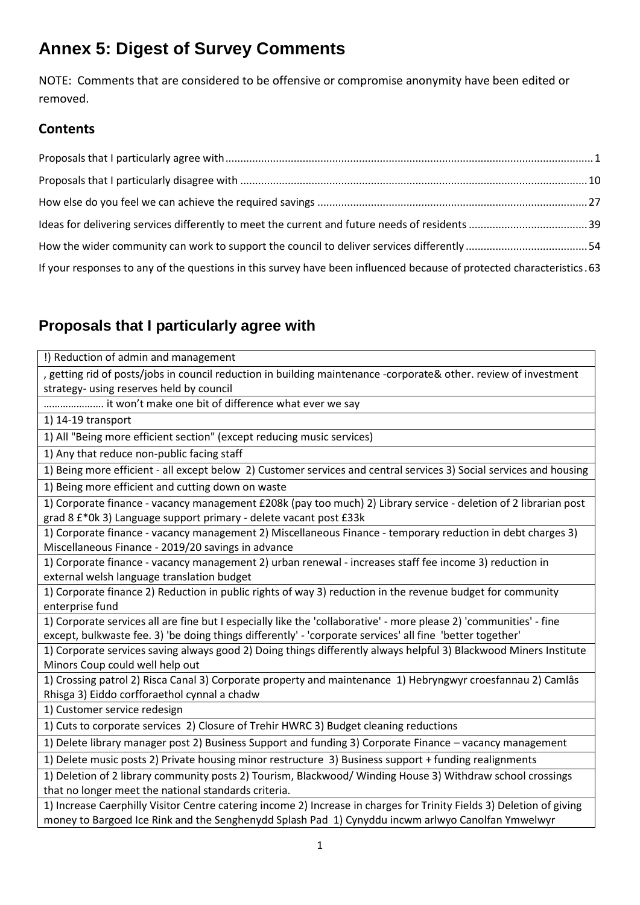# **Annex 5: Digest of Survey Comments**

NOTE: Comments that are considered to be offensive or compromise anonymity have been edited or removed.

#### **Contents**

| If your responses to any of the questions in this survey have been influenced because of protected characteristics. 63 |  |
|------------------------------------------------------------------------------------------------------------------------|--|

## <span id="page-0-0"></span>**Proposals that I particularly agree with**

| !) Reduction of admin and management                                                                                  |
|-----------------------------------------------------------------------------------------------------------------------|
| , getting rid of posts/jobs in council reduction in building maintenance -corporate& other. review of investment      |
| strategy- using reserves held by council                                                                              |
| it won't make one bit of difference what ever we say                                                                  |
| 1) 14-19 transport                                                                                                    |
| 1) All "Being more efficient section" (except reducing music services)                                                |
| 1) Any that reduce non-public facing staff                                                                            |
| 1) Being more efficient - all except below 2) Customer services and central services 3) Social services and housing   |
| 1) Being more efficient and cutting down on waste                                                                     |
| 1) Corporate finance - vacancy management £208k (pay too much) 2) Library service - deletion of 2 librarian post      |
| grad 8 £*0k 3) Language support primary - delete vacant post £33k                                                     |
| 1) Corporate finance - vacancy management 2) Miscellaneous Finance - temporary reduction in debt charges 3)           |
| Miscellaneous Finance - 2019/20 savings in advance                                                                    |
| 1) Corporate finance - vacancy management 2) urban renewal - increases staff fee income 3) reduction in               |
| external welsh language translation budget                                                                            |
| 1) Corporate finance 2) Reduction in public rights of way 3) reduction in the revenue budget for community            |
| enterprise fund                                                                                                       |
| 1) Corporate services all are fine but I especially like the 'collaborative' - more please 2) 'communities' - fine    |
| except, bulkwaste fee. 3) 'be doing things differently' - 'corporate services' all fine 'better together'             |
| 1) Corporate services saving always good 2) Doing things differently always helpful 3) Blackwood Miners Institute     |
| Minors Coup could well help out                                                                                       |
| 1) Crossing patrol 2) Risca Canal 3) Corporate property and maintenance 1) Hebryngwyr croesfannau 2) Camlâs           |
| Rhisga 3) Eiddo corfforaethol cynnal a chadw                                                                          |
| 1) Customer service redesign                                                                                          |
| 1) Cuts to corporate services 2) Closure of Trehir HWRC 3) Budget cleaning reductions                                 |
| 1) Delete library manager post 2) Business Support and funding 3) Corporate Finance - vacancy management              |
| 1) Delete music posts 2) Private housing minor restructure 3) Business support + funding realignments                 |
| 1) Deletion of 2 library community posts 2) Tourism, Blackwood/ Winding House 3) Withdraw school crossings            |
| that no longer meet the national standards criteria.                                                                  |
| 1) Increase Caerphilly Visitor Centre catering income 2) Increase in charges for Trinity Fields 3) Deletion of giving |
| money to Bargoed Ice Rink and the Senghenydd Splash Pad 1) Cynyddu incwm arlwyo Canolfan Ymwelwyr                     |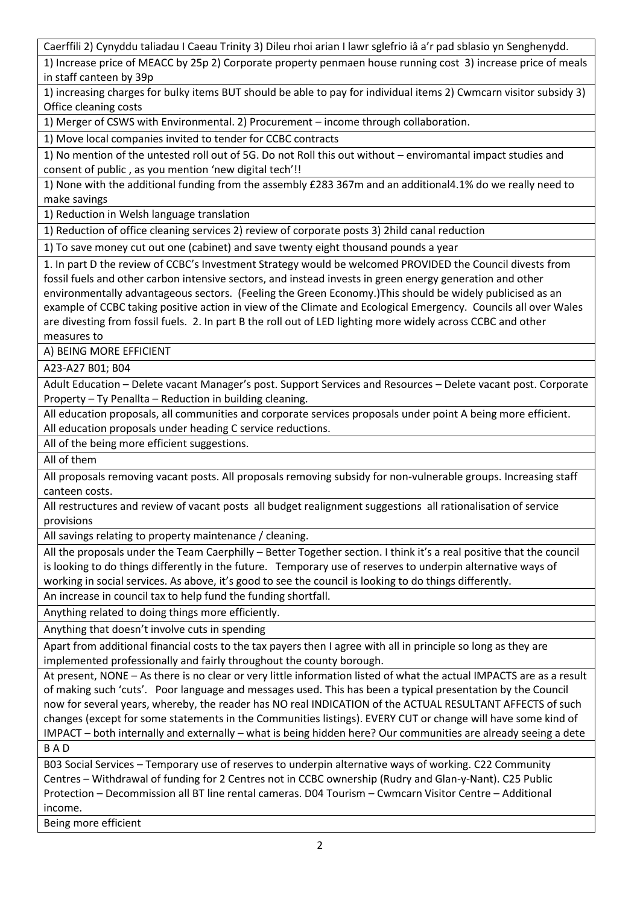Caerffili 2) Cynyddu taliadau I Caeau Trinity 3) Dileu rhoi arian I lawr sglefrio iâ a'r pad sblasio yn Senghenydd.

1) Increase price of MEACC by 25p 2) Corporate property penmaen house running cost 3) increase price of meals in staff canteen by 39p

1) increasing charges for bulky items BUT should be able to pay for individual items 2) Cwmcarn visitor subsidy 3) Office cleaning costs

1) Merger of CSWS with Environmental. 2) Procurement – income through collaboration.

1) Move local companies invited to tender for CCBC contracts

1) No mention of the untested roll out of 5G. Do not Roll this out without – enviromantal impact studies and consent of public , as you mention 'new digital tech'!!

1) None with the additional funding from the assembly £283 367m and an additional4.1% do we really need to make savings

1) Reduction in Welsh language translation

1) Reduction of office cleaning services 2) review of corporate posts 3) 2hild canal reduction

1) To save money cut out one (cabinet) and save twenty eight thousand pounds a year

1. In part D the review of CCBC's Investment Strategy would be welcomed PROVIDED the Council divests from fossil fuels and other carbon intensive sectors, and instead invests in green energy generation and other environmentally advantageous sectors. (Feeling the Green Economy.)This should be widely publicised as an example of CCBC taking positive action in view of the Climate and Ecological Emergency. Councils all over Wales are divesting from fossil fuels. 2. In part B the roll out of LED lighting more widely across CCBC and other measures to

A) BEING MORE EFFICIENT

A23-A27 B01; B04

Adult Education – Delete vacant Manager's post. Support Services and Resources – Delete vacant post. Corporate Property – Ty Penallta – Reduction in building cleaning.

All education proposals, all communities and corporate services proposals under point A being more efficient. All education proposals under heading C service reductions.

All of the being more efficient suggestions.

All of them

All proposals removing vacant posts. All proposals removing subsidy for non-vulnerable groups. Increasing staff canteen costs.

All restructures and review of vacant posts all budget realignment suggestions all rationalisation of service provisions

All savings relating to property maintenance / cleaning.

All the proposals under the Team Caerphilly – Better Together section. I think it's a real positive that the council is looking to do things differently in the future. Temporary use of reserves to underpin alternative ways of working in social services. As above, it's good to see the council is looking to do things differently.

An increase in council tax to help fund the funding shortfall.

Anything related to doing things more efficiently.

Anything that doesn't involve cuts in spending

Apart from additional financial costs to the tax payers then I agree with all in principle so long as they are implemented professionally and fairly throughout the county borough.

At present, NONE – As there is no clear or very little information listed of what the actual IMPACTS are as a result of making such 'cuts'. Poor language and messages used. This has been a typical presentation by the Council now for several years, whereby, the reader has NO real INDICATION of the ACTUAL RESULTANT AFFECTS of such changes (except for some statements in the Communities listings). EVERY CUT or change will have some kind of IMPACT – both internally and externally – what is being hidden here? Our communities are already seeing a dete B A D

B03 Social Services – Temporary use of reserves to underpin alternative ways of working. C22 Community Centres – Withdrawal of funding for 2 Centres not in CCBC ownership (Rudry and Glan-y-Nant). C25 Public Protection – Decommission all BT line rental cameras. D04 Tourism – Cwmcarn Visitor Centre – Additional income.

Being more efficient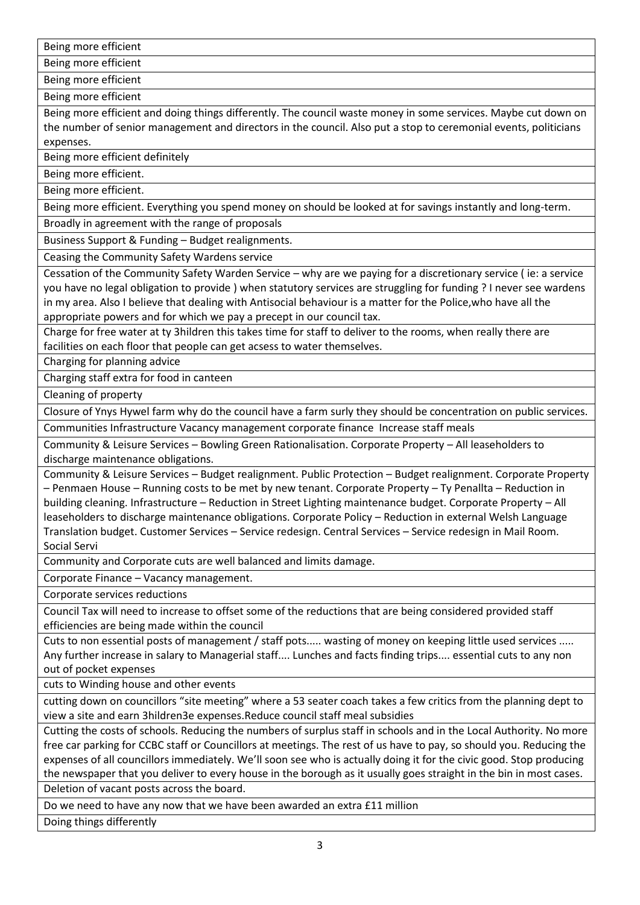Being more efficient

Being more efficient

Being more efficient

Being more efficient

Being more efficient and doing things differently. The council waste money in some services. Maybe cut down on the number of senior management and directors in the council. Also put a stop to ceremonial events, politicians expenses.

Being more efficient definitely

Being more efficient.

Being more efficient.

Being more efficient. Everything you spend money on should be looked at for savings instantly and long-term.

Broadly in agreement with the range of proposals

Business Support & Funding – Budget realignments.

Ceasing the Community Safety Wardens service

Cessation of the Community Safety Warden Service – why are we paying for a discretionary service ( ie: a service you have no legal obligation to provide ) when statutory services are struggling for funding ? I never see wardens in my area. Also I believe that dealing with Antisocial behaviour is a matter for the Police,who have all the appropriate powers and for which we pay a precept in our council tax.

Charge for free water at ty 3hildren this takes time for staff to deliver to the rooms, when really there are facilities on each floor that people can get acsess to water themselves.

Charging for planning advice

Charging staff extra for food in canteen

Cleaning of property

Closure of Ynys Hywel farm why do the council have a farm surly they should be concentration on public services.

Communities Infrastructure Vacancy management corporate finance Increase staff meals

Community & Leisure Services – Bowling Green Rationalisation. Corporate Property – All leaseholders to discharge maintenance obligations.

Community & Leisure Services – Budget realignment. Public Protection – Budget realignment. Corporate Property – Penmaen House – Running costs to be met by new tenant. Corporate Property – Ty Penallta – Reduction in building cleaning. Infrastructure – Reduction in Street Lighting maintenance budget. Corporate Property – All leaseholders to discharge maintenance obligations. Corporate Policy – Reduction in external Welsh Language Translation budget. Customer Services – Service redesign. Central Services – Service redesign in Mail Room. Social Servi

Community and Corporate cuts are well balanced and limits damage.

Corporate Finance – Vacancy management.

Corporate services reductions

Council Tax will need to increase to offset some of the reductions that are being considered provided staff efficiencies are being made within the council

Cuts to non essential posts of management / staff pots..... wasting of money on keeping little used services ..... Any further increase in salary to Managerial staff.... Lunches and facts finding trips.... essential cuts to any non out of pocket expenses

cuts to Winding house and other events

cutting down on councillors "site meeting" where a 53 seater coach takes a few critics from the planning dept to view a site and earn 3hildren3e expenses.Reduce council staff meal subsidies

Cutting the costs of schools. Reducing the numbers of surplus staff in schools and in the Local Authority. No more free car parking for CCBC staff or Councillors at meetings. The rest of us have to pay, so should you. Reducing the expenses of all councillors immediately. We'll soon see who is actually doing it for the civic good. Stop producing the newspaper that you deliver to every house in the borough as it usually goes straight in the bin in most cases. Deletion of vacant posts across the board.

Do we need to have any now that we have been awarded an extra £11 million

Doing things differently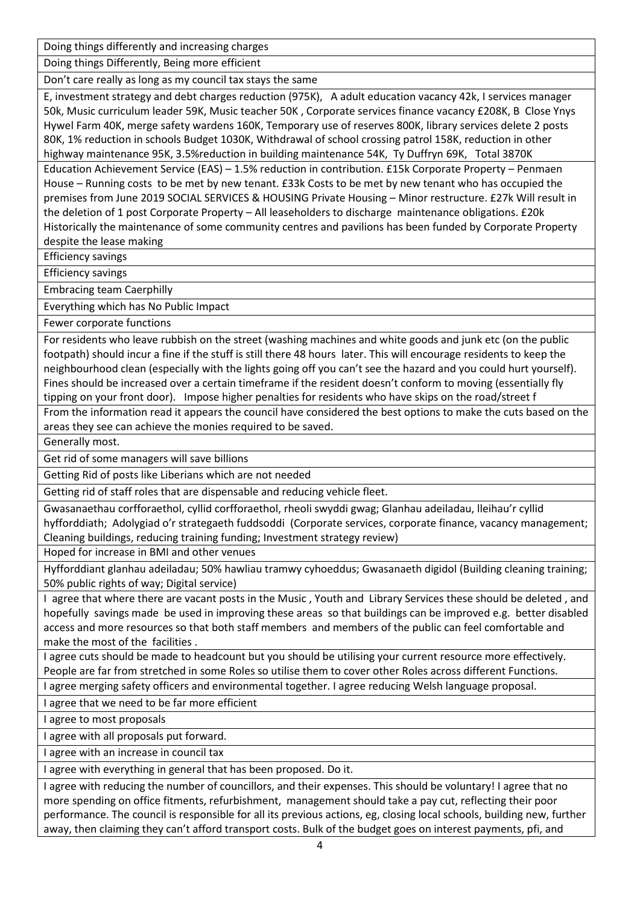Doing things differently and increasing charges

Doing things Differently, Being more efficient

Don't care really as long as my council tax stays the same

E, investment strategy and debt charges reduction (975K), A adult education vacancy 42k, I services manager 50k, Music curriculum leader 59K, Music teacher 50K , Corporate services finance vacancy £208K, B Close Ynys Hywel Farm 40K, merge safety wardens 160K, Temporary use of reserves 800K, library services delete 2 posts 80K, 1% reduction in schools Budget 1030K, Withdrawal of school crossing patrol 158K, reduction in other highway maintenance 95K, 3.5%reduction in building maintenance 54K, Ty Duffryn 69K, Total 3870K

Education Achievement Service (EAS) – 1.5% reduction in contribution. £15k Corporate Property – Penmaen House – Running costs to be met by new tenant. £33k Costs to be met by new tenant who has occupied the premises from June 2019 SOCIAL SERVICES & HOUSING Private Housing – Minor restructure. £27k Will result in the deletion of 1 post Corporate Property – All leaseholders to discharge maintenance obligations. £20k Historically the maintenance of some community centres and pavilions has been funded by Corporate Property despite the lease making

Efficiency savings

Efficiency savings

Embracing team Caerphilly

Everything which has No Public Impact

Fewer corporate functions

For residents who leave rubbish on the street (washing machines and white goods and junk etc (on the public footpath) should incur a fine if the stuff is still there 48 hours later. This will encourage residents to keep the neighbourhood clean (especially with the lights going off you can't see the hazard and you could hurt yourself). Fines should be increased over a certain timeframe if the resident doesn't conform to moving (essentially fly tipping on your front door). Impose higher penalties for residents who have skips on the road/street f

From the information read it appears the council have considered the best options to make the cuts based on the areas they see can achieve the monies required to be saved.

Generally most.

Get rid of some managers will save billions

Getting Rid of posts like Liberians which are not needed

Getting rid of staff roles that are dispensable and reducing vehicle fleet.

Gwasanaethau corfforaethol, cyllid corfforaethol, rheoli swyddi gwag; Glanhau adeiladau, lleihau'r cyllid hyfforddiath; Adolygiad o'r strategaeth fuddsoddi (Corporate services, corporate finance, vacancy management; Cleaning buildings, reducing training funding; Investment strategy review)

Hoped for increase in BMI and other venues

Hyfforddiant glanhau adeiladau; 50% hawliau tramwy cyhoeddus; Gwasanaeth digidol (Building cleaning training; 50% public rights of way; Digital service)

I agree that where there are vacant posts in the Music , Youth and Library Services these should be deleted , and hopefully savings made be used in improving these areas so that buildings can be improved e.g. better disabled access and more resources so that both staff members and members of the public can feel comfortable and make the most of the facilities .

I agree cuts should be made to headcount but you should be utilising your current resource more effectively. People are far from stretched in some Roles so utilise them to cover other Roles across different Functions.

I agree merging safety officers and environmental together. I agree reducing Welsh language proposal.

I agree that we need to be far more efficient

I agree to most proposals

I agree with all proposals put forward.

I agree with an increase in council tax

I agree with everything in general that has been proposed. Do it.

I agree with reducing the number of councillors, and their expenses. This should be voluntary! I agree that no more spending on office fitments, refurbishment, management should take a pay cut, reflecting their poor performance. The council is responsible for all its previous actions, eg, closing local schools, building new, further away, then claiming they can't afford transport costs. Bulk of the budget goes on interest payments, pfi, and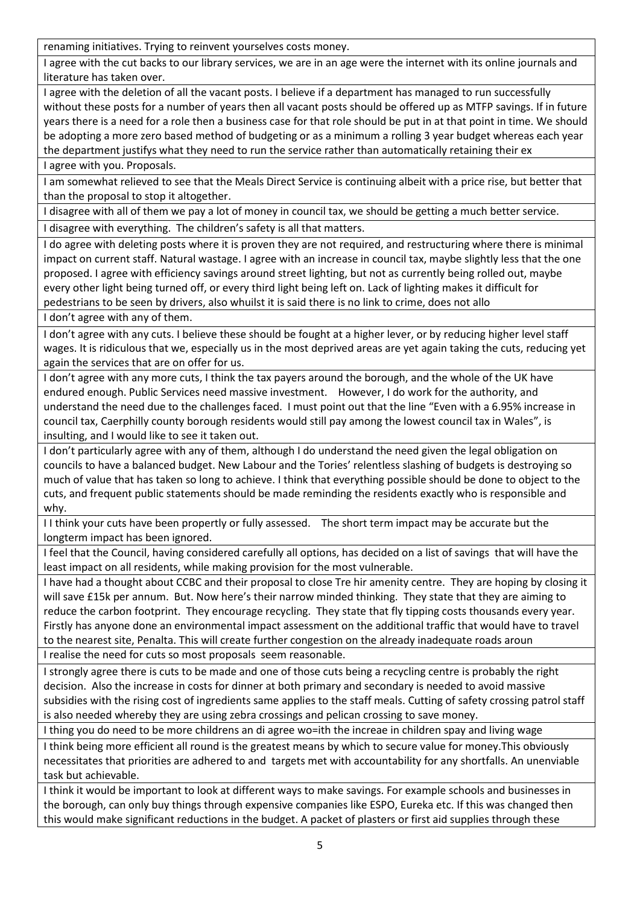renaming initiatives. Trying to reinvent yourselves costs money.

I agree with the cut backs to our library services, we are in an age were the internet with its online journals and literature has taken over.

I agree with the deletion of all the vacant posts. I believe if a department has managed to run successfully without these posts for a number of years then all vacant posts should be offered up as MTFP savings. If in future years there is a need for a role then a business case for that role should be put in at that point in time. We should be adopting a more zero based method of budgeting or as a minimum a rolling 3 year budget whereas each year the department justifys what they need to run the service rather than automatically retaining their ex

I agree with you. Proposals.

I am somewhat relieved to see that the Meals Direct Service is continuing albeit with a price rise, but better that than the proposal to stop it altogether.

I disagree with all of them we pay a lot of money in council tax, we should be getting a much better service. I disagree with everything. The children's safety is all that matters.

I do agree with deleting posts where it is proven they are not required, and restructuring where there is minimal impact on current staff. Natural wastage. I agree with an increase in council tax, maybe slightly less that the one proposed. I agree with efficiency savings around street lighting, but not as currently being rolled out, maybe every other light being turned off, or every third light being left on. Lack of lighting makes it difficult for pedestrians to be seen by drivers, also whuilst it is said there is no link to crime, does not allo

I don't agree with any of them.

I don't agree with any cuts. I believe these should be fought at a higher lever, or by reducing higher level staff wages. It is ridiculous that we, especially us in the most deprived areas are yet again taking the cuts, reducing yet again the services that are on offer for us.

I don't agree with any more cuts, I think the tax payers around the borough, and the whole of the UK have endured enough. Public Services need massive investment. However, I do work for the authority, and understand the need due to the challenges faced. I must point out that the line "Even with a 6.95% increase in council tax, Caerphilly county borough residents would still pay among the lowest council tax in Wales", is insulting, and I would like to see it taken out.

I don't particularly agree with any of them, although I do understand the need given the legal obligation on councils to have a balanced budget. New Labour and the Tories' relentless slashing of budgets is destroying so much of value that has taken so long to achieve. I think that everything possible should be done to object to the cuts, and frequent public statements should be made reminding the residents exactly who is responsible and why.

I I think your cuts have been propertly or fully assessed. The short term impact may be accurate but the longterm impact has been ignored.

I feel that the Council, having considered carefully all options, has decided on a list of savings that will have the least impact on all residents, while making provision for the most vulnerable.

I have had a thought about CCBC and their proposal to close Tre hir amenity centre. They are hoping by closing it will save £15k per annum. But. Now here's their narrow minded thinking. They state that they are aiming to reduce the carbon footprint. They encourage recycling. They state that fly tipping costs thousands every year. Firstly has anyone done an environmental impact assessment on the additional traffic that would have to travel to the nearest site, Penalta. This will create further congestion on the already inadequate roads aroun

I realise the need for cuts so most proposals seem reasonable.

I strongly agree there is cuts to be made and one of those cuts being a recycling centre is probably the right decision. Also the increase in costs for dinner at both primary and secondary is needed to avoid massive subsidies with the rising cost of ingredients same applies to the staff meals. Cutting of safety crossing patrol staff is also needed whereby they are using zebra crossings and pelican crossing to save money.

I thing you do need to be more childrens an di agree wo=ith the increae in children spay and living wage

I think being more efficient all round is the greatest means by which to secure value for money.This obviously necessitates that priorities are adhered to and targets met with accountability for any shortfalls. An unenviable task but achievable.

I think it would be important to look at different ways to make savings. For example schools and businesses in the borough, can only buy things through expensive companies like ESPO, Eureka etc. If this was changed then this would make significant reductions in the budget. A packet of plasters or first aid supplies through these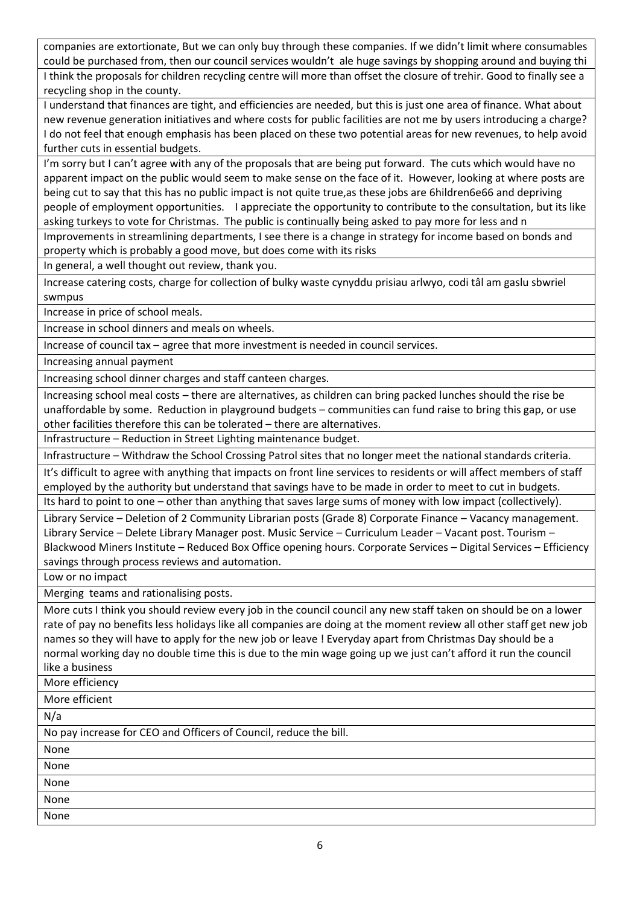companies are extortionate, But we can only buy through these companies. If we didn't limit where consumables could be purchased from, then our council services wouldn't ale huge savings by shopping around and buying thi I think the proposals for children recycling centre will more than offset the closure of trehir. Good to finally see a recycling shop in the county.

I understand that finances are tight, and efficiencies are needed, but this is just one area of finance. What about new revenue generation initiatives and where costs for public facilities are not me by users introducing a charge? I do not feel that enough emphasis has been placed on these two potential areas for new revenues, to help avoid further cuts in essential budgets.

I'm sorry but I can't agree with any of the proposals that are being put forward. The cuts which would have no apparent impact on the public would seem to make sense on the face of it. However, looking at where posts are being cut to say that this has no public impact is not quite true,as these jobs are 6hildren6e66 and depriving people of employment opportunities. I appreciate the opportunity to contribute to the consultation, but its like asking turkeys to vote for Christmas. The public is continually being asked to pay more for less and n

Improvements in streamlining departments, I see there is a change in strategy for income based on bonds and property which is probably a good move, but does come with its risks

In general, a well thought out review, thank you.

Increase catering costs, charge for collection of bulky waste cynyddu prisiau arlwyo, codi tâl am gaslu sbwriel swmpus

Increase in price of school meals.

Increase in school dinners and meals on wheels.

Increase of council tax – agree that more investment is needed in council services.

Increasing annual payment

Increasing school dinner charges and staff canteen charges.

Increasing school meal costs – there are alternatives, as children can bring packed lunches should the rise be unaffordable by some. Reduction in playground budgets – communities can fund raise to bring this gap, or use other facilities therefore this can be tolerated – there are alternatives.

Infrastructure – Reduction in Street Lighting maintenance budget.

Infrastructure – Withdraw the School Crossing Patrol sites that no longer meet the national standards criteria.

It's difficult to agree with anything that impacts on front line services to residents or will affect members of staff employed by the authority but understand that savings have to be made in order to meet to cut in budgets. Its hard to point to one – other than anything that saves large sums of money with low impact (collectively).

Library Service – Deletion of 2 Community Librarian posts (Grade 8) Corporate Finance – Vacancy management. Library Service – Delete Library Manager post. Music Service – Curriculum Leader – Vacant post. Tourism – Blackwood Miners Institute – Reduced Box Office opening hours. Corporate Services – Digital Services – Efficiency savings through process reviews and automation.

Low or no impact

Merging teams and rationalising posts.

More cuts I think you should review every job in the council council any new staff taken on should be on a lower rate of pay no benefits less holidays like all companies are doing at the moment review all other staff get new job names so they will have to apply for the new job or leave ! Everyday apart from Christmas Day should be a normal working day no double time this is due to the min wage going up we just can't afford it run the council like a business

More efficiency

More efficient

N/a

No pay increase for CEO and Officers of Council, reduce the bill.

None None

None

None

None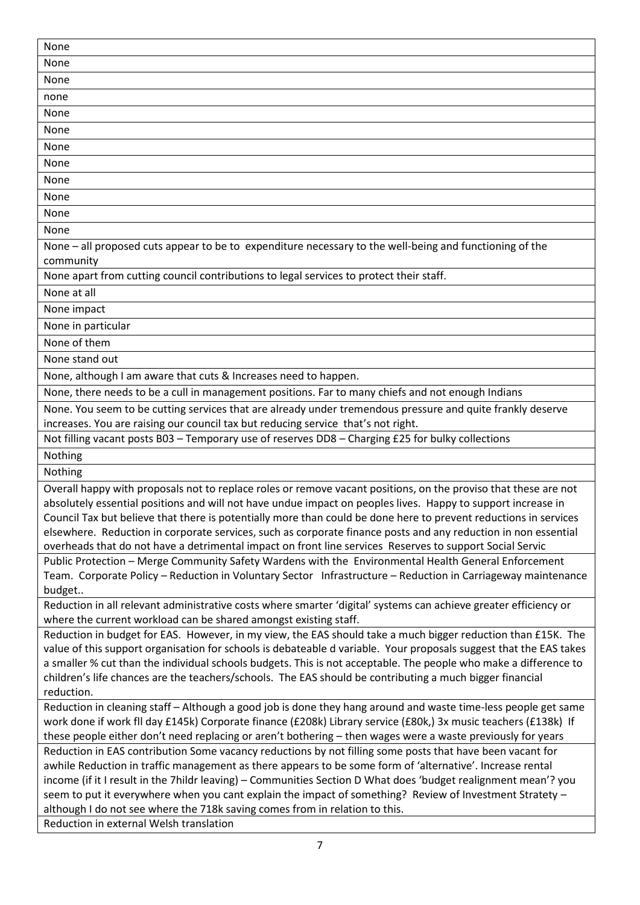| None                                                                                                                                                                                                                                   |
|----------------------------------------------------------------------------------------------------------------------------------------------------------------------------------------------------------------------------------------|
| None                                                                                                                                                                                                                                   |
| None                                                                                                                                                                                                                                   |
| none                                                                                                                                                                                                                                   |
| None                                                                                                                                                                                                                                   |
| None                                                                                                                                                                                                                                   |
| None                                                                                                                                                                                                                                   |
| None                                                                                                                                                                                                                                   |
|                                                                                                                                                                                                                                        |
| None                                                                                                                                                                                                                                   |
| None                                                                                                                                                                                                                                   |
| None                                                                                                                                                                                                                                   |
| None                                                                                                                                                                                                                                   |
| None - all proposed cuts appear to be to expenditure necessary to the well-being and functioning of the                                                                                                                                |
| community                                                                                                                                                                                                                              |
| None apart from cutting council contributions to legal services to protect their staff.                                                                                                                                                |
| None at all                                                                                                                                                                                                                            |
| None impact                                                                                                                                                                                                                            |
| None in particular                                                                                                                                                                                                                     |
| None of them                                                                                                                                                                                                                           |
| None stand out                                                                                                                                                                                                                         |
| None, although I am aware that cuts & Increases need to happen.                                                                                                                                                                        |
| None, there needs to be a cull in management positions. Far to many chiefs and not enough Indians                                                                                                                                      |
| None. You seem to be cutting services that are already under tremendous pressure and quite frankly deserve                                                                                                                             |
| increases. You are raising our council tax but reducing service that's not right.                                                                                                                                                      |
| Not filling vacant posts B03 - Temporary use of reserves DD8 - Charging £25 for bulky collections                                                                                                                                      |
| Nothing                                                                                                                                                                                                                                |
| Nothing                                                                                                                                                                                                                                |
| Overall happy with proposals not to replace roles or remove vacant positions, on the proviso that these are not                                                                                                                        |
| absolutely essential positions and will not have undue impact on peoples lives. Happy to support increase in                                                                                                                           |
| Council Tax but believe that there is potentially more than could be done here to prevent reductions in services                                                                                                                       |
| elsewhere. Reduction in corporate services, such as corporate finance posts and any reduction in non essential                                                                                                                         |
| overheads that do not have a detrimental impact on front line services Reserves to support Social Servic                                                                                                                               |
| Public Protection - Merge Community Safety Wardens with the Environmental Health General Enforcement                                                                                                                                   |
| Team. Corporate Policy - Reduction in Voluntary Sector Infrastructure - Reduction in Carriageway maintenance                                                                                                                           |
| budget                                                                                                                                                                                                                                 |
| Reduction in all relevant administrative costs where smarter 'digital' systems can achieve greater efficiency or                                                                                                                       |
| where the current workload can be shared amongst existing staff.                                                                                                                                                                       |
| Reduction in budget for EAS. However, in my view, the EAS should take a much bigger reduction than £15K. The                                                                                                                           |
| value of this support organisation for schools is debateable d variable. Your proposals suggest that the EAS takes<br>a smaller % cut than the individual schools budgets. This is not acceptable. The people who make a difference to |
| children's life chances are the teachers/schools. The EAS should be contributing a much bigger financial                                                                                                                               |
| reduction.                                                                                                                                                                                                                             |
| Reduction in cleaning staff - Although a good job is done they hang around and waste time-less people get same                                                                                                                         |
| work done if work fll day £145k) Corporate finance (£208k) Library service (£80k,) 3x music teachers (£138k) If                                                                                                                        |
| these people either don't need replacing or aren't bothering - then wages were a waste previously for years                                                                                                                            |
| Reduction in EAS contribution Some vacancy reductions by not filling some posts that have been vacant for                                                                                                                              |
| awhile Reduction in traffic management as there appears to be some form of 'alternative'. Increase rental                                                                                                                              |
| income (if it I result in the 7hildr leaving) - Communities Section D What does 'budget realignment mean'? you                                                                                                                         |
| seem to put it everywhere when you cant explain the impact of something? Review of Investment Stratety -                                                                                                                               |
| although I do not see where the 718k saving comes from in relation to this.                                                                                                                                                            |
| Reduction in external Welsh translation                                                                                                                                                                                                |
|                                                                                                                                                                                                                                        |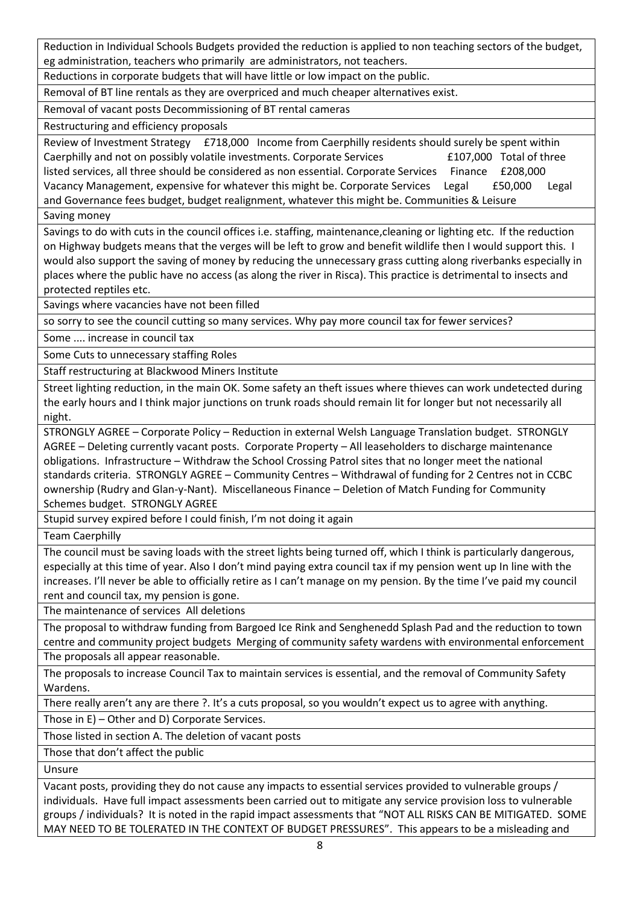Reduction in Individual Schools Budgets provided the reduction is applied to non teaching sectors of the budget, eg administration, teachers who primarily are administrators, not teachers.

Reductions in corporate budgets that will have little or low impact on the public.

Removal of BT line rentals as they are overpriced and much cheaper alternatives exist.

Removal of vacant posts Decommissioning of BT rental cameras

Restructuring and efficiency proposals

Review of Investment Strategy £718,000 Income from Caerphilly residents should surely be spent within Caerphilly and not on possibly volatile investments. Corporate Services E107,000 Total of three listed services, all three should be considered as non essential. Corporate Services Finance £208,000 Vacancy Management, expensive for whatever this might be. Corporate Services Legal £50,000 Legal and Governance fees budget, budget realignment, whatever this might be. Communities & Leisure

Saving money

Savings to do with cuts in the council offices i.e. staffing, maintenance,cleaning or lighting etc. If the reduction on Highway budgets means that the verges will be left to grow and benefit wildlife then I would support this. I would also support the saving of money by reducing the unnecessary grass cutting along riverbanks especially in places where the public have no access (as along the river in Risca). This practice is detrimental to insects and protected reptiles etc.

Savings where vacancies have not been filled

so sorry to see the council cutting so many services. Why pay more council tax for fewer services?

Some .... increase in council tax

Some Cuts to unnecessary staffing Roles

Staff restructuring at Blackwood Miners Institute

Street lighting reduction, in the main OK. Some safety an theft issues where thieves can work undetected during the early hours and I think major junctions on trunk roads should remain lit for longer but not necessarily all night.

STRONGLY AGREE – Corporate Policy – Reduction in external Welsh Language Translation budget. STRONGLY AGREE – Deleting currently vacant posts. Corporate Property – All leaseholders to discharge maintenance obligations. Infrastructure – Withdraw the School Crossing Patrol sites that no longer meet the national standards criteria. STRONGLY AGREE – Community Centres – Withdrawal of funding for 2 Centres not in CCBC ownership (Rudry and Glan-y-Nant). Miscellaneous Finance – Deletion of Match Funding for Community Schemes budget. STRONGLY AGREE

Stupid survey expired before I could finish, I'm not doing it again

Team Caerphilly

The council must be saving loads with the street lights being turned off, which I think is particularly dangerous, especially at this time of year. Also I don't mind paying extra council tax if my pension went up In line with the increases. I'll never be able to officially retire as I can't manage on my pension. By the time I've paid my council rent and council tax, my pension is gone.

The maintenance of services All deletions

The proposal to withdraw funding from Bargoed Ice Rink and Senghenedd Splash Pad and the reduction to town centre and community project budgets Merging of community safety wardens with environmental enforcement

The proposals all appear reasonable.

The proposals to increase Council Tax to maintain services is essential, and the removal of Community Safety Wardens.

There really aren't any are there ?. It's a cuts proposal, so you wouldn't expect us to agree with anything.

Those in E) – Other and D) Corporate Services.

Those listed in section A. The deletion of vacant posts

Those that don't affect the public

Unsure

Vacant posts, providing they do not cause any impacts to essential services provided to vulnerable groups / individuals. Have full impact assessments been carried out to mitigate any service provision loss to vulnerable groups / individuals? It is noted in the rapid impact assessments that "NOT ALL RISKS CAN BE MITIGATED. SOME MAY NEED TO BE TOLERATED IN THE CONTEXT OF BUDGET PRESSURES". This appears to be a misleading and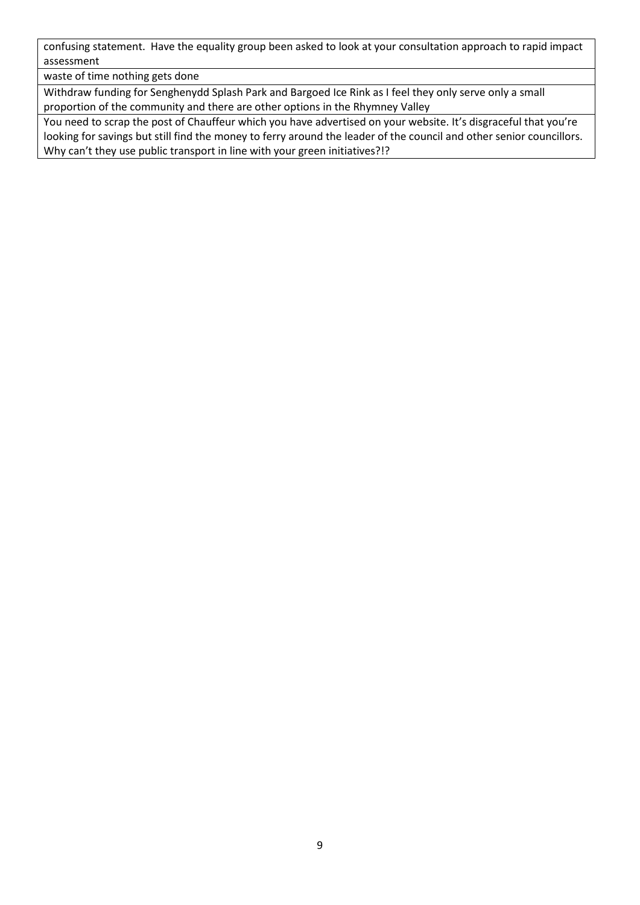confusing statement. Have the equality group been asked to look at your consultation approach to rapid impact assessment

waste of time nothing gets done

Withdraw funding for Senghenydd Splash Park and Bargoed Ice Rink as I feel they only serve only a small proportion of the community and there are other options in the Rhymney Valley

You need to scrap the post of Chauffeur which you have advertised on your website. It's disgraceful that you're looking for savings but still find the money to ferry around the leader of the council and other senior councillors. Why can't they use public transport in line with your green initiatives?!?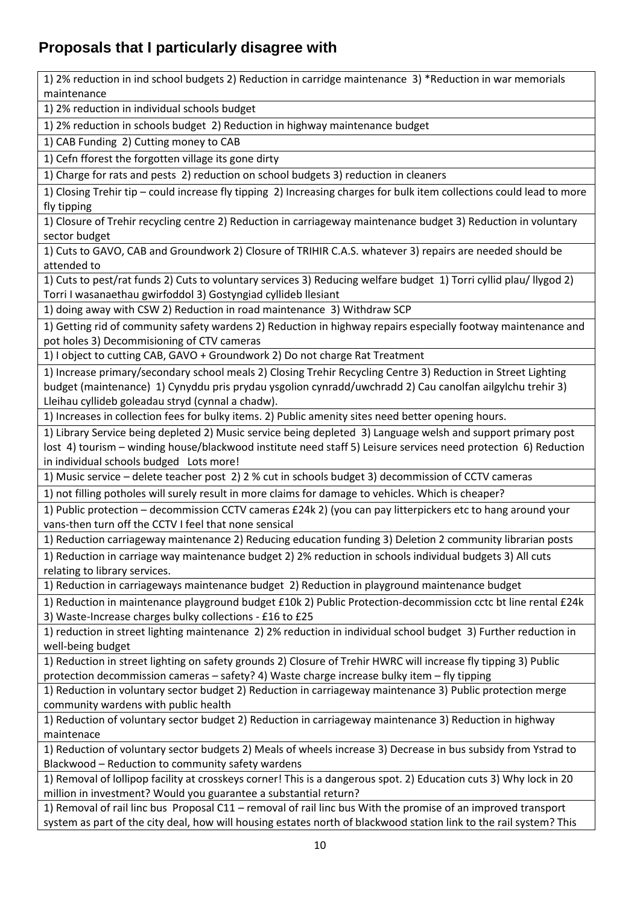## <span id="page-9-0"></span>**Proposals that I particularly disagree with**

1) 2% reduction in ind school budgets 2) Reduction in carridge maintenance 3) \*Reduction in war memorials maintenance 1) 2% reduction in individual schools budget 1) 2% reduction in schools budget 2) Reduction in highway maintenance budget 1) CAB Funding 2) Cutting money to CAB 1) Cefn fforest the forgotten village its gone dirty 1) Charge for rats and pests 2) reduction on school budgets 3) reduction in cleaners 1) Closing Trehir tip – could increase fly tipping 2) Increasing charges for bulk item collections could lead to more fly tipping 1) Closure of Trehir recycling centre 2) Reduction in carriageway maintenance budget 3) Reduction in voluntary sector budget 1) Cuts to GAVO, CAB and Groundwork 2) Closure of TRIHIR C.A.S. whatever 3) repairs are needed should be attended to 1) Cuts to pest/rat funds 2) Cuts to voluntary services 3) Reducing welfare budget 1) Torri cyllid plau/ llygod 2) Torri I wasanaethau gwirfoddol 3) Gostyngiad cyllideb llesiant 1) doing away with CSW 2) Reduction in road maintenance 3) Withdraw SCP 1) Getting rid of community safety wardens 2) Reduction in highway repairs especially footway maintenance and pot holes 3) Decommisioning of CTV cameras 1) I object to cutting CAB, GAVO + Groundwork 2) Do not charge Rat Treatment 1) Increase primary/secondary school meals 2) Closing Trehir Recycling Centre 3) Reduction in Street Lighting budget (maintenance) 1) Cynyddu pris prydau ysgolion cynradd/uwchradd 2) Cau canolfan ailgylchu trehir 3) Lleihau cyllideb goleadau stryd (cynnal a chadw). 1) Increases in collection fees for bulky items. 2) Public amenity sites need better opening hours. 1) Library Service being depleted 2) Music service being depleted 3) Language welsh and support primary post lost 4) tourism – winding house/blackwood institute need staff 5) Leisure services need protection 6) Reduction in individual schools budged Lots more! 1) Music service – delete teacher post 2) 2 % cut in schools budget 3) decommission of CCTV cameras 1) not filling potholes will surely result in more claims for damage to vehicles. Which is cheaper? 1) Public protection – decommission CCTV cameras £24k 2) (you can pay litterpickers etc to hang around your vans-then turn off the CCTV I feel that none sensical 1) Reduction carriageway maintenance 2) Reducing education funding 3) Deletion 2 community librarian posts 1) Reduction in carriage way maintenance budget 2) 2% reduction in schools individual budgets 3) All cuts relating to library services. 1) Reduction in carriageways maintenance budget 2) Reduction in playground maintenance budget 1) Reduction in maintenance playground budget £10k 2) Public Protection-decommission cctc bt line rental £24k 3) Waste-Increase charges bulky collections - £16 to £25 1) reduction in street lighting maintenance 2) 2% reduction in individual school budget 3) Further reduction in well-being budget 1) Reduction in street lighting on safety grounds 2) Closure of Trehir HWRC will increase fly tipping 3) Public protection decommission cameras – safety? 4) Waste charge increase bulky item – fly tipping 1) Reduction in voluntary sector budget 2) Reduction in carriageway maintenance 3) Public protection merge community wardens with public health 1) Reduction of voluntary sector budget 2) Reduction in carriageway maintenance 3) Reduction in highway maintenace 1) Reduction of voluntary sector budgets 2) Meals of wheels increase 3) Decrease in bus subsidy from Ystrad to Blackwood – Reduction to community safety wardens 1) Removal of lollipop facility at crosskeys corner! This is a dangerous spot. 2) Education cuts 3) Why lock in 20 million in investment? Would you guarantee a substantial return?

1) Removal of rail linc bus Proposal C11 – removal of rail linc bus With the promise of an improved transport system as part of the city deal, how will housing estates north of blackwood station link to the rail system? This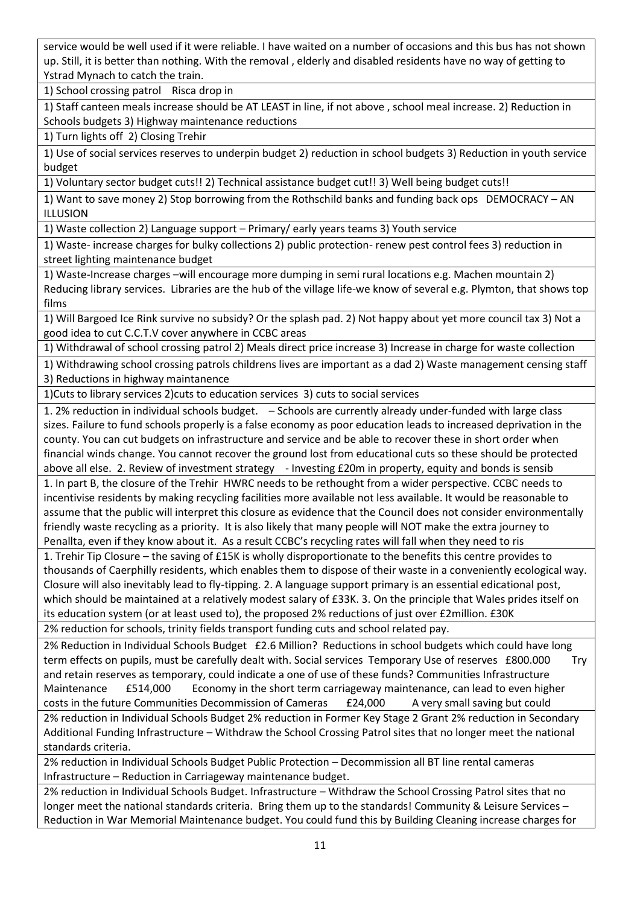service would be well used if it were reliable. I have waited on a number of occasions and this bus has not shown up. Still, it is better than nothing. With the removal , elderly and disabled residents have no way of getting to Ystrad Mynach to catch the train.

1) School crossing patrol Risca drop in

1) Staff canteen meals increase should be AT LEAST in line, if not above , school meal increase. 2) Reduction in Schools budgets 3) Highway maintenance reductions

1) Turn lights off 2) Closing Trehir

1) Use of social services reserves to underpin budget 2) reduction in school budgets 3) Reduction in youth service budget

1) Voluntary sector budget cuts!! 2) Technical assistance budget cut!! 3) Well being budget cuts!!

1) Want to save money 2) Stop borrowing from the Rothschild banks and funding back ops DEMOCRACY – AN ILLUSION

1) Waste collection 2) Language support – Primary/ early years teams 3) Youth service

1) Waste- increase charges for bulky collections 2) public protection- renew pest control fees 3) reduction in street lighting maintenance budget

1) Waste-Increase charges –will encourage more dumping in semi rural locations e.g. Machen mountain 2) Reducing library services. Libraries are the hub of the village life-we know of several e.g. Plymton, that shows top films

1) Will Bargoed Ice Rink survive no subsidy? Or the splash pad. 2) Not happy about yet more council tax 3) Not a good idea to cut C.C.T.V cover anywhere in CCBC areas

1) Withdrawal of school crossing patrol 2) Meals direct price increase 3) Increase in charge for waste collection

1) Withdrawing school crossing patrols childrens lives are important as a dad 2) Waste management censing staff 3) Reductions in highway maintanence

1)Cuts to library services 2)cuts to education services 3) cuts to social services

1. 2% reduction in individual schools budget. – Schools are currently already under-funded with large class sizes. Failure to fund schools properly is a false economy as poor education leads to increased deprivation in the county. You can cut budgets on infrastructure and service and be able to recover these in short order when financial winds change. You cannot recover the ground lost from educational cuts so these should be protected above all else. 2. Review of investment strategy - Investing £20m in property, equity and bonds is sensib 1. In part B, the closure of the Trehir HWRC needs to be rethought from a wider perspective. CCBC needs to

incentivise residents by making recycling facilities more available not less available. It would be reasonable to assume that the public will interpret this closure as evidence that the Council does not consider environmentally friendly waste recycling as a priority. It is also likely that many people will NOT make the extra journey to Penallta, even if they know about it. As a result CCBC's recycling rates will fall when they need to ris

1. Trehir Tip Closure – the saving of £15K is wholly disproportionate to the benefits this centre provides to thousands of Caerphilly residents, which enables them to dispose of their waste in a conveniently ecological way. Closure will also inevitably lead to fly-tipping. 2. A language support primary is an essential edicational post, which should be maintained at a relatively modest salary of £33K. 3. On the principle that Wales prides itself on its education system (or at least used to), the proposed 2% reductions of just over £2million. £30K 2% reduction for schools, trinity fields transport funding cuts and school related pay.

2% Reduction in Individual Schools Budget £2.6 Million? Reductions in school budgets which could have long term effects on pupils, must be carefully dealt with. Social services Temporary Use of reserves £800.000 Try and retain reserves as temporary, could indicate a one of use of these funds? Communities Infrastructure Maintenance £514,000 Economy in the short term carriageway maintenance, can lead to even higher costs in the future Communities Decommission of Cameras E24,000 A very small saving but could 2% reduction in Individual Schools Budget 2% reduction in Former Key Stage 2 Grant 2% reduction in Secondary

Additional Funding Infrastructure – Withdraw the School Crossing Patrol sites that no longer meet the national standards criteria.

2% reduction in Individual Schools Budget Public Protection – Decommission all BT line rental cameras Infrastructure – Reduction in Carriageway maintenance budget.

2% reduction in Individual Schools Budget. Infrastructure – Withdraw the School Crossing Patrol sites that no longer meet the national standards criteria. Bring them up to the standards! Community & Leisure Services -Reduction in War Memorial Maintenance budget. You could fund this by Building Cleaning increase charges for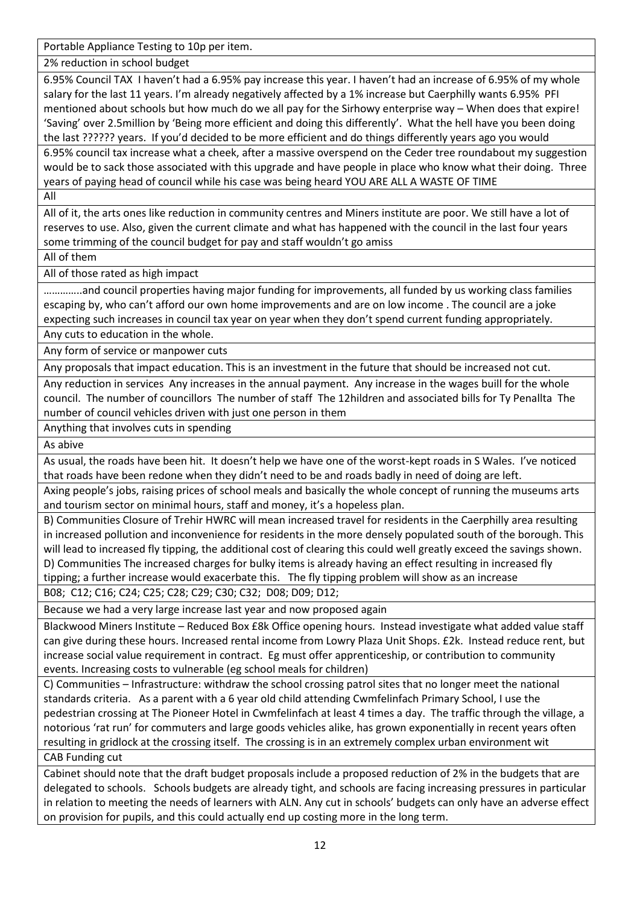Portable Appliance Testing to 10p per item.

2% reduction in school budget

6.95% Council TAX I haven't had a 6.95% pay increase this year. I haven't had an increase of 6.95% of my whole salary for the last 11 years. I'm already negatively affected by a 1% increase but Caerphilly wants 6.95% PFI mentioned about schools but how much do we all pay for the Sirhowy enterprise way – When does that expire! 'Saving' over 2.5million by 'Being more efficient and doing this differently'. What the hell have you been doing the last ?????? years. If you'd decided to be more efficient and do things differently years ago you would 6.95% council tax increase what a cheek, after a massive overspend on the Ceder tree roundabout my suggestion would be to sack those associated with this upgrade and have people in place who know what their doing. Three

years of paying head of council while his case was being heard YOU ARE ALL A WASTE OF TIME

All

All of it, the arts ones like reduction in community centres and Miners institute are poor. We still have a lot of reserves to use. Also, given the current climate and what has happened with the council in the last four years some trimming of the council budget for pay and staff wouldn't go amiss

All of them

All of those rated as high impact

…………..and council properties having major funding for improvements, all funded by us working class families escaping by, who can't afford our own home improvements and are on low income . The council are a joke expecting such increases in council tax year on year when they don't spend current funding appropriately.

Any cuts to education in the whole.

Any form of service or manpower cuts

Any proposals that impact education. This is an investment in the future that should be increased not cut.

Any reduction in services Any increases in the annual payment. Any increase in the wages buill for the whole council. The number of councillors The number of staff The 12hildren and associated bills for Ty Penallta The number of council vehicles driven with just one person in them

Anything that involves cuts in spending

As abive

As usual, the roads have been hit. It doesn't help we have one of the worst-kept roads in S Wales. I've noticed that roads have been redone when they didn't need to be and roads badly in need of doing are left.

Axing people's jobs, raising prices of school meals and basically the whole concept of running the museums arts and tourism sector on minimal hours, staff and money, it's a hopeless plan.

B) Communities Closure of Trehir HWRC will mean increased travel for residents in the Caerphilly area resulting in increased pollution and inconvenience for residents in the more densely populated south of the borough. This will lead to increased fly tipping, the additional cost of clearing this could well greatly exceed the savings shown. D) Communities The increased charges for bulky items is already having an effect resulting in increased fly tipping; a further increase would exacerbate this. The fly tipping problem will show as an increase

B08; C12; C16; C24; C25; C28; C29; C30; C32; D08; D09; D12;

Because we had a very large increase last year and now proposed again

Blackwood Miners Institute – Reduced Box £8k Office opening hours. Instead investigate what added value staff can give during these hours. Increased rental income from Lowry Plaza Unit Shops. £2k. Instead reduce rent, but increase social value requirement in contract. Eg must offer apprenticeship, or contribution to community events. Increasing costs to vulnerable (eg school meals for children)

C) Communities – Infrastructure: withdraw the school crossing patrol sites that no longer meet the national standards criteria. As a parent with a 6 year old child attending Cwmfelinfach Primary School, I use the pedestrian crossing at The Pioneer Hotel in Cwmfelinfach at least 4 times a day. The traffic through the village, a notorious 'rat run' for commuters and large goods vehicles alike, has grown exponentially in recent years often resulting in gridlock at the crossing itself. The crossing is in an extremely complex urban environment wit CAB Funding cut

Cabinet should note that the draft budget proposals include a proposed reduction of 2% in the budgets that are delegated to schools. Schools budgets are already tight, and schools are facing increasing pressures in particular in relation to meeting the needs of learners with ALN. Any cut in schools' budgets can only have an adverse effect on provision for pupils, and this could actually end up costing more in the long term.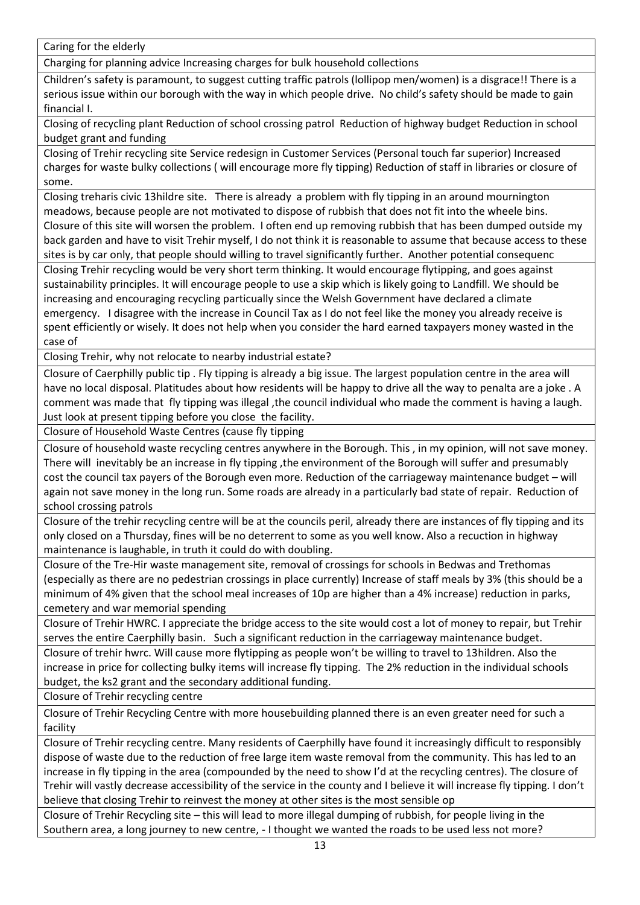Caring for the elderly

Charging for planning advice Increasing charges for bulk household collections

Children's safety is paramount, to suggest cutting traffic patrols (lollipop men/women) is a disgrace!! There is a serious issue within our borough with the way in which people drive. No child's safety should be made to gain financial I.

Closing of recycling plant Reduction of school crossing patrol Reduction of highway budget Reduction in school budget grant and funding

Closing of Trehir recycling site Service redesign in Customer Services (Personal touch far superior) Increased charges for waste bulky collections ( will encourage more fly tipping) Reduction of staff in libraries or closure of some.

Closing treharis civic 13hildre site. There is already a problem with fly tipping in an around mournington meadows, because people are not motivated to dispose of rubbish that does not fit into the wheele bins. Closure of this site will worsen the problem. I often end up removing rubbish that has been dumped outside my back garden and have to visit Trehir myself, I do not think it is reasonable to assume that because access to these sites is by car only, that people should willing to travel significantly further. Another potential consequenc Closing Trehir recycling would be very short term thinking. It would encourage flytipping, and goes against sustainability principles. It will encourage people to use a skip which is likely going to Landfill. We should be

increasing and encouraging recycling particually since the Welsh Government have declared a climate emergency. I disagree with the increase in Council Tax as I do not feel like the money you already receive is spent efficiently or wisely. It does not help when you consider the hard earned taxpayers money wasted in the case of

Closing Trehir, why not relocate to nearby industrial estate?

Closure of Caerphilly public tip . Fly tipping is already a big issue. The largest population centre in the area will have no local disposal. Platitudes about how residents will be happy to drive all the way to penalta are a joke . A comment was made that fly tipping was illegal ,the council individual who made the comment is having a laugh. Just look at present tipping before you close the facility.

Closure of Household Waste Centres (cause fly tipping

Closure of household waste recycling centres anywhere in the Borough. This , in my opinion, will not save money. There will inevitably be an increase in fly tipping ,the environment of the Borough will suffer and presumably cost the council tax payers of the Borough even more. Reduction of the carriageway maintenance budget – will again not save money in the long run. Some roads are already in a particularly bad state of repair. Reduction of school crossing patrols

Closure of the trehir recycling centre will be at the councils peril, already there are instances of fly tipping and its only closed on a Thursday, fines will be no deterrent to some as you well know. Also a recuction in highway maintenance is laughable, in truth it could do with doubling.

Closure of the Tre-Hir waste management site, removal of crossings for schools in Bedwas and Trethomas (especially as there are no pedestrian crossings in place currently) Increase of staff meals by 3% (this should be a minimum of 4% given that the school meal increases of 10p are higher than a 4% increase) reduction in parks, cemetery and war memorial spending

Closure of Trehir HWRC. I appreciate the bridge access to the site would cost a lot of money to repair, but Trehir serves the entire Caerphilly basin. Such a significant reduction in the carriageway maintenance budget.

Closure of trehir hwrc. Will cause more flytipping as people won't be willing to travel to 13hildren. Also the increase in price for collecting bulky items will increase fly tipping. The 2% reduction in the individual schools budget, the ks2 grant and the secondary additional funding.

Closure of Trehir recycling centre

Closure of Trehir Recycling Centre with more housebuilding planned there is an even greater need for such a facility

Closure of Trehir recycling centre. Many residents of Caerphilly have found it increasingly difficult to responsibly dispose of waste due to the reduction of free large item waste removal from the community. This has led to an increase in fly tipping in the area (compounded by the need to show I'd at the recycling centres). The closure of Trehir will vastly decrease accessibility of the service in the county and I believe it will increase fly tipping. I don't believe that closing Trehir to reinvest the money at other sites is the most sensible op

Closure of Trehir Recycling site – this will lead to more illegal dumping of rubbish, for people living in the Southern area, a long journey to new centre, - I thought we wanted the roads to be used less not more?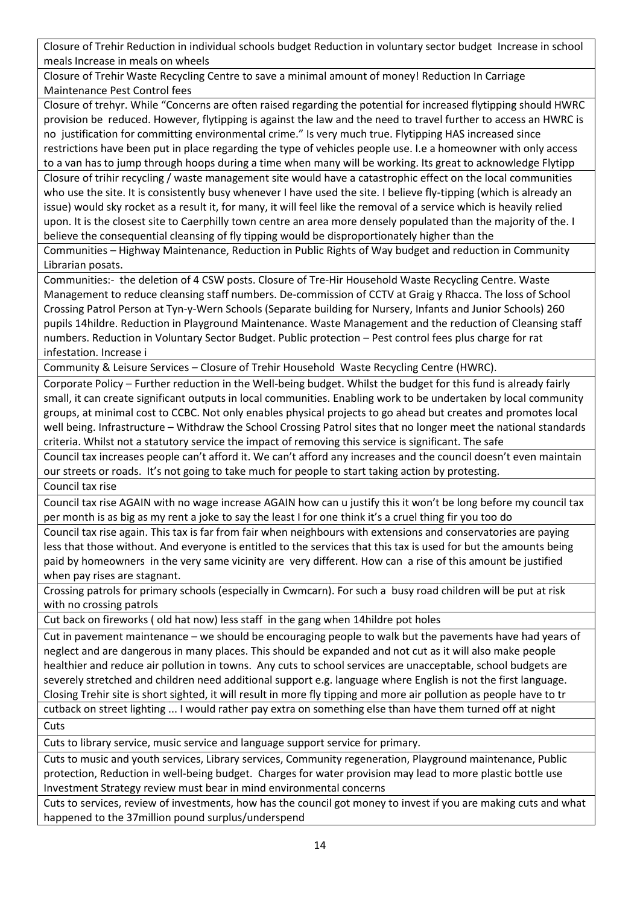Closure of Trehir Reduction in individual schools budget Reduction in voluntary sector budget Increase in school meals Increase in meals on wheels

Closure of Trehir Waste Recycling Centre to save a minimal amount of money! Reduction In Carriage Maintenance Pest Control fees

Closure of trehyr. While "Concerns are often raised regarding the potential for increased flytipping should HWRC provision be reduced. However, flytipping is against the law and the need to travel further to access an HWRC is no justification for committing environmental crime." Is very much true. Flytipping HAS increased since restrictions have been put in place regarding the type of vehicles people use. I.e a homeowner with only access to a van has to jump through hoops during a time when many will be working. Its great to acknowledge Flytipp Closure of trihir recycling / waste management site would have a catastrophic effect on the local communities who use the site. It is consistently busy whenever I have used the site. I believe fly-tipping (which is already an issue) would sky rocket as a result it, for many, it will feel like the removal of a service which is heavily relied

upon. It is the closest site to Caerphilly town centre an area more densely populated than the majority of the. I believe the consequential cleansing of fly tipping would be disproportionately higher than the

Communities – Highway Maintenance, Reduction in Public Rights of Way budget and reduction in Community Librarian posats.

Communities:- the deletion of 4 CSW posts. Closure of Tre-Hir Household Waste Recycling Centre. Waste Management to reduce cleansing staff numbers. De-commission of CCTV at Graig y Rhacca. The loss of School Crossing Patrol Person at Tyn-y-Wern Schools (Separate building for Nursery, Infants and Junior Schools) 260 pupils 14hildre. Reduction in Playground Maintenance. Waste Management and the reduction of Cleansing staff numbers. Reduction in Voluntary Sector Budget. Public protection – Pest control fees plus charge for rat infestation. Increase i

Community & Leisure Services – Closure of Trehir Household Waste Recycling Centre (HWRC).

Corporate Policy – Further reduction in the Well-being budget. Whilst the budget for this fund is already fairly small, it can create significant outputs in local communities. Enabling work to be undertaken by local community groups, at minimal cost to CCBC. Not only enables physical projects to go ahead but creates and promotes local well being. Infrastructure – Withdraw the School Crossing Patrol sites that no longer meet the national standards criteria. Whilst not a statutory service the impact of removing this service is significant. The safe

Council tax increases people can't afford it. We can't afford any increases and the council doesn't even maintain our streets or roads. It's not going to take much for people to start taking action by protesting.

Council tax rise

Council tax rise AGAIN with no wage increase AGAIN how can u justify this it won't be long before my council tax per month is as big as my rent a joke to say the least I for one think it's a cruel thing fir you too do

Council tax rise again. This tax is far from fair when neighbours with extensions and conservatories are paying less that those without. And everyone is entitled to the services that this tax is used for but the amounts being paid by homeowners in the very same vicinity are very different. How can a rise of this amount be justified when pay rises are stagnant.

Crossing patrols for primary schools (especially in Cwmcarn). For such a busy road children will be put at risk with no crossing patrols

Cut back on fireworks ( old hat now) less staff in the gang when 14hildre pot holes

Cut in pavement maintenance – we should be encouraging people to walk but the pavements have had years of neglect and are dangerous in many places. This should be expanded and not cut as it will also make people healthier and reduce air pollution in towns. Any cuts to school services are unacceptable, school budgets are severely stretched and children need additional support e.g. language where English is not the first language. Closing Trehir site is short sighted, it will result in more fly tipping and more air pollution as people have to tr cutback on street lighting ... I would rather pay extra on something else than have them turned off at night

**Cuts** 

Cuts to library service, music service and language support service for primary.

Cuts to music and youth services, Library services, Community regeneration, Playground maintenance, Public protection, Reduction in well-being budget. Charges for water provision may lead to more plastic bottle use Investment Strategy review must bear in mind environmental concerns

Cuts to services, review of investments, how has the council got money to invest if you are making cuts and what happened to the 37million pound surplus/underspend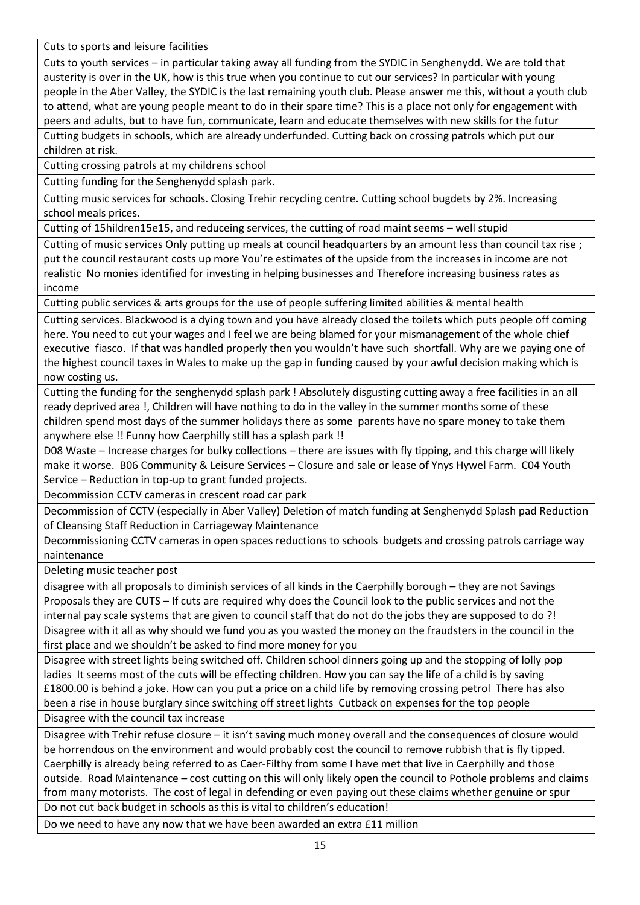Cuts to sports and leisure facilities

Cuts to youth services – in particular taking away all funding from the SYDIC in Senghenydd. We are told that austerity is over in the UK, how is this true when you continue to cut our services? In particular with young people in the Aber Valley, the SYDIC is the last remaining youth club. Please answer me this, without a youth club to attend, what are young people meant to do in their spare time? This is a place not only for engagement with peers and adults, but to have fun, communicate, learn and educate themselves with new skills for the futur Cutting budgets in schools, which are already underfunded. Cutting back on crossing patrols which put our children at risk.

Cutting crossing patrols at my childrens school

Cutting funding for the Senghenydd splash park.

Cutting music services for schools. Closing Trehir recycling centre. Cutting school bugdets by 2%. Increasing school meals prices.

Cutting of 15hildren15e15, and reduceing services, the cutting of road maint seems – well stupid

Cutting of music services Only putting up meals at council headquarters by an amount less than council tax rise ; put the council restaurant costs up more You're estimates of the upside from the increases in income are not realistic No monies identified for investing in helping businesses and Therefore increasing business rates as income

Cutting public services & arts groups for the use of people suffering limited abilities & mental health

Cutting services. Blackwood is a dying town and you have already closed the toilets which puts people off coming here. You need to cut your wages and I feel we are being blamed for your mismanagement of the whole chief executive fiasco. If that was handled properly then you wouldn't have such shortfall. Why are we paying one of the highest council taxes in Wales to make up the gap in funding caused by your awful decision making which is now costing us.

Cutting the funding for the senghenydd splash park ! Absolutely disgusting cutting away a free facilities in an all ready deprived area !, Children will have nothing to do in the valley in the summer months some of these children spend most days of the summer holidays there as some parents have no spare money to take them anywhere else !! Funny how Caerphilly still has a splash park !!

D08 Waste – Increase charges for bulky collections – there are issues with fly tipping, and this charge will likely make it worse. B06 Community & Leisure Services – Closure and sale or lease of Ynys Hywel Farm. C04 Youth Service – Reduction in top-up to grant funded projects.

Decommission CCTV cameras in crescent road car park

Decommission of CCTV (especially in Aber Valley) Deletion of match funding at Senghenydd Splash pad Reduction of Cleansing Staff Reduction in Carriageway Maintenance

Decommissioning CCTV cameras in open spaces reductions to schools budgets and crossing patrols carriage way naintenance

Deleting music teacher post

disagree with all proposals to diminish services of all kinds in the Caerphilly borough – they are not Savings Proposals they are CUTS – If cuts are required why does the Council look to the public services and not the internal pay scale systems that are given to council staff that do not do the jobs they are supposed to do ?! Disagree with it all as why should we fund you as you wasted the money on the fraudsters in the council in the first place and we shouldn't be asked to find more money for you

Disagree with street lights being switched off. Children school dinners going up and the stopping of lolly pop ladies It seems most of the cuts will be effecting children. How you can say the life of a child is by saving £1800.00 is behind a joke. How can you put a price on a child life by removing crossing petrol There has also been a rise in house burglary since switching off street lights Cutback on expenses for the top people Disagree with the council tax increase

Disagree with Trehir refuse closure – it isn't saving much money overall and the consequences of closure would be horrendous on the environment and would probably cost the council to remove rubbish that is fly tipped. Caerphilly is already being referred to as Caer-Filthy from some I have met that live in Caerphilly and those outside. Road Maintenance – cost cutting on this will only likely open the council to Pothole problems and claims from many motorists. The cost of legal in defending or even paying out these claims whether genuine or spur Do not cut back budget in schools as this is vital to children's education!

Do we need to have any now that we have been awarded an extra £11 million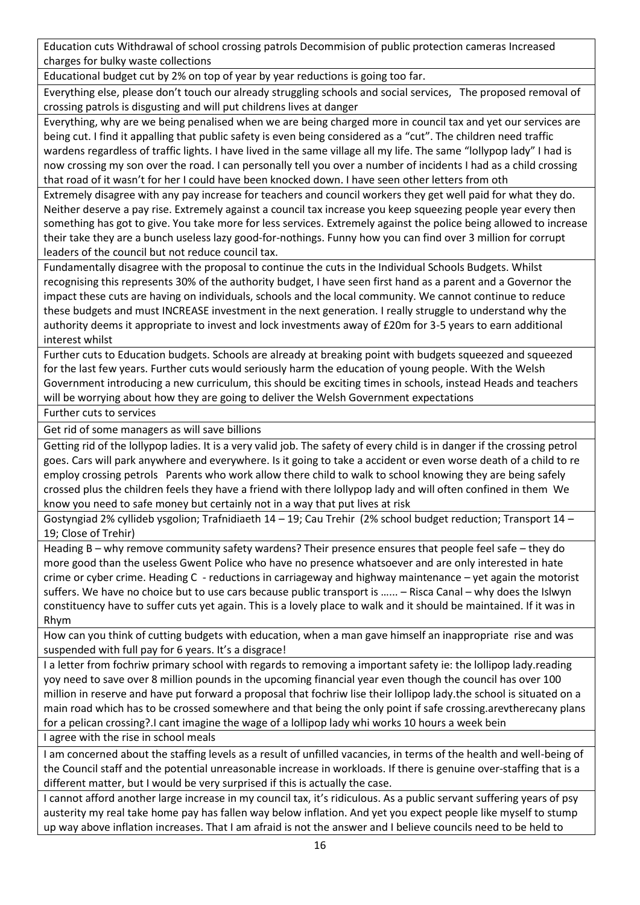Education cuts Withdrawal of school crossing patrols Decommision of public protection cameras Increased charges for bulky waste collections

Educational budget cut by 2% on top of year by year reductions is going too far.

Everything else, please don't touch our already struggling schools and social services, The proposed removal of crossing patrols is disgusting and will put childrens lives at danger

Everything, why are we being penalised when we are being charged more in council tax and yet our services are being cut. I find it appalling that public safety is even being considered as a "cut". The children need traffic wardens regardless of traffic lights. I have lived in the same village all my life. The same "lollypop lady" I had is now crossing my son over the road. I can personally tell you over a number of incidents I had as a child crossing that road of it wasn't for her I could have been knocked down. I have seen other letters from oth

Extremely disagree with any pay increase for teachers and council workers they get well paid for what they do. Neither deserve a pay rise. Extremely against a council tax increase you keep squeezing people year every then something has got to give. You take more for less services. Extremely against the police being allowed to increase their take they are a bunch useless lazy good-for-nothings. Funny how you can find over 3 million for corrupt leaders of the council but not reduce council tax.

Fundamentally disagree with the proposal to continue the cuts in the Individual Schools Budgets. Whilst recognising this represents 30% of the authority budget, I have seen first hand as a parent and a Governor the impact these cuts are having on individuals, schools and the local community. We cannot continue to reduce these budgets and must INCREASE investment in the next generation. I really struggle to understand why the authority deems it appropriate to invest and lock investments away of £20m for 3-5 years to earn additional interest whilst

Further cuts to Education budgets. Schools are already at breaking point with budgets squeezed and squeezed for the last few years. Further cuts would seriously harm the education of young people. With the Welsh Government introducing a new curriculum, this should be exciting times in schools, instead Heads and teachers will be worrying about how they are going to deliver the Welsh Government expectations

Further cuts to services

Get rid of some managers as will save billions

Getting rid of the lollypop ladies. It is a very valid job. The safety of every child is in danger if the crossing petrol goes. Cars will park anywhere and everywhere. Is it going to take a accident or even worse death of a child to re employ crossing petrols Parents who work allow there child to walk to school knowing they are being safely crossed plus the children feels they have a friend with there lollypop lady and will often confined in them We know you need to safe money but certainly not in a way that put lives at risk

Gostyngiad 2% cyllideb ysgolion; Trafnidiaeth 14 – 19; Cau Trehir (2% school budget reduction; Transport 14 – 19; Close of Trehir)

Heading B – why remove community safety wardens? Their presence ensures that people feel safe – they do more good than the useless Gwent Police who have no presence whatsoever and are only interested in hate crime or cyber crime. Heading C - reductions in carriageway and highway maintenance – yet again the motorist suffers. We have no choice but to use cars because public transport is …... – Risca Canal – why does the Islwyn constituency have to suffer cuts yet again. This is a lovely place to walk and it should be maintained. If it was in Rhym

How can you think of cutting budgets with education, when a man gave himself an inappropriate rise and was suspended with full pay for 6 years. It's a disgrace!

I a letter from fochriw primary school with regards to removing a important safety ie: the lollipop lady.reading yoy need to save over 8 million pounds in the upcoming financial year even though the council has over 100 million in reserve and have put forward a proposal that fochriw lise their lollipop lady.the school is situated on a main road which has to be crossed somewhere and that being the only point if safe crossing.arevtherecany plans for a pelican crossing?.I cant imagine the wage of a lollipop lady whi works 10 hours a week bein

I agree with the rise in school meals

I am concerned about the staffing levels as a result of unfilled vacancies, in terms of the health and well-being of the Council staff and the potential unreasonable increase in workloads. If there is genuine over-staffing that is a different matter, but I would be very surprised if this is actually the case.

I cannot afford another large increase in my council tax, it's ridiculous. As a public servant suffering years of psy austerity my real take home pay has fallen way below inflation. And yet you expect people like myself to stump up way above inflation increases. That I am afraid is not the answer and I believe councils need to be held to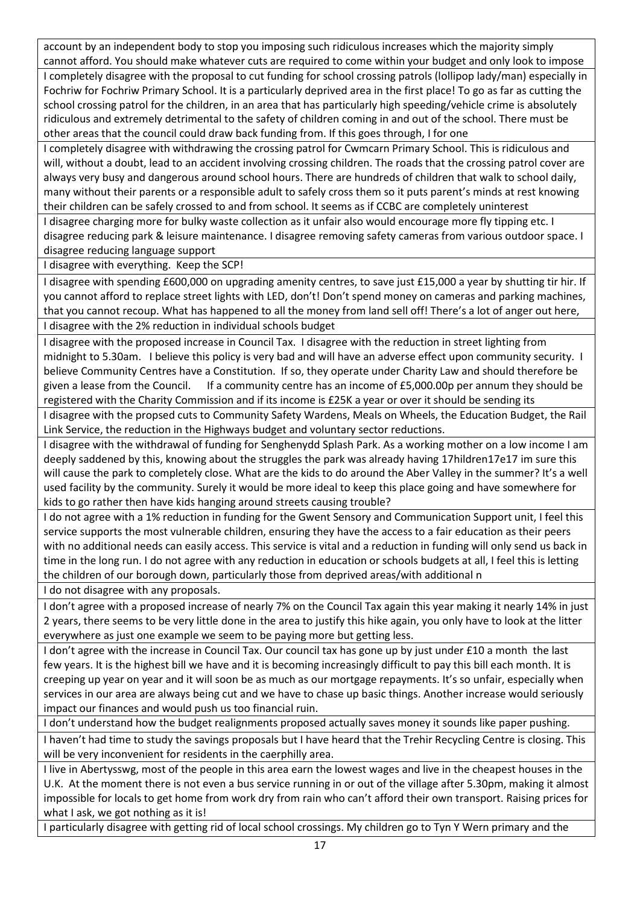account by an independent body to stop you imposing such ridiculous increases which the majority simply cannot afford. You should make whatever cuts are required to come within your budget and only look to impose I completely disagree with the proposal to cut funding for school crossing patrols (lollipop lady/man) especially in Fochriw for Fochriw Primary School. It is a particularly deprived area in the first place! To go as far as cutting the school crossing patrol for the children, in an area that has particularly high speeding/vehicle crime is absolutely ridiculous and extremely detrimental to the safety of children coming in and out of the school. There must be other areas that the council could draw back funding from. If this goes through, I for one

I completely disagree with withdrawing the crossing patrol for Cwmcarn Primary School. This is ridiculous and will, without a doubt, lead to an accident involving crossing children. The roads that the crossing patrol cover are always very busy and dangerous around school hours. There are hundreds of children that walk to school daily, many without their parents or a responsible adult to safely cross them so it puts parent's minds at rest knowing their children can be safely crossed to and from school. It seems as if CCBC are completely uninterest

I disagree charging more for bulky waste collection as it unfair also would encourage more fly tipping etc. I disagree reducing park & leisure maintenance. I disagree removing safety cameras from various outdoor space. I disagree reducing language support

I disagree with everything. Keep the SCP!

I disagree with spending £600,000 on upgrading amenity centres, to save just £15,000 a year by shutting tir hir. If you cannot afford to replace street lights with LED, don't! Don't spend money on cameras and parking machines, that you cannot recoup. What has happened to all the money from land sell off! There's a lot of anger out here, I disagree with the 2% reduction in individual schools budget

I disagree with the proposed increase in Council Tax. I disagree with the reduction in street lighting from midnight to 5.30am. I believe this policy is very bad and will have an adverse effect upon community security. I believe Community Centres have a Constitution. If so, they operate under Charity Law and should therefore be given a lease from the Council. If a community centre has an income of £5,000.00p per annum they should be registered with the Charity Commission and if its income is £25K a year or over it should be sending its

I disagree with the propsed cuts to Community Safety Wardens, Meals on Wheels, the Education Budget, the Rail Link Service, the reduction in the Highways budget and voluntary sector reductions.

I disagree with the withdrawal of funding for Senghenydd Splash Park. As a working mother on a low income I am deeply saddened by this, knowing about the struggles the park was already having 17hildren17e17 im sure this will cause the park to completely close. What are the kids to do around the Aber Valley in the summer? It's a well used facility by the community. Surely it would be more ideal to keep this place going and have somewhere for kids to go rather then have kids hanging around streets causing trouble?

I do not agree with a 1% reduction in funding for the Gwent Sensory and Communication Support unit, I feel this service supports the most vulnerable children, ensuring they have the access to a fair education as their peers with no additional needs can easily access. This service is vital and a reduction in funding will only send us back in time in the long run. I do not agree with any reduction in education or schools budgets at all, I feel this is letting the children of our borough down, particularly those from deprived areas/with additional n

I do not disagree with any proposals.

I don't agree with a proposed increase of nearly 7% on the Council Tax again this year making it nearly 14% in just 2 years, there seems to be very little done in the area to justify this hike again, you only have to look at the litter everywhere as just one example we seem to be paying more but getting less.

I don't agree with the increase in Council Tax. Our council tax has gone up by just under £10 a month the last few years. It is the highest bill we have and it is becoming increasingly difficult to pay this bill each month. It is creeping up year on year and it will soon be as much as our mortgage repayments. It's so unfair, especially when services in our area are always being cut and we have to chase up basic things. Another increase would seriously impact our finances and would push us too financial ruin.

I don't understand how the budget realignments proposed actually saves money it sounds like paper pushing.

I haven't had time to study the savings proposals but I have heard that the Trehir Recycling Centre is closing. This will be very inconvenient for residents in the caerphilly area.

I live in Abertysswg, most of the people in this area earn the lowest wages and live in the cheapest houses in the U.K. At the moment there is not even a bus service running in or out of the village after 5.30pm, making it almost impossible for locals to get home from work dry from rain who can't afford their own transport. Raising prices for what I ask, we got nothing as it is!

I particularly disagree with getting rid of local school crossings. My children go to Tyn Y Wern primary and the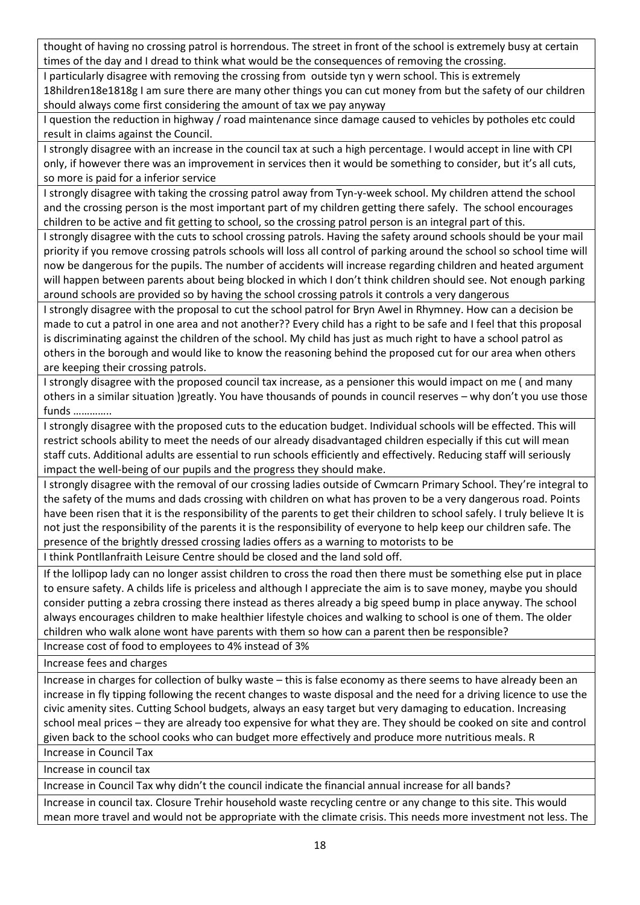thought of having no crossing patrol is horrendous. The street in front of the school is extremely busy at certain times of the day and I dread to think what would be the consequences of removing the crossing.

I particularly disagree with removing the crossing from outside tyn y wern school. This is extremely 18hildren18e1818g I am sure there are many other things you can cut money from but the safety of our children

should always come first considering the amount of tax we pay anyway

I question the reduction in highway / road maintenance since damage caused to vehicles by potholes etc could result in claims against the Council.

I strongly disagree with an increase in the council tax at such a high percentage. I would accept in line with CPI only, if however there was an improvement in services then it would be something to consider, but it's all cuts, so more is paid for a inferior service

I strongly disagree with taking the crossing patrol away from Tyn-y-week school. My children attend the school and the crossing person is the most important part of my children getting there safely. The school encourages children to be active and fit getting to school, so the crossing patrol person is an integral part of this.

I strongly disagree with the cuts to school crossing patrols. Having the safety around schools should be your mail priority if you remove crossing patrols schools will loss all control of parking around the school so school time will now be dangerous for the pupils. The number of accidents will increase regarding children and heated argument will happen between parents about being blocked in which I don't think children should see. Not enough parking around schools are provided so by having the school crossing patrols it controls a very dangerous

I strongly disagree with the proposal to cut the school patrol for Bryn Awel in Rhymney. How can a decision be made to cut a patrol in one area and not another?? Every child has a right to be safe and I feel that this proposal is discriminating against the children of the school. My child has just as much right to have a school patrol as others in the borough and would like to know the reasoning behind the proposed cut for our area when others are keeping their crossing patrols.

I strongly disagree with the proposed council tax increase, as a pensioner this would impact on me ( and many others in a similar situation )greatly. You have thousands of pounds in council reserves – why don't you use those funds …………..

I strongly disagree with the proposed cuts to the education budget. Individual schools will be effected. This will restrict schools ability to meet the needs of our already disadvantaged children especially if this cut will mean staff cuts. Additional adults are essential to run schools efficiently and effectively. Reducing staff will seriously impact the well-being of our pupils and the progress they should make.

I strongly disagree with the removal of our crossing ladies outside of Cwmcarn Primary School. They're integral to the safety of the mums and dads crossing with children on what has proven to be a very dangerous road. Points have been risen that it is the responsibility of the parents to get their children to school safely. I truly believe It is not just the responsibility of the parents it is the responsibility of everyone to help keep our children safe. The presence of the brightly dressed crossing ladies offers as a warning to motorists to be

I think Pontllanfraith Leisure Centre should be closed and the land sold off.

If the lollipop lady can no longer assist children to cross the road then there must be something else put in place to ensure safety. A childs life is priceless and although I appreciate the aim is to save money, maybe you should consider putting a zebra crossing there instead as theres already a big speed bump in place anyway. The school always encourages children to make healthier lifestyle choices and walking to school is one of them. The older children who walk alone wont have parents with them so how can a parent then be responsible?

Increase cost of food to employees to 4% instead of 3%

Increase fees and charges

Increase in charges for collection of bulky waste – this is false economy as there seems to have already been an increase in fly tipping following the recent changes to waste disposal and the need for a driving licence to use the civic amenity sites. Cutting School budgets, always an easy target but very damaging to education. Increasing school meal prices – they are already too expensive for what they are. They should be cooked on site and control given back to the school cooks who can budget more effectively and produce more nutritious meals. R

Increase in Council Tax Increase in council tax

Increase in Council Tax why didn't the council indicate the financial annual increase for all bands?

Increase in council tax. Closure Trehir household waste recycling centre or any change to this site. This would mean more travel and would not be appropriate with the climate crisis. This needs more investment not less. The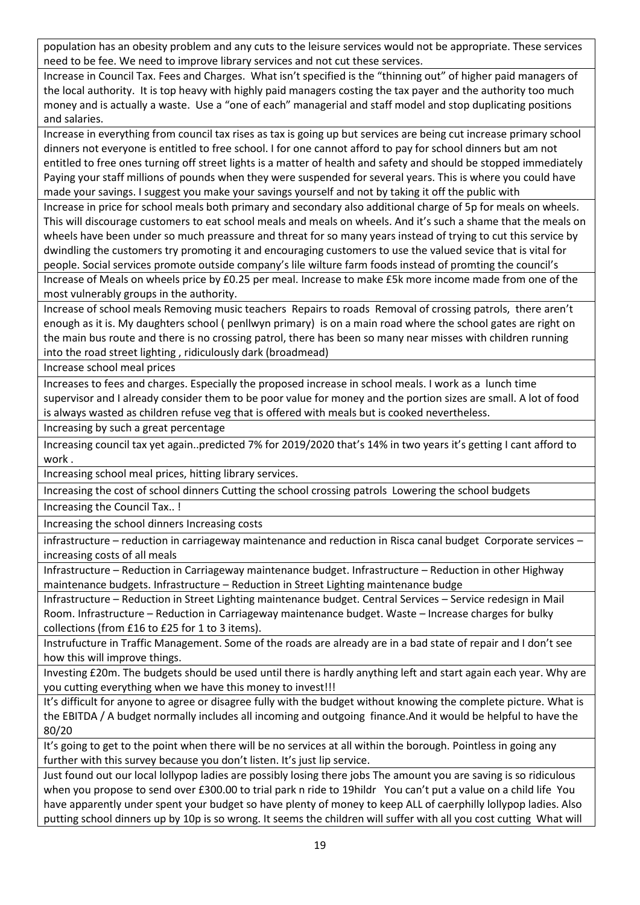population has an obesity problem and any cuts to the leisure services would not be appropriate. These services need to be fee. We need to improve library services and not cut these services.

Increase in Council Tax. Fees and Charges. What isn't specified is the "thinning out" of higher paid managers of the local authority. It is top heavy with highly paid managers costing the tax payer and the authority too much money and is actually a waste. Use a "one of each" managerial and staff model and stop duplicating positions and salaries.

Increase in everything from council tax rises as tax is going up but services are being cut increase primary school dinners not everyone is entitled to free school. I for one cannot afford to pay for school dinners but am not entitled to free ones turning off street lights is a matter of health and safety and should be stopped immediately Paying your staff millions of pounds when they were suspended for several years. This is where you could have made your savings. I suggest you make your savings yourself and not by taking it off the public with

Increase in price for school meals both primary and secondary also additional charge of 5p for meals on wheels. This will discourage customers to eat school meals and meals on wheels. And it's such a shame that the meals on wheels have been under so much preassure and threat for so many years instead of trying to cut this service by dwindling the customers try promoting it and encouraging customers to use the valued sevice that is vital for people. Social services promote outside company's lile wilture farm foods instead of promting the council's Increase of Meals on wheels price by £0.25 per meal. Increase to make £5k more income made from one of the most vulnerably groups in the authority.

Increase of school meals Removing music teachers Repairs to roads Removal of crossing patrols, there aren't enough as it is. My daughters school ( penllwyn primary) is on a main road where the school gates are right on the main bus route and there is no crossing patrol, there has been so many near misses with children running into the road street lighting , ridiculously dark (broadmead)

Increase school meal prices

Increases to fees and charges. Especially the proposed increase in school meals. I work as a lunch time supervisor and I already consider them to be poor value for money and the portion sizes are small. A lot of food is always wasted as children refuse veg that is offered with meals but is cooked nevertheless.

Increasing by such a great percentage

Increasing council tax yet again..predicted 7% for 2019/2020 that's 14% in two years it's getting I cant afford to work .

Increasing school meal prices, hitting library services.

Increasing the cost of school dinners Cutting the school crossing patrols Lowering the school budgets

Increasing the Council Tax.. !

Increasing the school dinners Increasing costs

infrastructure – reduction in carriageway maintenance and reduction in Risca canal budget Corporate services – increasing costs of all meals

Infrastructure – Reduction in Carriageway maintenance budget. Infrastructure – Reduction in other Highway maintenance budgets. Infrastructure – Reduction in Street Lighting maintenance budge

Infrastructure – Reduction in Street Lighting maintenance budget. Central Services – Service redesign in Mail Room. Infrastructure – Reduction in Carriageway maintenance budget. Waste – Increase charges for bulky collections (from £16 to £25 for 1 to 3 items).

Instrufucture in Traffic Management. Some of the roads are already are in a bad state of repair and I don't see how this will improve things.

Investing £20m. The budgets should be used until there is hardly anything left and start again each year. Why are you cutting everything when we have this money to invest!!!

It's difficult for anyone to agree or disagree fully with the budget without knowing the complete picture. What is the EBITDA / A budget normally includes all incoming and outgoing finance.And it would be helpful to have the 80/20

It's going to get to the point when there will be no services at all within the borough. Pointless in going any further with this survey because you don't listen. It's just lip service.

Just found out our local lollypop ladies are possibly losing there jobs The amount you are saving is so ridiculous when you propose to send over £300.00 to trial park n ride to 19hildr You can't put a value on a child life You have apparently under spent your budget so have plenty of money to keep ALL of caerphilly lollypop ladies. Also putting school dinners up by 10p is so wrong. It seems the children will suffer with all you cost cutting What will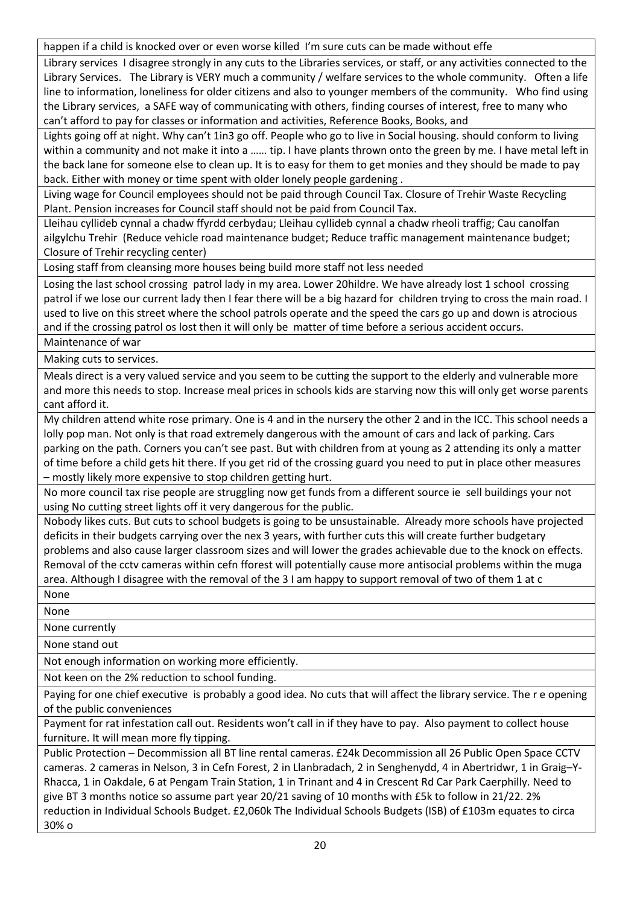happen if a child is knocked over or even worse killed I'm sure cuts can be made without effe

Library services I disagree strongly in any cuts to the Libraries services, or staff, or any activities connected to the Library Services. The Library is VERY much a community / welfare services to the whole community. Often a life line to information, loneliness for older citizens and also to younger members of the community. Who find using the Library services, a SAFE way of communicating with others, finding courses of interest, free to many who can't afford to pay for classes or information and activities, Reference Books, Books, and

Lights going off at night. Why can't 1in3 go off. People who go to live in Social housing. should conform to living within a community and not make it into a …… tip. I have plants thrown onto the green by me. I have metal left in the back lane for someone else to clean up. It is to easy for them to get monies and they should be made to pay back. Either with money or time spent with older lonely people gardening .

Living wage for Council employees should not be paid through Council Tax. Closure of Trehir Waste Recycling Plant. Pension increases for Council staff should not be paid from Council Tax.

Lleihau cyllideb cynnal a chadw ffyrdd cerbydau; Lleihau cyllideb cynnal a chadw rheoli traffig; Cau canolfan ailgylchu Trehir (Reduce vehicle road maintenance budget; Reduce traffic management maintenance budget; Closure of Trehir recycling center)

Losing staff from cleansing more houses being build more staff not less needed

Losing the last school crossing patrol lady in my area. Lower 20hildre. We have already lost 1 school crossing patrol if we lose our current lady then I fear there will be a big hazard for children trying to cross the main road. I used to live on this street where the school patrols operate and the speed the cars go up and down is atrocious and if the crossing patrol os lost then it will only be matter of time before a serious accident occurs.

Maintenance of war

Making cuts to services.

Meals direct is a very valued service and you seem to be cutting the support to the elderly and vulnerable more and more this needs to stop. Increase meal prices in schools kids are starving now this will only get worse parents cant afford it.

My children attend white rose primary. One is 4 and in the nursery the other 2 and in the ICC. This school needs a lolly pop man. Not only is that road extremely dangerous with the amount of cars and lack of parking. Cars parking on the path. Corners you can't see past. But with children from at young as 2 attending its only a matter of time before a child gets hit there. If you get rid of the crossing guard you need to put in place other measures – mostly likely more expensive to stop children getting hurt.

No more council tax rise people are struggling now get funds from a different source ie sell buildings your not using No cutting street lights off it very dangerous for the public.

Nobody likes cuts. But cuts to school budgets is going to be unsustainable. Already more schools have projected deficits in their budgets carrying over the nex 3 years, with further cuts this will create further budgetary problems and also cause larger classroom sizes and will lower the grades achievable due to the knock on effects. Removal of the cctv cameras within cefn fforest will potentially cause more antisocial problems within the muga area. Although I disagree with the removal of the 3 I am happy to support removal of two of them 1 at c None

None

None currently

None stand out

Not enough information on working more efficiently.

Not keen on the 2% reduction to school funding.

Paying for one chief executive is probably a good idea. No cuts that will affect the library service. The r e opening of the public conveniences

Payment for rat infestation call out. Residents won't call in if they have to pay. Also payment to collect house furniture. It will mean more fly tipping.

Public Protection – Decommission all BT line rental cameras. £24k Decommission all 26 Public Open Space CCTV cameras. 2 cameras in Nelson, 3 in Cefn Forest, 2 in Llanbradach, 2 in Senghenydd, 4 in Abertridwr, 1 in Graig–Y-Rhacca, 1 in Oakdale, 6 at Pengam Train Station, 1 in Trinant and 4 in Crescent Rd Car Park Caerphilly. Need to give BT 3 months notice so assume part year 20/21 saving of 10 months with £5k to follow in 21/22. 2% reduction in Individual Schools Budget. £2,060k The Individual Schools Budgets (ISB) of £103m equates to circa 30% o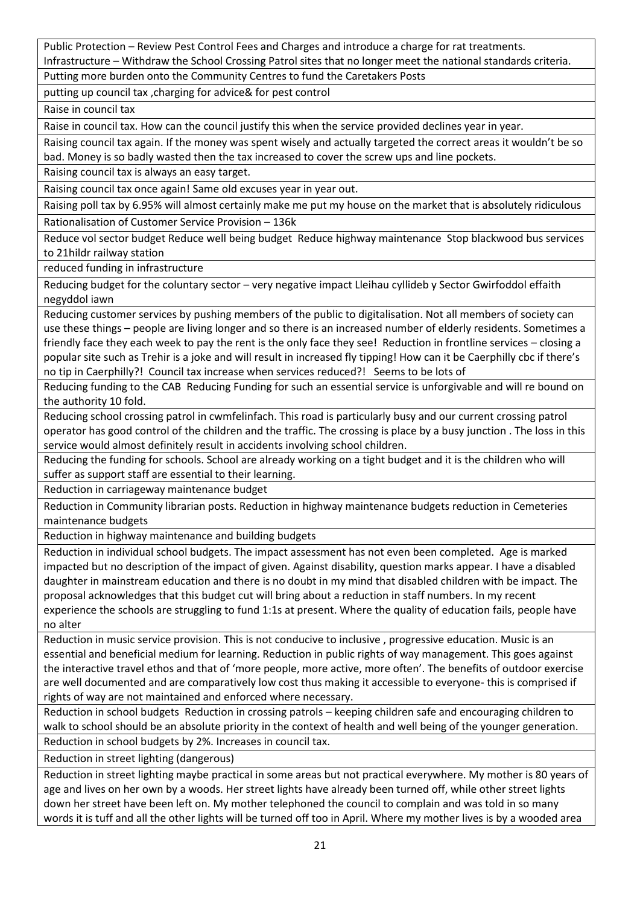Public Protection – Review Pest Control Fees and Charges and introduce a charge for rat treatments. Infrastructure – Withdraw the School Crossing Patrol sites that no longer meet the national standards criteria.

Putting more burden onto the Community Centres to fund the Caretakers Posts

putting up council tax ,charging for advice& for pest control

Raise in council tax

Raise in council tax. How can the council justify this when the service provided declines year in year.

Raising council tax again. If the money was spent wisely and actually targeted the correct areas it wouldn't be so bad. Money is so badly wasted then the tax increased to cover the screw ups and line pockets.

Raising council tax is always an easy target.

Raising council tax once again! Same old excuses year in year out.

Raising poll tax by 6.95% will almost certainly make me put my house on the market that is absolutely ridiculous Rationalisation of Customer Service Provision – 136k

Reduce vol sector budget Reduce well being budget Reduce highway maintenance Stop blackwood bus services to 21hildr railway station

reduced funding in infrastructure

Reducing budget for the coluntary sector – very negative impact Lleihau cyllideb y Sector Gwirfoddol effaith negyddol iawn

Reducing customer services by pushing members of the public to digitalisation. Not all members of society can use these things – people are living longer and so there is an increased number of elderly residents. Sometimes a friendly face they each week to pay the rent is the only face they see! Reduction in frontline services – closing a popular site such as Trehir is a joke and will result in increased fly tipping! How can it be Caerphilly cbc if there's no tip in Caerphilly?! Council tax increase when services reduced?! Seems to be lots of

Reducing funding to the CAB Reducing Funding for such an essential service is unforgivable and will re bound on the authority 10 fold.

Reducing school crossing patrol in cwmfelinfach. This road is particularly busy and our current crossing patrol operator has good control of the children and the traffic. The crossing is place by a busy junction . The loss in this service would almost definitely result in accidents involving school children.

Reducing the funding for schools. School are already working on a tight budget and it is the children who will suffer as support staff are essential to their learning.

Reduction in carriageway maintenance budget

Reduction in Community librarian posts. Reduction in highway maintenance budgets reduction in Cemeteries maintenance budgets

Reduction in highway maintenance and building budgets

Reduction in individual school budgets. The impact assessment has not even been completed. Age is marked impacted but no description of the impact of given. Against disability, question marks appear. I have a disabled daughter in mainstream education and there is no doubt in my mind that disabled children with be impact. The proposal acknowledges that this budget cut will bring about a reduction in staff numbers. In my recent experience the schools are struggling to fund 1:1s at present. Where the quality of education fails, people have no alter

Reduction in music service provision. This is not conducive to inclusive , progressive education. Music is an essential and beneficial medium for learning. Reduction in public rights of way management. This goes against the interactive travel ethos and that of 'more people, more active, more often'. The benefits of outdoor exercise are well documented and are comparatively low cost thus making it accessible to everyone- this is comprised if rights of way are not maintained and enforced where necessary.

Reduction in school budgets Reduction in crossing patrols – keeping children safe and encouraging children to walk to school should be an absolute priority in the context of health and well being of the younger generation. Reduction in school budgets by 2%. Increases in council tax.

Reduction in street lighting (dangerous)

Reduction in street lighting maybe practical in some areas but not practical everywhere. My mother is 80 years of age and lives on her own by a woods. Her street lights have already been turned off, while other street lights down her street have been left on. My mother telephoned the council to complain and was told in so many words it is tuff and all the other lights will be turned off too in April. Where my mother lives is by a wooded area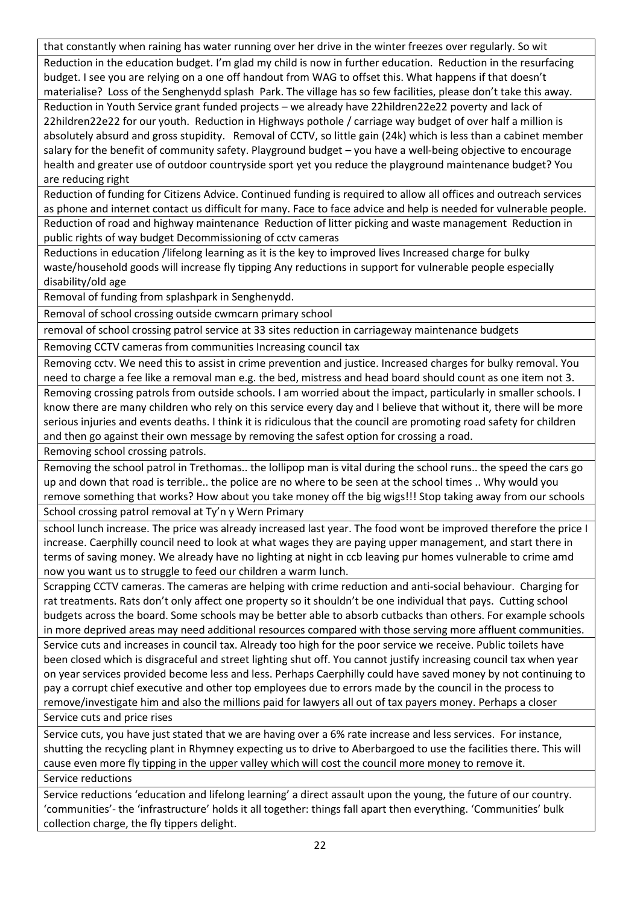that constantly when raining has water running over her drive in the winter freezes over regularly. So wit

Reduction in the education budget. I'm glad my child is now in further education. Reduction in the resurfacing budget. I see you are relying on a one off handout from WAG to offset this. What happens if that doesn't materialise? Loss of the Senghenydd splash Park. The village has so few facilities, please don't take this away.

Reduction in Youth Service grant funded projects – we already have 22hildren22e22 poverty and lack of 22hildren22e22 for our youth. Reduction in Highways pothole / carriage way budget of over half a million is absolutely absurd and gross stupidity. Removal of CCTV, so little gain (24k) which is less than a cabinet member salary for the benefit of community safety. Playground budget – you have a well-being objective to encourage health and greater use of outdoor countryside sport yet you reduce the playground maintenance budget? You are reducing right

Reduction of funding for Citizens Advice. Continued funding is required to allow all offices and outreach services as phone and internet contact us difficult for many. Face to face advice and help is needed for vulnerable people. Reduction of road and highway maintenance Reduction of litter picking and waste management Reduction in public rights of way budget Decommissioning of cctv cameras

Reductions in education /lifelong learning as it is the key to improved lives Increased charge for bulky waste/household goods will increase fly tipping Any reductions in support for vulnerable people especially disability/old age

Removal of funding from splashpark in Senghenydd.

Removal of school crossing outside cwmcarn primary school

removal of school crossing patrol service at 33 sites reduction in carriageway maintenance budgets

Removing CCTV cameras from communities Increasing council tax

Removing cctv. We need this to assist in crime prevention and justice. Increased charges for bulky removal. You need to charge a fee like a removal man e.g. the bed, mistress and head board should count as one item not 3. Removing crossing patrols from outside schools. I am worried about the impact, particularly in smaller schools. I know there are many children who rely on this service every day and I believe that without it, there will be more serious injuries and events deaths. I think it is ridiculous that the council are promoting road safety for children and then go against their own message by removing the safest option for crossing a road.

Removing school crossing patrols.

Removing the school patrol in Trethomas.. the lollipop man is vital during the school runs.. the speed the cars go up and down that road is terrible.. the police are no where to be seen at the school times .. Why would you remove something that works? How about you take money off the big wigs!!! Stop taking away from our schools School crossing patrol removal at Ty'n y Wern Primary

school lunch increase. The price was already increased last year. The food wont be improved therefore the price I increase. Caerphilly council need to look at what wages they are paying upper management, and start there in terms of saving money. We already have no lighting at night in ccb leaving pur homes vulnerable to crime amd now you want us to struggle to feed our children a warm lunch.

Scrapping CCTV cameras. The cameras are helping with crime reduction and anti-social behaviour. Charging for rat treatments. Rats don't only affect one property so it shouldn't be one individual that pays. Cutting school budgets across the board. Some schools may be better able to absorb cutbacks than others. For example schools in more deprived areas may need additional resources compared with those serving more affluent communities. Service cuts and increases in council tax. Already too high for the poor service we receive. Public toilets have been closed which is disgraceful and street lighting shut off. You cannot justify increasing council tax when year on year services provided become less and less. Perhaps Caerphilly could have saved money by not continuing to pay a corrupt chief executive and other top employees due to errors made by the council in the process to remove/investigate him and also the millions paid for lawyers all out of tax payers money. Perhaps a closer Service cuts and price rises

Service cuts, you have just stated that we are having over a 6% rate increase and less services. For instance, shutting the recycling plant in Rhymney expecting us to drive to Aberbargoed to use the facilities there. This will cause even more fly tipping in the upper valley which will cost the council more money to remove it. Service reductions

Service reductions 'education and lifelong learning' a direct assault upon the young, the future of our country. 'communities'- the 'infrastructure' holds it all together: things fall apart then everything. 'Communities' bulk collection charge, the fly tippers delight.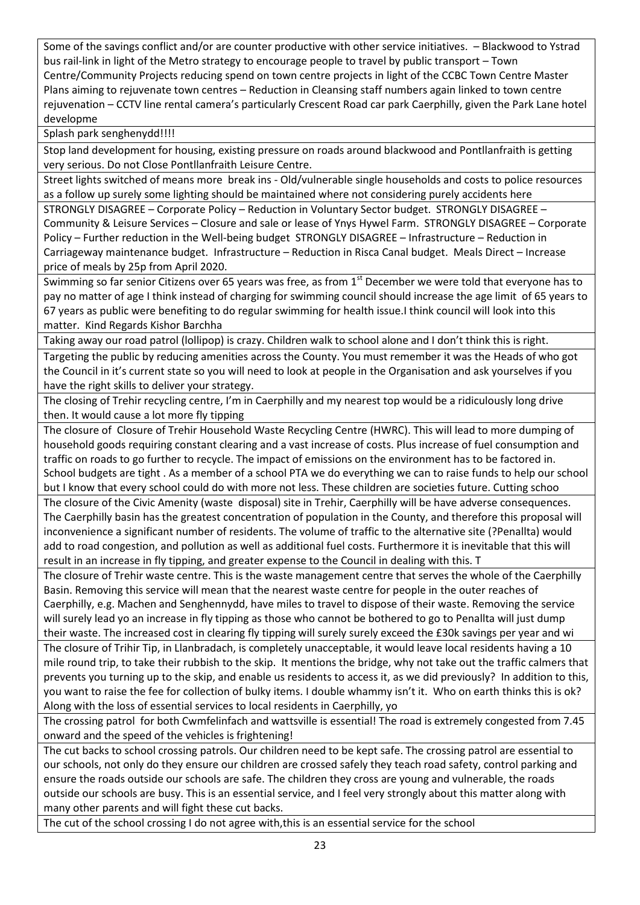Some of the savings conflict and/or are counter productive with other service initiatives. – Blackwood to Ystrad bus rail-link in light of the Metro strategy to encourage people to travel by public transport – Town Centre/Community Projects reducing spend on town centre projects in light of the CCBC Town Centre Master Plans aiming to rejuvenate town centres – Reduction in Cleansing staff numbers again linked to town centre rejuvenation – CCTV line rental camera's particularly Crescent Road car park Caerphilly, given the Park Lane hotel developme

Splash park senghenydd!!!!

Stop land development for housing, existing pressure on roads around blackwood and Pontllanfraith is getting very serious. Do not Close Pontllanfraith Leisure Centre.

Street lights switched of means more break ins - Old/vulnerable single households and costs to police resources as a follow up surely some lighting should be maintained where not considering purely accidents here

STRONGLY DISAGREE – Corporate Policy – Reduction in Voluntary Sector budget. STRONGLY DISAGREE – Community & Leisure Services – Closure and sale or lease of Ynys Hywel Farm. STRONGLY DISAGREE – Corporate Policy – Further reduction in the Well-being budget STRONGLY DISAGREE – Infrastructure – Reduction in Carriageway maintenance budget. Infrastructure – Reduction in Risca Canal budget. Meals Direct – Increase price of meals by 25p from April 2020.

Swimming so far senior Citizens over 65 years was free, as from 1<sup>st</sup> December we were told that everyone has to pay no matter of age I think instead of charging for swimming council should increase the age limit of 65 years to 67 years as public were benefiting to do regular swimming for health issue.I think council will look into this matter. Kind Regards Kishor Barchha

Taking away our road patrol (lollipop) is crazy. Children walk to school alone and I don't think this is right.

Targeting the public by reducing amenities across the County. You must remember it was the Heads of who got the Council in it's current state so you will need to look at people in the Organisation and ask yourselves if you have the right skills to deliver your strategy.

The closing of Trehir recycling centre, I'm in Caerphilly and my nearest top would be a ridiculously long drive then. It would cause a lot more fly tipping

The closure of Closure of Trehir Household Waste Recycling Centre (HWRC). This will lead to more dumping of household goods requiring constant clearing and a vast increase of costs. Plus increase of fuel consumption and traffic on roads to go further to recycle. The impact of emissions on the environment has to be factored in. School budgets are tight . As a member of a school PTA we do everything we can to raise funds to help our school but I know that every school could do with more not less. These children are societies future. Cutting schoo

The closure of the Civic Amenity (waste disposal) site in Trehir, Caerphilly will be have adverse consequences. The Caerphilly basin has the greatest concentration of population in the County, and therefore this proposal will inconvenience a significant number of residents. The volume of traffic to the alternative site (?Penallta) would add to road congestion, and pollution as well as additional fuel costs. Furthermore it is inevitable that this will result in an increase in fly tipping, and greater expense to the Council in dealing with this. T

The closure of Trehir waste centre. This is the waste management centre that serves the whole of the Caerphilly Basin. Removing this service will mean that the nearest waste centre for people in the outer reaches of Caerphilly, e.g. Machen and Senghennydd, have miles to travel to dispose of their waste. Removing the service will surely lead yo an increase in fly tipping as those who cannot be bothered to go to Penallta will just dump their waste. The increased cost in clearing fly tipping will surely surely exceed the £30k savings per year and wi

The closure of Trihir Tip, in Llanbradach, is completely unacceptable, it would leave local residents having a 10 mile round trip, to take their rubbish to the skip. It mentions the bridge, why not take out the traffic calmers that prevents you turning up to the skip, and enable us residents to access it, as we did previously? In addition to this, you want to raise the fee for collection of bulky items. I double whammy isn't it. Who on earth thinks this is ok? Along with the loss of essential services to local residents in Caerphilly, yo

The crossing patrol for both Cwmfelinfach and wattsville is essential! The road is extremely congested from 7.45 onward and the speed of the vehicles is frightening!

The cut backs to school crossing patrols. Our children need to be kept safe. The crossing patrol are essential to our schools, not only do they ensure our children are crossed safely they teach road safety, control parking and ensure the roads outside our schools are safe. The children they cross are young and vulnerable, the roads outside our schools are busy. This is an essential service, and I feel very strongly about this matter along with many other parents and will fight these cut backs.

The cut of the school crossing I do not agree with,this is an essential service for the school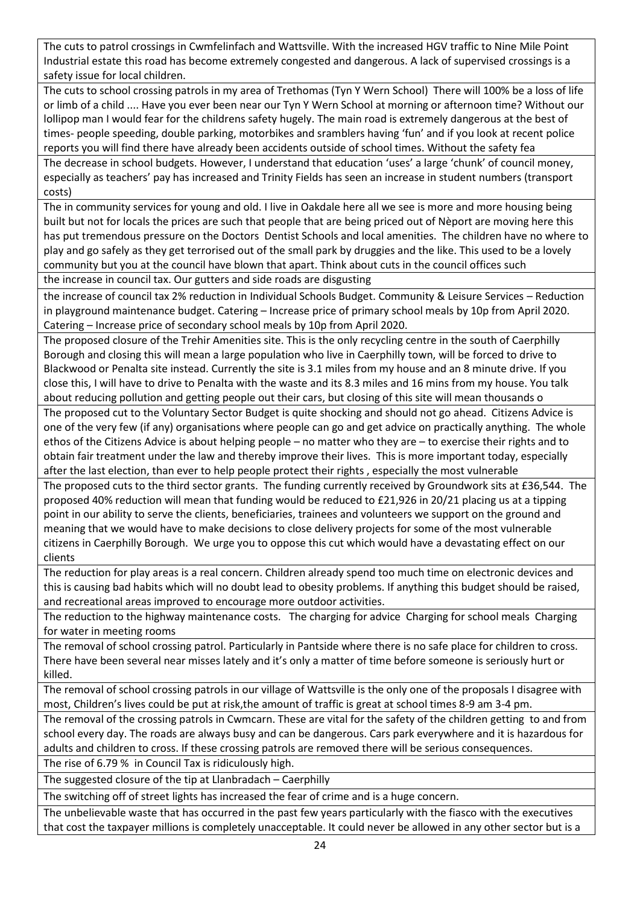The cuts to patrol crossings in Cwmfelinfach and Wattsville. With the increased HGV traffic to Nine Mile Point Industrial estate this road has become extremely congested and dangerous. A lack of supervised crossings is a safety issue for local children.

The cuts to school crossing patrols in my area of Trethomas (Tyn Y Wern School) There will 100% be a loss of life or limb of a child .... Have you ever been near our Tyn Y Wern School at morning or afternoon time? Without our lollipop man I would fear for the childrens safety hugely. The main road is extremely dangerous at the best of times- people speeding, double parking, motorbikes and sramblers having 'fun' and if you look at recent police reports you will find there have already been accidents outside of school times. Without the safety fea

The decrease in school budgets. However, I understand that education 'uses' a large 'chunk' of council money, especially as teachers' pay has increased and Trinity Fields has seen an increase in student numbers (transport costs)

The in community services for young and old. I live in Oakdale here all we see is more and more housing being built but not for locals the prices are such that people that are being priced out of Nèport are moving here this has put tremendous pressure on the Doctors Dentist Schools and local amenities. The children have no where to play and go safely as they get terrorised out of the small park by druggies and the like. This used to be a lovely community but you at the council have blown that apart. Think about cuts in the council offices such

the increase in council tax. Our gutters and side roads are disgusting

the increase of council tax 2% reduction in Individual Schools Budget. Community & Leisure Services – Reduction in playground maintenance budget. Catering – Increase price of primary school meals by 10p from April 2020. Catering – Increase price of secondary school meals by 10p from April 2020.

The proposed closure of the Trehir Amenities site. This is the only recycling centre in the south of Caerphilly Borough and closing this will mean a large population who live in Caerphilly town, will be forced to drive to Blackwood or Penalta site instead. Currently the site is 3.1 miles from my house and an 8 minute drive. If you close this, I will have to drive to Penalta with the waste and its 8.3 miles and 16 mins from my house. You talk about reducing pollution and getting people out their cars, but closing of this site will mean thousands o

The proposed cut to the Voluntary Sector Budget is quite shocking and should not go ahead. Citizens Advice is one of the very few (if any) organisations where people can go and get advice on practically anything. The whole ethos of the Citizens Advice is about helping people – no matter who they are – to exercise their rights and to obtain fair treatment under the law and thereby improve their lives. This is more important today, especially after the last election, than ever to help people protect their rights , especially the most vulnerable

The proposed cuts to the third sector grants. The funding currently received by Groundwork sits at £36,544. The proposed 40% reduction will mean that funding would be reduced to £21,926 in 20/21 placing us at a tipping point in our ability to serve the clients, beneficiaries, trainees and volunteers we support on the ground and meaning that we would have to make decisions to close delivery projects for some of the most vulnerable citizens in Caerphilly Borough. We urge you to oppose this cut which would have a devastating effect on our clients

The reduction for play areas is a real concern. Children already spend too much time on electronic devices and this is causing bad habits which will no doubt lead to obesity problems. If anything this budget should be raised, and recreational areas improved to encourage more outdoor activities.

The reduction to the highway maintenance costs. The charging for advice Charging for school meals Charging for water in meeting rooms

The removal of school crossing patrol. Particularly in Pantside where there is no safe place for children to cross. There have been several near misses lately and it's only a matter of time before someone is seriously hurt or killed.

The removal of school crossing patrols in our village of Wattsville is the only one of the proposals I disagree with most, Children's lives could be put at risk,the amount of traffic is great at school times 8-9 am 3-4 pm.

The removal of the crossing patrols in Cwmcarn. These are vital for the safety of the children getting to and from school every day. The roads are always busy and can be dangerous. Cars park everywhere and it is hazardous for adults and children to cross. If these crossing patrols are removed there will be serious consequences.

The rise of 6.79 % in Council Tax is ridiculously high.

The suggested closure of the tip at Llanbradach – Caerphilly

The switching off of street lights has increased the fear of crime and is a huge concern.

The unbelievable waste that has occurred in the past few years particularly with the fiasco with the executives that cost the taxpayer millions is completely unacceptable. It could never be allowed in any other sector but is a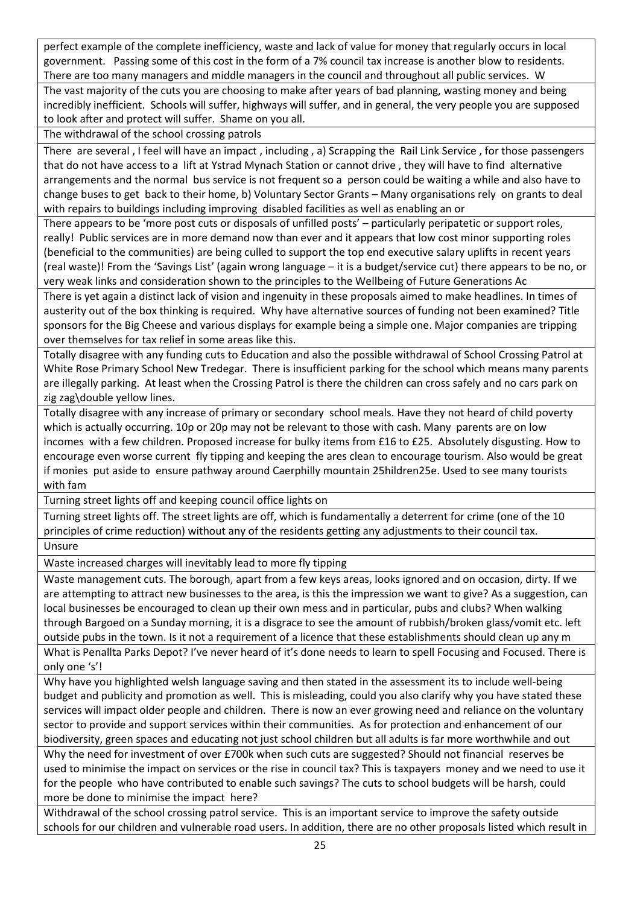perfect example of the complete inefficiency, waste and lack of value for money that regularly occurs in local government. Passing some of this cost in the form of a 7% council tax increase is another blow to residents. There are too many managers and middle managers in the council and throughout all public services. W

The vast majority of the cuts you are choosing to make after years of bad planning, wasting money and being incredibly inefficient. Schools will suffer, highways will suffer, and in general, the very people you are supposed to look after and protect will suffer. Shame on you all.

The withdrawal of the school crossing patrols

There are several , I feel will have an impact , including , a) Scrapping the Rail Link Service , for those passengers that do not have access to a lift at Ystrad Mynach Station or cannot drive , they will have to find alternative arrangements and the normal bus service is not frequent so a person could be waiting a while and also have to change buses to get back to their home, b) Voluntary Sector Grants – Many organisations rely on grants to deal with repairs to buildings including improving disabled facilities as well as enabling an or

There appears to be 'more post cuts or disposals of unfilled posts' – particularly peripatetic or support roles, really! Public services are in more demand now than ever and it appears that low cost minor supporting roles (beneficial to the communities) are being culled to support the top end executive salary uplifts in recent years (real waste)! From the 'Savings List' (again wrong language – it is a budget/service cut) there appears to be no, or very weak links and consideration shown to the principles to the Wellbeing of Future Generations Ac

There is yet again a distinct lack of vision and ingenuity in these proposals aimed to make headlines. In times of austerity out of the box thinking is required. Why have alternative sources of funding not been examined? Title sponsors for the Big Cheese and various displays for example being a simple one. Major companies are tripping over themselves for tax relief in some areas like this.

Totally disagree with any funding cuts to Education and also the possible withdrawal of School Crossing Patrol at White Rose Primary School New Tredegar. There is insufficient parking for the school which means many parents are illegally parking. At least when the Crossing Patrol is there the children can cross safely and no cars park on zig zag\double yellow lines.

Totally disagree with any increase of primary or secondary school meals. Have they not heard of child poverty which is actually occurring. 10p or 20p may not be relevant to those with cash. Many parents are on low incomes with a few children. Proposed increase for bulky items from £16 to £25. Absolutely disgusting. How to encourage even worse current fly tipping and keeping the ares clean to encourage tourism. Also would be great if monies put aside to ensure pathway around Caerphilly mountain 25hildren25e. Used to see many tourists with fam

Turning street lights off and keeping council office lights on

Turning street lights off. The street lights are off, which is fundamentally a deterrent for crime (one of the 10 principles of crime reduction) without any of the residents getting any adjustments to their council tax. Unsure

Waste increased charges will inevitably lead to more fly tipping

Waste management cuts. The borough, apart from a few keys areas, looks ignored and on occasion, dirty. If we are attempting to attract new businesses to the area, is this the impression we want to give? As a suggestion, can local businesses be encouraged to clean up their own mess and in particular, pubs and clubs? When walking through Bargoed on a Sunday morning, it is a disgrace to see the amount of rubbish/broken glass/vomit etc. left outside pubs in the town. Is it not a requirement of a licence that these establishments should clean up any m

What is Penallta Parks Depot? I've never heard of it's done needs to learn to spell Focusing and Focused. There is only one 's'!

Why have you highlighted welsh language saving and then stated in the assessment its to include well-being budget and publicity and promotion as well. This is misleading, could you also clarify why you have stated these services will impact older people and children. There is now an ever growing need and reliance on the voluntary sector to provide and support services within their communities. As for protection and enhancement of our biodiversity, green spaces and educating not just school children but all adults is far more worthwhile and out

Why the need for investment of over £700k when such cuts are suggested? Should not financial reserves be used to minimise the impact on services or the rise in council tax? This is taxpayers money and we need to use it for the people who have contributed to enable such savings? The cuts to school budgets will be harsh, could more be done to minimise the impact here?

Withdrawal of the school crossing patrol service. This is an important service to improve the safety outside schools for our children and vulnerable road users. In addition, there are no other proposals listed which result in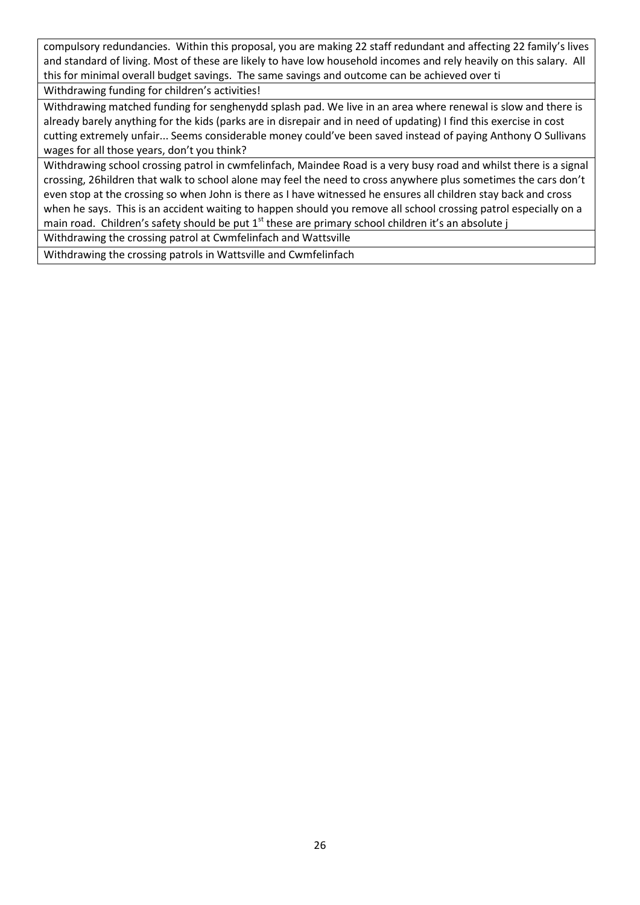compulsory redundancies. Within this proposal, you are making 22 staff redundant and affecting 22 family's lives and standard of living. Most of these are likely to have low household incomes and rely heavily on this salary. All this for minimal overall budget savings. The same savings and outcome can be achieved over ti

Withdrawing funding for children's activities!

Withdrawing matched funding for senghenydd splash pad. We live in an area where renewal is slow and there is already barely anything for the kids (parks are in disrepair and in need of updating) I find this exercise in cost cutting extremely unfair... Seems considerable money could've been saved instead of paying Anthony O Sullivans wages for all those years, don't you think?

Withdrawing school crossing patrol in cwmfelinfach, Maindee Road is a very busy road and whilst there is a signal crossing, 26hildren that walk to school alone may feel the need to cross anywhere plus sometimes the cars don't even stop at the crossing so when John is there as I have witnessed he ensures all children stay back and cross when he says. This is an accident waiting to happen should you remove all school crossing patrol especially on a main road. Children's safety should be put  $1<sup>st</sup>$  these are primary school children it's an absolute j

Withdrawing the crossing patrol at Cwmfelinfach and Wattsville

Withdrawing the crossing patrols in Wattsville and Cwmfelinfach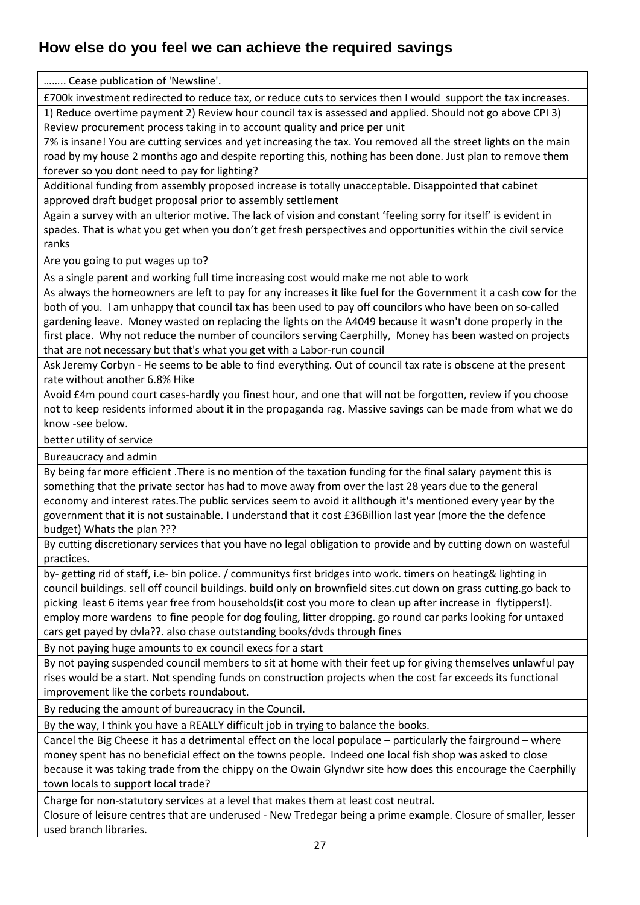#### <span id="page-26-0"></span>**How else do you feel we can achieve the required savings**

…….. Cease publication of 'Newsline'.

£700k investment redirected to reduce tax, or reduce cuts to services then I would support the tax increases.

1) Reduce overtime payment 2) Review hour council tax is assessed and applied. Should not go above CPI 3) Review procurement process taking in to account quality and price per unit

7% is insane! You are cutting services and yet increasing the tax. You removed all the street lights on the main road by my house 2 months ago and despite reporting this, nothing has been done. Just plan to remove them forever so you dont need to pay for lighting?

Additional funding from assembly proposed increase is totally unacceptable. Disappointed that cabinet approved draft budget proposal prior to assembly settlement

Again a survey with an ulterior motive. The lack of vision and constant 'feeling sorry for itself' is evident in spades. That is what you get when you don't get fresh perspectives and opportunities within the civil service ranks

Are you going to put wages up to?

As a single parent and working full time increasing cost would make me not able to work

As always the homeowners are left to pay for any increases it like fuel for the Government it a cash cow for the both of you. I am unhappy that council tax has been used to pay off councilors who have been on so-called gardening leave. Money wasted on replacing the lights on the A4049 because it wasn't done properly in the first place. Why not reduce the number of councilors serving Caerphilly, Money has been wasted on projects that are not necessary but that's what you get with a Labor-run council

Ask Jeremy Corbyn - He seems to be able to find everything. Out of council tax rate is obscene at the present rate without another 6.8% Hike

Avoid £4m pound court cases-hardly you finest hour, and one that will not be forgotten, review if you choose not to keep residents informed about it in the propaganda rag. Massive savings can be made from what we do know -see below.

better utility of service

Bureaucracy and admin

By being far more efficient .There is no mention of the taxation funding for the final salary payment this is something that the private sector has had to move away from over the last 28 years due to the general economy and interest rates.The public services seem to avoid it allthough it's mentioned every year by the government that it is not sustainable. I understand that it cost £36Billion last year (more the the defence budget) Whats the plan ???

By cutting discretionary services that you have no legal obligation to provide and by cutting down on wasteful practices.

by- getting rid of staff, i.e- bin police. / communitys first bridges into work. timers on heating& lighting in council buildings. sell off council buildings. build only on brownfield sites.cut down on grass cutting.go back to picking least 6 items year free from households(it cost you more to clean up after increase in flytippers!). employ more wardens to fine people for dog fouling, litter dropping. go round car parks looking for untaxed cars get payed by dvla??. also chase outstanding books/dvds through fines

By not paying huge amounts to ex council execs for a start

By not paying suspended council members to sit at home with their feet up for giving themselves unlawful pay rises would be a start. Not spending funds on construction projects when the cost far exceeds its functional improvement like the corbets roundabout.

By reducing the amount of bureaucracy in the Council.

By the way, I think you have a REALLY difficult job in trying to balance the books.

Cancel the Big Cheese it has a detrimental effect on the local populace – particularly the fairground – where money spent has no beneficial effect on the towns people. Indeed one local fish shop was asked to close because it was taking trade from the chippy on the Owain Glyndwr site how does this encourage the Caerphilly town locals to support local trade?

Charge for non-statutory services at a level that makes them at least cost neutral.

Closure of leisure centres that are underused - New Tredegar being a prime example. Closure of smaller, lesser used branch libraries.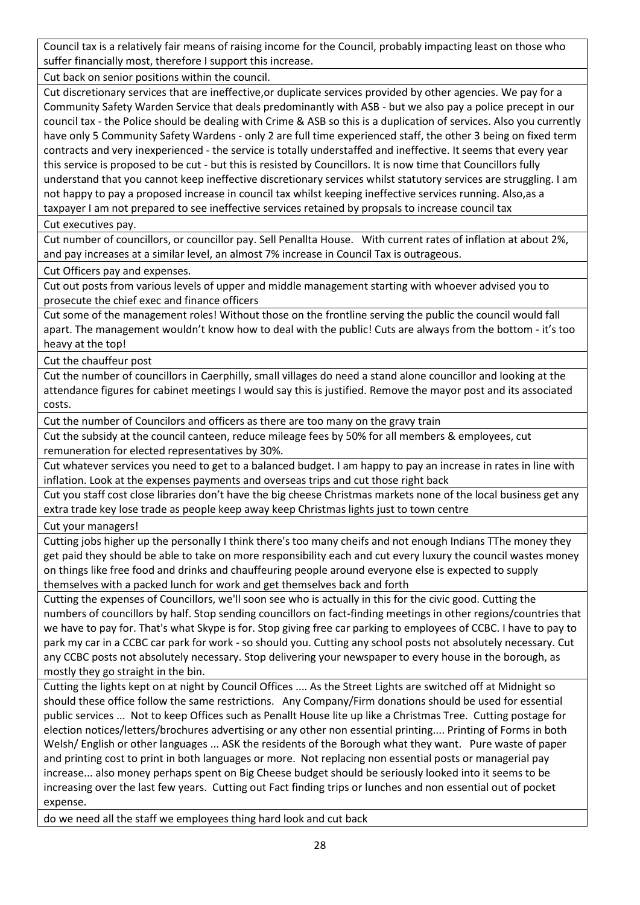Council tax is a relatively fair means of raising income for the Council, probably impacting least on those who suffer financially most, therefore I support this increase.

Cut back on senior positions within the council.

Cut discretionary services that are ineffective,or duplicate services provided by other agencies. We pay for a Community Safety Warden Service that deals predominantly with ASB - but we also pay a police precept in our council tax - the Police should be dealing with Crime & ASB so this is a duplication of services. Also you currently have only 5 Community Safety Wardens - only 2 are full time experienced staff, the other 3 being on fixed term contracts and very inexperienced - the service is totally understaffed and ineffective. It seems that every year this service is proposed to be cut - but this is resisted by Councillors. It is now time that Councillors fully understand that you cannot keep ineffective discretionary services whilst statutory services are struggling. I am not happy to pay a proposed increase in council tax whilst keeping ineffective services running. Also,as a taxpayer I am not prepared to see ineffective services retained by propsals to increase council tax

Cut executives pay.

Cut number of councillors, or councillor pay. Sell Penallta House. With current rates of inflation at about 2%, and pay increases at a similar level, an almost 7% increase in Council Tax is outrageous.

Cut Officers pay and expenses.

Cut out posts from various levels of upper and middle management starting with whoever advised you to prosecute the chief exec and finance officers

Cut some of the management roles! Without those on the frontline serving the public the council would fall apart. The management wouldn't know how to deal with the public! Cuts are always from the bottom - it's too heavy at the top!

Cut the chauffeur post

Cut the number of councillors in Caerphilly, small villages do need a stand alone councillor and looking at the attendance figures for cabinet meetings I would say this is justified. Remove the mayor post and its associated costs.

Cut the number of Councilors and officers as there are too many on the gravy train

Cut the subsidy at the council canteen, reduce mileage fees by 50% for all members & employees, cut remuneration for elected representatives by 30%.

Cut whatever services you need to get to a balanced budget. I am happy to pay an increase in rates in line with inflation. Look at the expenses payments and overseas trips and cut those right back

Cut you staff cost close libraries don't have the big cheese Christmas markets none of the local business get any extra trade key lose trade as people keep away keep Christmas lights just to town centre

Cut your managers!

Cutting jobs higher up the personally I think there's too many cheifs and not enough Indians TThe money they get paid they should be able to take on more responsibility each and cut every luxury the council wastes money on things like free food and drinks and chauffeuring people around everyone else is expected to supply themselves with a packed lunch for work and get themselves back and forth

Cutting the expenses of Councillors, we'll soon see who is actually in this for the civic good. Cutting the numbers of councillors by half. Stop sending councillors on fact-finding meetings in other regions/countries that we have to pay for. That's what Skype is for. Stop giving free car parking to employees of CCBC. I have to pay to park my car in a CCBC car park for work - so should you. Cutting any school posts not absolutely necessary. Cut any CCBC posts not absolutely necessary. Stop delivering your newspaper to every house in the borough, as mostly they go straight in the bin.

Cutting the lights kept on at night by Council Offices .... As the Street Lights are switched off at Midnight so should these office follow the same restrictions. Any Company/Firm donations should be used for essential public services ... Not to keep Offices such as Penallt House lite up like a Christmas Tree. Cutting postage for election notices/letters/brochures advertising or any other non essential printing.... Printing of Forms in both Welsh/ English or other languages ... ASK the residents of the Borough what they want. Pure waste of paper and printing cost to print in both languages or more. Not replacing non essential posts or managerial pay increase... also money perhaps spent on Big Cheese budget should be seriously looked into it seems to be increasing over the last few years. Cutting out Fact finding trips or lunches and non essential out of pocket expense.

do we need all the staff we employees thing hard look and cut back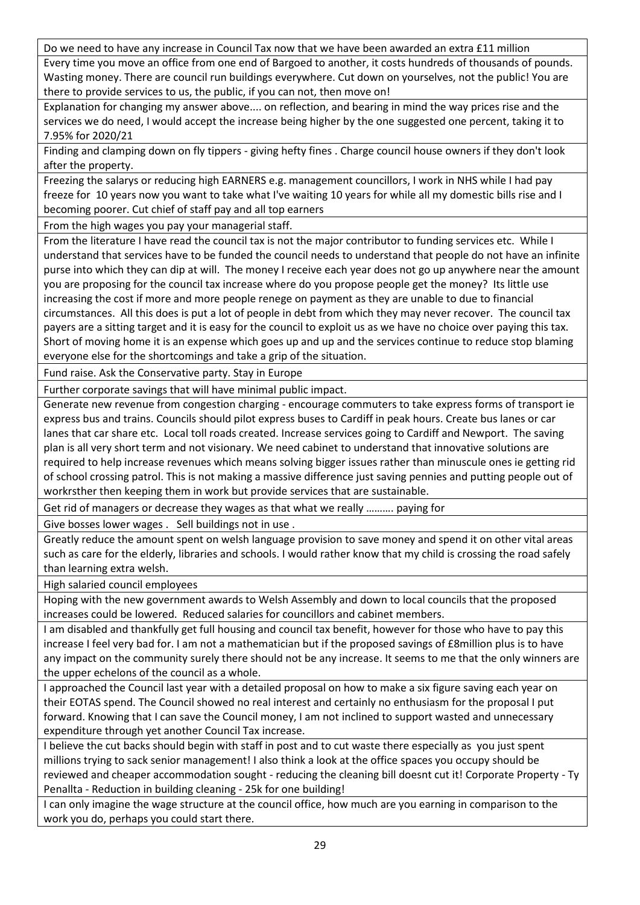Do we need to have any increase in Council Tax now that we have been awarded an extra £11 million Every time you move an office from one end of Bargoed to another, it costs hundreds of thousands of pounds. Wasting money. There are council run buildings everywhere. Cut down on yourselves, not the public! You are there to provide services to us, the public, if you can not, then move on!

Explanation for changing my answer above.... on reflection, and bearing in mind the way prices rise and the services we do need, I would accept the increase being higher by the one suggested one percent, taking it to 7.95% for 2020/21

Finding and clamping down on fly tippers - giving hefty fines . Charge council house owners if they don't look after the property.

Freezing the salarys or reducing high EARNERS e.g. management councillors, I work in NHS while I had pay freeze for 10 years now you want to take what I've waiting 10 years for while all my domestic bills rise and I becoming poorer. Cut chief of staff pay and all top earners

From the high wages you pay your managerial staff.

From the literature I have read the council tax is not the major contributor to funding services etc. While I understand that services have to be funded the council needs to understand that people do not have an infinite purse into which they can dip at will. The money I receive each year does not go up anywhere near the amount you are proposing for the council tax increase where do you propose people get the money? Its little use increasing the cost if more and more people renege on payment as they are unable to due to financial circumstances. All this does is put a lot of people in debt from which they may never recover. The council tax payers are a sitting target and it is easy for the council to exploit us as we have no choice over paying this tax. Short of moving home it is an expense which goes up and up and the services continue to reduce stop blaming everyone else for the shortcomings and take a grip of the situation.

Fund raise. Ask the Conservative party. Stay in Europe

Further corporate savings that will have minimal public impact.

Generate new revenue from congestion charging - encourage commuters to take express forms of transport ie express bus and trains. Councils should pilot express buses to Cardiff in peak hours. Create bus lanes or car lanes that car share etc. Local toll roads created. Increase services going to Cardiff and Newport. The saving plan is all very short term and not visionary. We need cabinet to understand that innovative solutions are required to help increase revenues which means solving bigger issues rather than minuscule ones ie getting rid of school crossing patrol. This is not making a massive difference just saving pennies and putting people out of workrsther then keeping them in work but provide services that are sustainable.

Get rid of managers or decrease they wages as that what we really ………. paying for

Give bosses lower wages . Sell buildings not in use .

Greatly reduce the amount spent on welsh language provision to save money and spend it on other vital areas such as care for the elderly, libraries and schools. I would rather know that my child is crossing the road safely than learning extra welsh.

High salaried council employees

Hoping with the new government awards to Welsh Assembly and down to local councils that the proposed increases could be lowered. Reduced salaries for councillors and cabinet members.

I am disabled and thankfully get full housing and council tax benefit, however for those who have to pay this increase I feel very bad for. I am not a mathematician but if the proposed savings of £8million plus is to have any impact on the community surely there should not be any increase. It seems to me that the only winners are the upper echelons of the council as a whole.

I approached the Council last year with a detailed proposal on how to make a six figure saving each year on their EOTAS spend. The Council showed no real interest and certainly no enthusiasm for the proposal I put forward. Knowing that I can save the Council money, I am not inclined to support wasted and unnecessary expenditure through yet another Council Tax increase.

I believe the cut backs should begin with staff in post and to cut waste there especially as you just spent millions trying to sack senior management! I also think a look at the office spaces you occupy should be reviewed and cheaper accommodation sought - reducing the cleaning bill doesnt cut it! Corporate Property - Ty Penallta - Reduction in building cleaning - 25k for one building!

I can only imagine the wage structure at the council office, how much are you earning in comparison to the work you do, perhaps you could start there.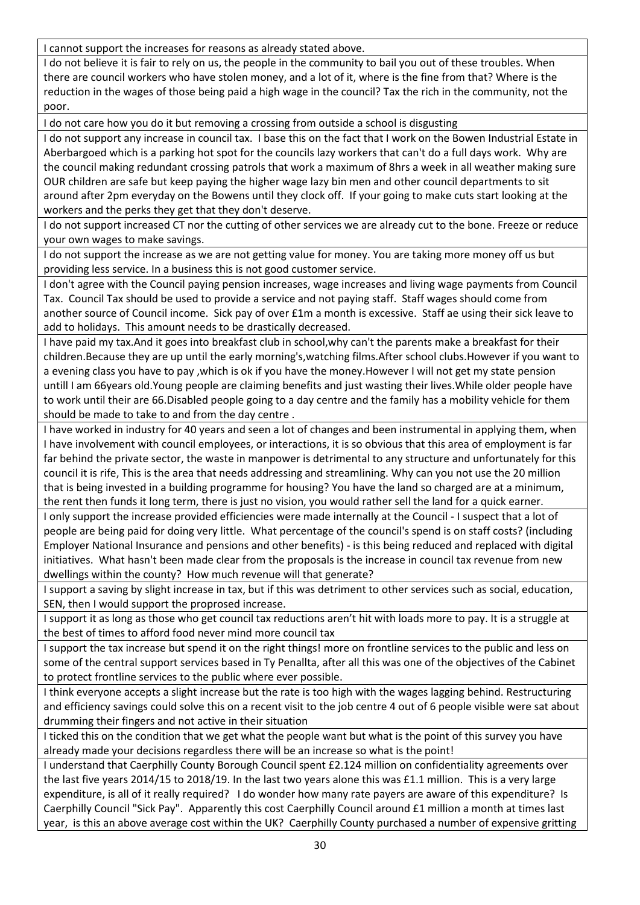I cannot support the increases for reasons as already stated above.

I do not believe it is fair to rely on us, the people in the community to bail you out of these troubles. When there are council workers who have stolen money, and a lot of it, where is the fine from that? Where is the reduction in the wages of those being paid a high wage in the council? Tax the rich in the community, not the poor.

I do not care how you do it but removing a crossing from outside a school is disgusting

I do not support any increase in council tax. I base this on the fact that I work on the Bowen Industrial Estate in Aberbargoed which is a parking hot spot for the councils lazy workers that can't do a full days work. Why are the council making redundant crossing patrols that work a maximum of 8hrs a week in all weather making sure OUR children are safe but keep paying the higher wage lazy bin men and other council departments to sit around after 2pm everyday on the Bowens until they clock off. If your going to make cuts start looking at the workers and the perks they get that they don't deserve.

I do not support increased CT nor the cutting of other services we are already cut to the bone. Freeze or reduce your own wages to make savings.

I do not support the increase as we are not getting value for money. You are taking more money off us but providing less service. In a business this is not good customer service.

I don't agree with the Council paying pension increases, wage increases and living wage payments from Council Tax. Council Tax should be used to provide a service and not paying staff. Staff wages should come from another source of Council income. Sick pay of over £1m a month is excessive. Staff ae using their sick leave to add to holidays. This amount needs to be drastically decreased.

I have paid my tax.And it goes into breakfast club in school,why can't the parents make a breakfast for their children.Because they are up until the early morning's,watching films.After school clubs.However if you want to a evening class you have to pay ,which is ok if you have the money.However I will not get my state pension untill I am 66years old.Young people are claiming benefits and just wasting their lives.While older people have to work until their are 66.Disabled people going to a day centre and the family has a mobility vehicle for them should be made to take to and from the day centre .

I have worked in industry for 40 years and seen a lot of changes and been instrumental in applying them, when I have involvement with council employees, or interactions, it is so obvious that this area of employment is far far behind the private sector, the waste in manpower is detrimental to any structure and unfortunately for this council it is rife, This is the area that needs addressing and streamlining. Why can you not use the 20 million that is being invested in a building programme for housing? You have the land so charged are at a minimum, the rent then funds it long term, there is just no vision, you would rather sell the land for a quick earner.

I only support the increase provided efficiencies were made internally at the Council - I suspect that a lot of people are being paid for doing very little. What percentage of the council's spend is on staff costs? (including Employer National Insurance and pensions and other benefits) - is this being reduced and replaced with digital initiatives. What hasn't been made clear from the proposals is the increase in council tax revenue from new dwellings within the county? How much revenue will that generate?

I support a saving by slight increase in tax, but if this was detriment to other services such as social, education, SEN, then I would support the proprosed increase.

I support it as long as those who get council tax reductions aren't hit with loads more to pay. It is a struggle at the best of times to afford food never mind more council tax

I support the tax increase but spend it on the right things! more on frontline services to the public and less on some of the central support services based in Ty Penallta, after all this was one of the objectives of the Cabinet to protect frontline services to the public where ever possible.

I think everyone accepts a slight increase but the rate is too high with the wages lagging behind. Restructuring and efficiency savings could solve this on a recent visit to the job centre 4 out of 6 people visible were sat about drumming their fingers and not active in their situation

I ticked this on the condition that we get what the people want but what is the point of this survey you have already made your decisions regardless there will be an increase so what is the point!

I understand that Caerphilly County Borough Council spent £2.124 million on confidentiality agreements over the last five years 2014/15 to 2018/19. In the last two years alone this was £1.1 million. This is a very large expenditure, is all of it really required? I do wonder how many rate payers are aware of this expenditure? Is Caerphilly Council "Sick Pay". Apparently this cost Caerphilly Council around £1 million a month at times last year, is this an above average cost within the UK? Caerphilly County purchased a number of expensive gritting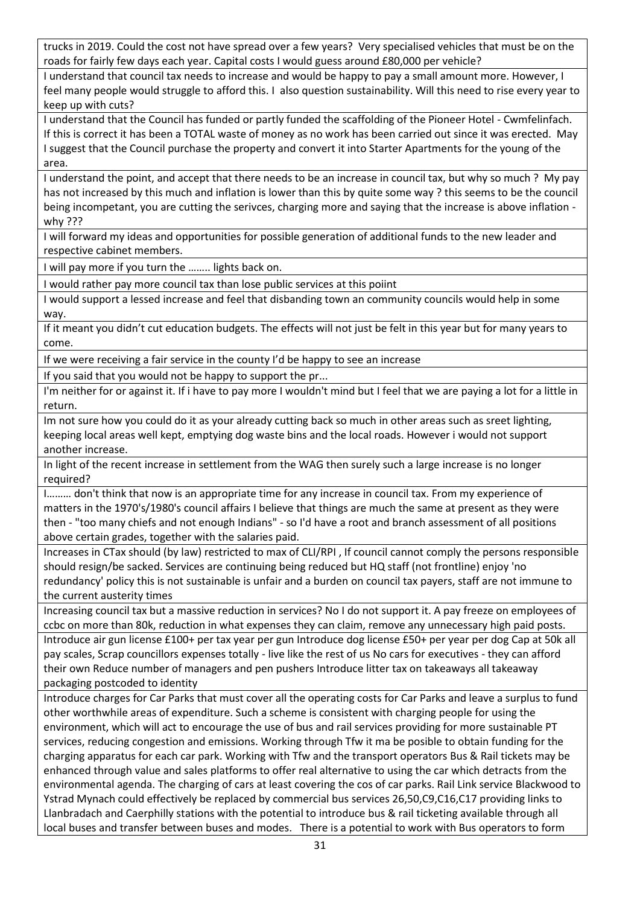trucks in 2019. Could the cost not have spread over a few years? Very specialised vehicles that must be on the roads for fairly few days each year. Capital costs I would guess around £80,000 per vehicle?

I understand that council tax needs to increase and would be happy to pay a small amount more. However, I feel many people would struggle to afford this. I also question sustainability. Will this need to rise every year to keep up with cuts?

I understand that the Council has funded or partly funded the scaffolding of the Pioneer Hotel - Cwmfelinfach. If this is correct it has been a TOTAL waste of money as no work has been carried out since it was erected. May I suggest that the Council purchase the property and convert it into Starter Apartments for the young of the area.

I understand the point, and accept that there needs to be an increase in council tax, but why so much ? My pay has not increased by this much and inflation is lower than this by quite some way ? this seems to be the council being incompetant, you are cutting the serivces, charging more and saying that the increase is above inflation why ???

I will forward my ideas and opportunities for possible generation of additional funds to the new leader and respective cabinet members.

I will pay more if you turn the …….. lights back on.

I would rather pay more council tax than lose public services at this poiint

I would support a lessed increase and feel that disbanding town an community councils would help in some way.

If it meant you didn't cut education budgets. The effects will not just be felt in this year but for many years to come.

If we were receiving a fair service in the county I'd be happy to see an increase

If you said that you would not be happy to support the pr...

I'm neither for or against it. If i have to pay more I wouldn't mind but I feel that we are paying a lot for a little in return.

Im not sure how you could do it as your already cutting back so much in other areas such as sreet lighting, keeping local areas well kept, emptying dog waste bins and the local roads. However i would not support another increase.

In light of the recent increase in settlement from the WAG then surely such a large increase is no longer required?

I……… don't think that now is an appropriate time for any increase in council tax. From my experience of matters in the 1970's/1980's council affairs I believe that things are much the same at present as they were then - "too many chiefs and not enough Indians" - so I'd have a root and branch assessment of all positions above certain grades, together with the salaries paid.

Increases in CTax should (by law) restricted to max of CLI/RPI , If council cannot comply the persons responsible should resign/be sacked. Services are continuing being reduced but HQ staff (not frontline) enjoy 'no redundancy' policy this is not sustainable is unfair and a burden on council tax payers, staff are not immune to the current austerity times

Increasing council tax but a massive reduction in services? No I do not support it. A pay freeze on employees of ccbc on more than 80k, reduction in what expenses they can claim, remove any unnecessary high paid posts.

Introduce air gun license £100+ per tax year per gun Introduce dog license £50+ per year per dog Cap at 50k all pay scales, Scrap councillors expenses totally - live like the rest of us No cars for executives - they can afford their own Reduce number of managers and pen pushers Introduce litter tax on takeaways all takeaway packaging postcoded to identity

Introduce charges for Car Parks that must cover all the operating costs for Car Parks and leave a surplus to fund other worthwhile areas of expenditure. Such a scheme is consistent with charging people for using the environment, which will act to encourage the use of bus and rail services providing for more sustainable PT services, reducing congestion and emissions. Working through Tfw it ma be posible to obtain funding for the charging apparatus for each car park. Working with Tfw and the transport operators Bus & Rail tickets may be enhanced through value and sales platforms to offer real alternative to using the car which detracts from the environmental agenda. The charging of cars at least covering the cos of car parks. Rail Link service Blackwood to Ystrad Mynach could effectively be replaced by commercial bus services 26,50,C9,C16,C17 providing links to Llanbradach and Caerphilly stations with the potential to introduce bus & rail ticketing available through all local buses and transfer between buses and modes. There is a potential to work with Bus operators to form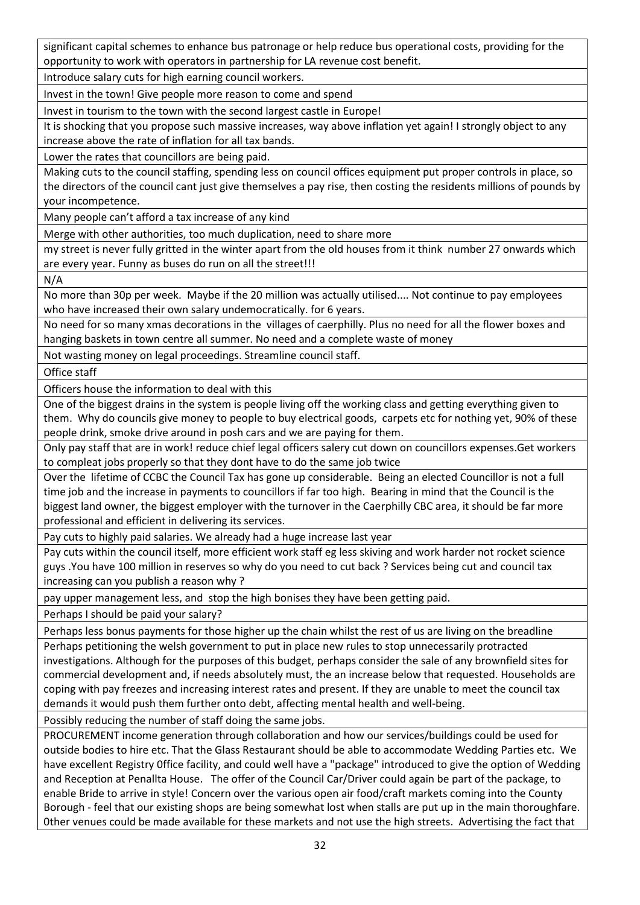significant capital schemes to enhance bus patronage or help reduce bus operational costs, providing for the opportunity to work with operators in partnership for LA revenue cost benefit.

Introduce salary cuts for high earning council workers.

Invest in the town! Give people more reason to come and spend

Invest in tourism to the town with the second largest castle in Europe!

It is shocking that you propose such massive increases, way above inflation yet again! I strongly object to any increase above the rate of inflation for all tax bands.

Lower the rates that councillors are being paid.

Making cuts to the council staffing, spending less on council offices equipment put proper controls in place, so the directors of the council cant just give themselves a pay rise, then costing the residents millions of pounds by your incompetence.

Many people can't afford a tax increase of any kind

Merge with other authorities, too much duplication, need to share more

my street is never fully gritted in the winter apart from the old houses from it think number 27 onwards which are every year. Funny as buses do run on all the street!!!

N/A

No more than 30p per week. Maybe if the 20 million was actually utilised.... Not continue to pay employees who have increased their own salary undemocratically. for 6 years.

No need for so many xmas decorations in the villages of caerphilly. Plus no need for all the flower boxes and hanging baskets in town centre all summer. No need and a complete waste of money

Not wasting money on legal proceedings. Streamline council staff.

Office staff

Officers house the information to deal with this

One of the biggest drains in the system is people living off the working class and getting everything given to them. Why do councils give money to people to buy electrical goods, carpets etc for nothing yet, 90% of these people drink, smoke drive around in posh cars and we are paying for them.

Only pay staff that are in work! reduce chief legal officers salery cut down on councillors expenses.Get workers to compleat jobs properly so that they dont have to do the same job twice

Over the lifetime of CCBC the Council Tax has gone up considerable. Being an elected Councillor is not a full time job and the increase in payments to councillors if far too high. Bearing in mind that the Council is the biggest land owner, the biggest employer with the turnover in the Caerphilly CBC area, it should be far more professional and efficient in delivering its services.

Pay cuts to highly paid salaries. We already had a huge increase last year

Pay cuts within the council itself, more efficient work staff eg less skiving and work harder not rocket science guys .You have 100 million in reserves so why do you need to cut back ? Services being cut and council tax increasing can you publish a reason why ?

pay upper management less, and stop the high bonises they have been getting paid.

Perhaps I should be paid your salary?

Perhaps less bonus payments for those higher up the chain whilst the rest of us are living on the breadline Perhaps petitioning the welsh government to put in place new rules to stop unnecessarily protracted investigations. Although for the purposes of this budget, perhaps consider the sale of any brownfield sites for commercial development and, if needs absolutely must, the an increase below that requested. Households are coping with pay freezes and increasing interest rates and present. If they are unable to meet the council tax demands it would push them further onto debt, affecting mental health and well-being.

Possibly reducing the number of staff doing the same jobs.

PROCUREMENT income generation through collaboration and how our services/buildings could be used for outside bodies to hire etc. That the Glass Restaurant should be able to accommodate Wedding Parties etc. We have excellent Registry 0ffice facility, and could well have a "package" introduced to give the option of Wedding and Reception at Penallta House. The offer of the Council Car/Driver could again be part of the package, to enable Bride to arrive in style! Concern over the various open air food/craft markets coming into the County Borough - feel that our existing shops are being somewhat lost when stalls are put up in the main thoroughfare. 0ther venues could be made available for these markets and not use the high streets. Advertising the fact that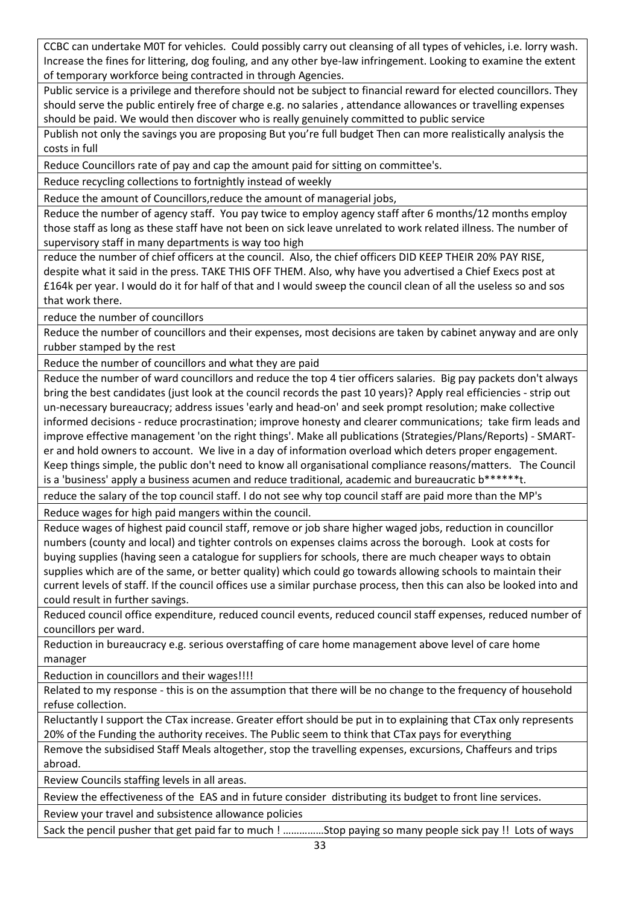CCBC can undertake M0T for vehicles. Could possibly carry out cleansing of all types of vehicles, i.e. lorry wash. Increase the fines for littering, dog fouling, and any other bye-law infringement. Looking to examine the extent of temporary workforce being contracted in through Agencies.

Public service is a privilege and therefore should not be subject to financial reward for elected councillors. They should serve the public entirely free of charge e.g. no salaries , attendance allowances or travelling expenses should be paid. We would then discover who is really genuinely committed to public service

Publish not only the savings you are proposing But you're full budget Then can more realistically analysis the costs in full

Reduce Councillors rate of pay and cap the amount paid for sitting on committee's.

Reduce recycling collections to fortnightly instead of weekly

Reduce the amount of Councillors,reduce the amount of managerial jobs,

Reduce the number of agency staff. You pay twice to employ agency staff after 6 months/12 months employ those staff as long as these staff have not been on sick leave unrelated to work related illness. The number of supervisory staff in many departments is way too high

reduce the number of chief officers at the council. Also, the chief officers DID KEEP THEIR 20% PAY RISE, despite what it said in the press. TAKE THIS OFF THEM. Also, why have you advertised a Chief Execs post at £164k per year. I would do it for half of that and I would sweep the council clean of all the useless so and sos that work there.

reduce the number of councillors

Reduce the number of councillors and their expenses, most decisions are taken by cabinet anyway and are only rubber stamped by the rest

Reduce the number of councillors and what they are paid

Reduce the number of ward councillors and reduce the top 4 tier officers salaries. Big pay packets don't always bring the best candidates (just look at the council records the past 10 years)? Apply real efficiencies - strip out un-necessary bureaucracy; address issues 'early and head-on' and seek prompt resolution; make collective informed decisions - reduce procrastination; improve honesty and clearer communications; take firm leads and improve effective management 'on the right things'. Make all publications (Strategies/Plans/Reports) - SMARTer and hold owners to account. We live in a day of information overload which deters proper engagement. Keep things simple, the public don't need to know all organisational compliance reasons/matters. The Council is a 'business' apply a business acumen and reduce traditional, academic and bureaucratic b\*\*\*\*\*\*t.

reduce the salary of the top council staff. I do not see why top council staff are paid more than the MP's

Reduce wages for high paid mangers within the council.

Reduce wages of highest paid council staff, remove or job share higher waged jobs, reduction in councillor numbers (county and local) and tighter controls on expenses claims across the borough. Look at costs for buying supplies (having seen a catalogue for suppliers for schools, there are much cheaper ways to obtain supplies which are of the same, or better quality) which could go towards allowing schools to maintain their current levels of staff. If the council offices use a similar purchase process, then this can also be looked into and could result in further savings.

Reduced council office expenditure, reduced council events, reduced council staff expenses, reduced number of councillors per ward.

Reduction in bureaucracy e.g. serious overstaffing of care home management above level of care home manager

Reduction in councillors and their wages!!!!

Related to my response - this is on the assumption that there will be no change to the frequency of household refuse collection.

Reluctantly I support the CTax increase. Greater effort should be put in to explaining that CTax only represents 20% of the Funding the authority receives. The Public seem to think that CTax pays for everything

Remove the subsidised Staff Meals altogether, stop the travelling expenses, excursions, Chaffeurs and trips abroad.

Review Councils staffing levels in all areas.

Review the effectiveness of the EAS and in future consider distributing its budget to front line services.

Review your travel and subsistence allowance policies

Sack the pencil pusher that get paid far to much ! ……………Stop paying so many people sick pay !! Lots of ways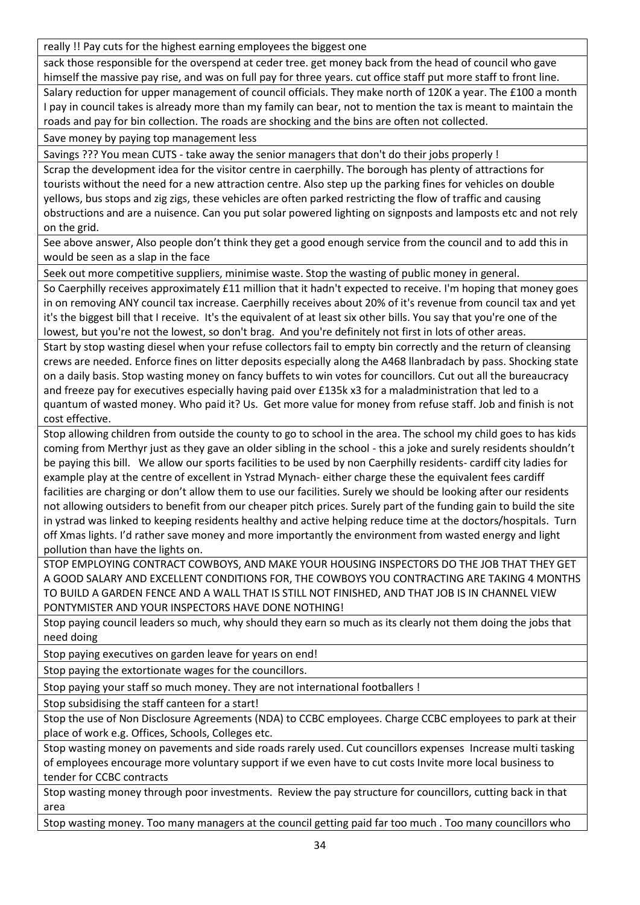really !! Pay cuts for the highest earning employees the biggest one

sack those responsible for the overspend at ceder tree. get money back from the head of council who gave himself the massive pay rise, and was on full pay for three years. cut office staff put more staff to front line.

Salary reduction for upper management of council officials. They make north of 120K a year. The £100 a month I pay in council takes is already more than my family can bear, not to mention the tax is meant to maintain the roads and pay for bin collection. The roads are shocking and the bins are often not collected.

Save money by paying top management less

Savings ??? You mean CUTS - take away the senior managers that don't do their jobs properly !

Scrap the development idea for the visitor centre in caerphilly. The borough has plenty of attractions for tourists without the need for a new attraction centre. Also step up the parking fines for vehicles on double yellows, bus stops and zig zigs, these vehicles are often parked restricting the flow of traffic and causing obstructions and are a nuisence. Can you put solar powered lighting on signposts and lamposts etc and not rely on the grid.

See above answer, Also people don't think they get a good enough service from the council and to add this in would be seen as a slap in the face

Seek out more competitive suppliers, minimise waste. Stop the wasting of public money in general.

So Caerphilly receives approximately £11 million that it hadn't expected to receive. I'm hoping that money goes in on removing ANY council tax increase. Caerphilly receives about 20% of it's revenue from council tax and yet it's the biggest bill that I receive. It's the equivalent of at least six other bills. You say that you're one of the lowest, but you're not the lowest, so don't brag. And you're definitely not first in lots of other areas.

Start by stop wasting diesel when your refuse collectors fail to empty bin correctly and the return of cleansing crews are needed. Enforce fines on litter deposits especially along the A468 llanbradach by pass. Shocking state on a daily basis. Stop wasting money on fancy buffets to win votes for councillors. Cut out all the bureaucracy and freeze pay for executives especially having paid over £135k x3 for a maladministration that led to a quantum of wasted money. Who paid it? Us. Get more value for money from refuse staff. Job and finish is not cost effective.

Stop allowing children from outside the county to go to school in the area. The school my child goes to has kids coming from Merthyr just as they gave an older sibling in the school - this a joke and surely residents shouldn't be paying this bill. We allow our sports facilities to be used by non Caerphilly residents- cardiff city ladies for example play at the centre of excellent in Ystrad Mynach- either charge these the equivalent fees cardiff facilities are charging or don't allow them to use our facilities. Surely we should be looking after our residents not allowing outsiders to benefit from our cheaper pitch prices. Surely part of the funding gain to build the site in ystrad was linked to keeping residents healthy and active helping reduce time at the doctors/hospitals. Turn off Xmas lights. I'd rather save money and more importantly the environment from wasted energy and light pollution than have the lights on.

STOP EMPLOYING CONTRACT COWBOYS, AND MAKE YOUR HOUSING INSPECTORS DO THE JOB THAT THEY GET A GOOD SALARY AND EXCELLENT CONDITIONS FOR, THE COWBOYS YOU CONTRACTING ARE TAKING 4 MONTHS TO BUILD A GARDEN FENCE AND A WALL THAT IS STILL NOT FINISHED, AND THAT JOB IS IN CHANNEL VIEW PONTYMISTER AND YOUR INSPECTORS HAVE DONE NOTHING!

Stop paying council leaders so much, why should they earn so much as its clearly not them doing the jobs that need doing

Stop paying executives on garden leave for years on end!

Stop paying the extortionate wages for the councillors.

Stop paying your staff so much money. They are not international footballers !

Stop subsidising the staff canteen for a start!

Stop the use of Non Disclosure Agreements (NDA) to CCBC employees. Charge CCBC employees to park at their place of work e.g. Offices, Schools, Colleges etc.

Stop wasting money on pavements and side roads rarely used. Cut councillors expenses Increase multi tasking of employees encourage more voluntary support if we even have to cut costs Invite more local business to tender for CCBC contracts

Stop wasting money through poor investments. Review the pay structure for councillors, cutting back in that area

Stop wasting money. Too many managers at the council getting paid far too much . Too many councillors who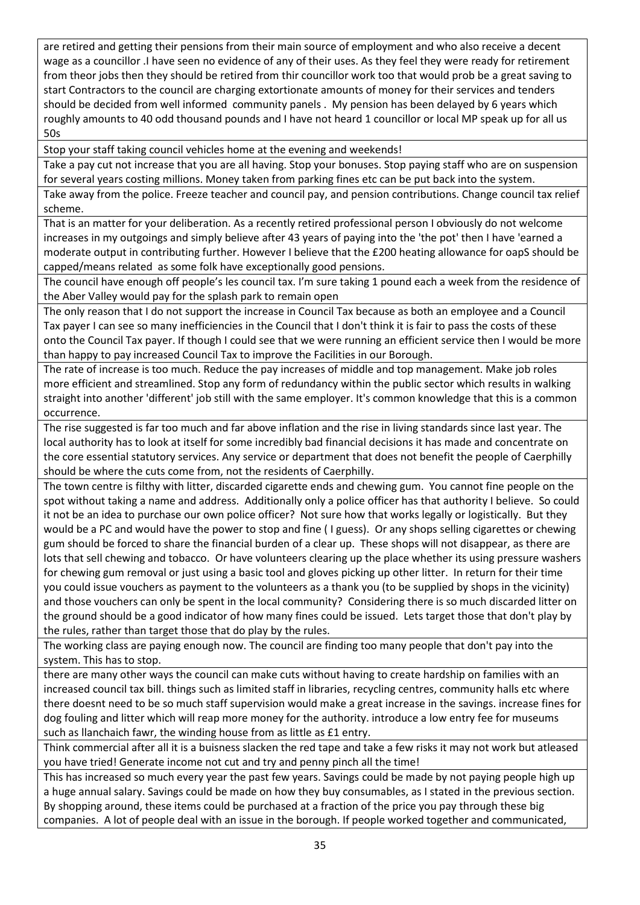are retired and getting their pensions from their main source of employment and who also receive a decent wage as a councillor .I have seen no evidence of any of their uses. As they feel they were ready for retirement from theor jobs then they should be retired from thir councillor work too that would prob be a great saving to start Contractors to the council are charging extortionate amounts of money for their services and tenders should be decided from well informed community panels . My pension has been delayed by 6 years which roughly amounts to 40 odd thousand pounds and I have not heard 1 councillor or local MP speak up for all us 50s

Stop your staff taking council vehicles home at the evening and weekends!

Take a pay cut not increase that you are all having. Stop your bonuses. Stop paying staff who are on suspension for several years costing millions. Money taken from parking fines etc can be put back into the system.

Take away from the police. Freeze teacher and council pay, and pension contributions. Change council tax relief scheme.

That is an matter for your deliberation. As a recently retired professional person I obviously do not welcome increases in my outgoings and simply believe after 43 years of paying into the 'the pot' then I have 'earned a moderate output in contributing further. However I believe that the £200 heating allowance for oapS should be capped/means related as some folk have exceptionally good pensions.

The council have enough off people's les council tax. I'm sure taking 1 pound each a week from the residence of the Aber Valley would pay for the splash park to remain open

The only reason that I do not support the increase in Council Tax because as both an employee and a Council Tax payer I can see so many inefficiencies in the Council that I don't think it is fair to pass the costs of these onto the Council Tax payer. If though I could see that we were running an efficient service then I would be more than happy to pay increased Council Tax to improve the Facilities in our Borough.

The rate of increase is too much. Reduce the pay increases of middle and top management. Make job roles more efficient and streamlined. Stop any form of redundancy within the public sector which results in walking straight into another 'different' job still with the same employer. It's common knowledge that this is a common occurrence.

The rise suggested is far too much and far above inflation and the rise in living standards since last year. The local authority has to look at itself for some incredibly bad financial decisions it has made and concentrate on the core essential statutory services. Any service or department that does not benefit the people of Caerphilly should be where the cuts come from, not the residents of Caerphilly.

The town centre is filthy with litter, discarded cigarette ends and chewing gum. You cannot fine people on the spot without taking a name and address. Additionally only a police officer has that authority I believe. So could it not be an idea to purchase our own police officer? Not sure how that works legally or logistically. But they would be a PC and would have the power to stop and fine ( I guess). Or any shops selling cigarettes or chewing gum should be forced to share the financial burden of a clear up. These shops will not disappear, as there are lots that sell chewing and tobacco. Or have volunteers clearing up the place whether its using pressure washers for chewing gum removal or just using a basic tool and gloves picking up other litter. In return for their time you could issue vouchers as payment to the volunteers as a thank you (to be supplied by shops in the vicinity) and those vouchers can only be spent in the local community? Considering there is so much discarded litter on the ground should be a good indicator of how many fines could be issued. Lets target those that don't play by the rules, rather than target those that do play by the rules.

The working class are paying enough now. The council are finding too many people that don't pay into the system. This has to stop.

there are many other ways the council can make cuts without having to create hardship on families with an increased council tax bill. things such as limited staff in libraries, recycling centres, community halls etc where there doesnt need to be so much staff supervision would make a great increase in the savings. increase fines for dog fouling and litter which will reap more money for the authority. introduce a low entry fee for museums such as llanchaich fawr, the winding house from as little as £1 entry.

Think commercial after all it is a buisness slacken the red tape and take a few risks it may not work but atleased you have tried! Generate income not cut and try and penny pinch all the time!

This has increased so much every year the past few years. Savings could be made by not paying people high up a huge annual salary. Savings could be made on how they buy consumables, as I stated in the previous section. By shopping around, these items could be purchased at a fraction of the price you pay through these big companies. A lot of people deal with an issue in the borough. If people worked together and communicated,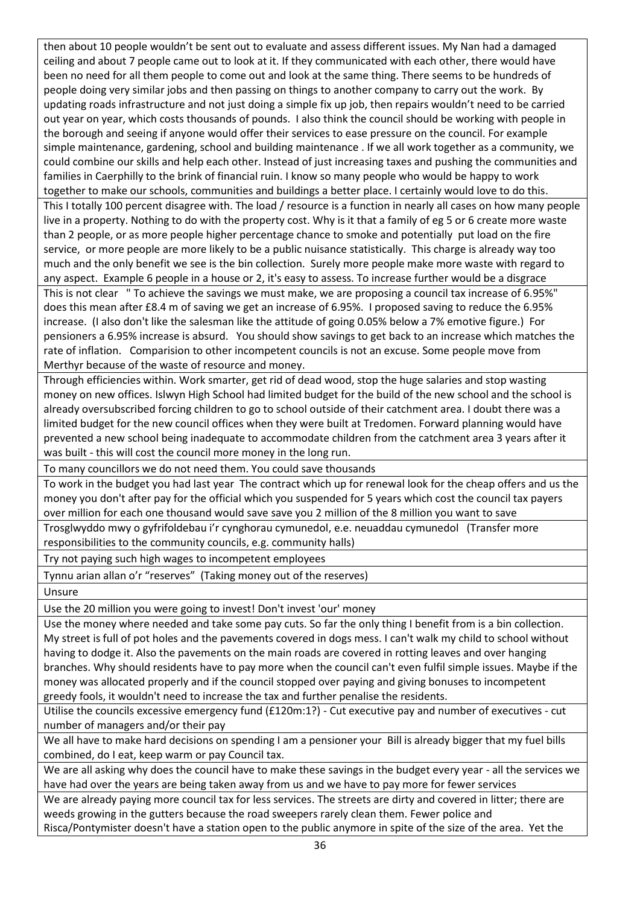then about 10 people wouldn't be sent out to evaluate and assess different issues. My Nan had a damaged ceiling and about 7 people came out to look at it. If they communicated with each other, there would have been no need for all them people to come out and look at the same thing. There seems to be hundreds of people doing very similar jobs and then passing on things to another company to carry out the work. By updating roads infrastructure and not just doing a simple fix up job, then repairs wouldn't need to be carried out year on year, which costs thousands of pounds. I also think the council should be working with people in the borough and seeing if anyone would offer their services to ease pressure on the council. For example simple maintenance, gardening, school and building maintenance . If we all work together as a community, we could combine our skills and help each other. Instead of just increasing taxes and pushing the communities and families in Caerphilly to the brink of financial ruin. I know so many people who would be happy to work together to make our schools, communities and buildings a better place. I certainly would love to do this. This I totally 100 percent disagree with. The load / resource is a function in nearly all cases on how many people live in a property. Nothing to do with the property cost. Why is it that a family of eg 5 or 6 create more waste than 2 people, or as more people higher percentage chance to smoke and potentially put load on the fire service, or more people are more likely to be a public nuisance statistically. This charge is already way too much and the only benefit we see is the bin collection. Surely more people make more waste with regard to any aspect. Example 6 people in a house or 2, it's easy to assess. To increase further would be a disgrace This is not clear " To achieve the savings we must make, we are proposing a council tax increase of 6.95%" does this mean after £8.4 m of saving we get an increase of 6.95%. I proposed saving to reduce the 6.95% increase. (I also don't like the salesman like the attitude of going 0.05% below a 7% emotive figure.) For pensioners a 6.95% increase is absurd. You should show savings to get back to an increase which matches the rate of inflation. Comparision to other incompetent councils is not an excuse. Some people move from

Merthyr because of the waste of resource and money.

Through efficiencies within. Work smarter, get rid of dead wood, stop the huge salaries and stop wasting money on new offices. Islwyn High School had limited budget for the build of the new school and the school is already oversubscribed forcing children to go to school outside of their catchment area. I doubt there was a limited budget for the new council offices when they were built at Tredomen. Forward planning would have prevented a new school being inadequate to accommodate children from the catchment area 3 years after it was built - this will cost the council more money in the long run.

To many councillors we do not need them. You could save thousands

To work in the budget you had last year The contract which up for renewal look for the cheap offers and us the money you don't after pay for the official which you suspended for 5 years which cost the council tax payers over million for each one thousand would save save you 2 million of the 8 million you want to save

Trosglwyddo mwy o gyfrifoldebau i'r cynghorau cymunedol, e.e. neuaddau cymunedol (Transfer more responsibilities to the community councils, e.g. community halls)

Try not paying such high wages to incompetent employees

Tynnu arian allan o'r "reserves" (Taking money out of the reserves)

Unsure

Use the 20 million you were going to invest! Don't invest 'our' money

Use the money where needed and take some pay cuts. So far the only thing I benefit from is a bin collection. My street is full of pot holes and the pavements covered in dogs mess. I can't walk my child to school without having to dodge it. Also the pavements on the main roads are covered in rotting leaves and over hanging branches. Why should residents have to pay more when the council can't even fulfil simple issues. Maybe if the money was allocated properly and if the council stopped over paying and giving bonuses to incompetent greedy fools, it wouldn't need to increase the tax and further penalise the residents.

Utilise the councils excessive emergency fund (£120m:1?) - Cut executive pay and number of executives - cut number of managers and/or their pay

We all have to make hard decisions on spending I am a pensioner your Bill is already bigger that my fuel bills combined, do I eat, keep warm or pay Council tax.

We are all asking why does the council have to make these savings in the budget every year - all the services we have had over the years are being taken away from us and we have to pay more for fewer services

We are already paying more council tax for less services. The streets are dirty and covered in litter; there are weeds growing in the gutters because the road sweepers rarely clean them. Fewer police and

Risca/Pontymister doesn't have a station open to the public anymore in spite of the size of the area. Yet the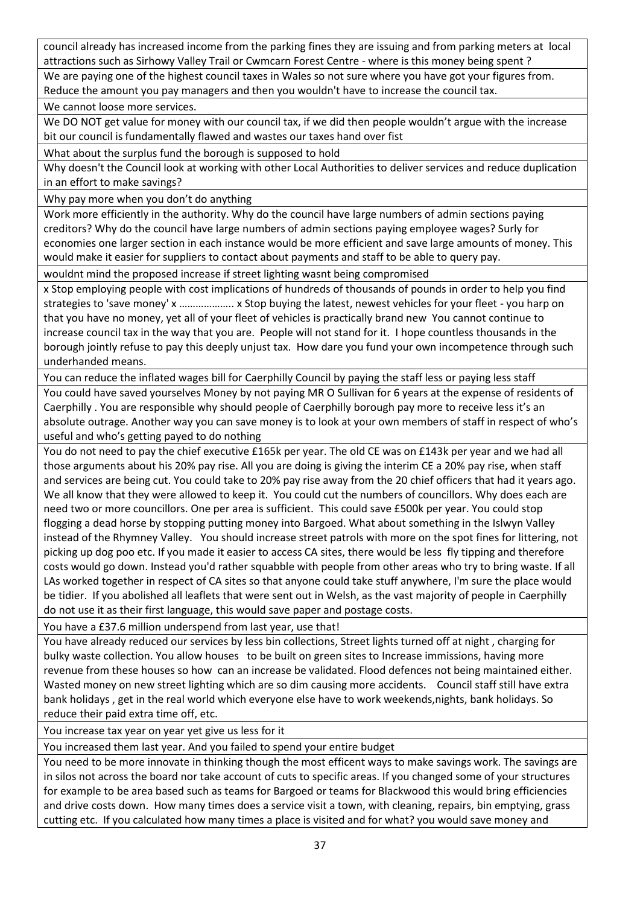council already has increased income from the parking fines they are issuing and from parking meters at local attractions such as Sirhowy Valley Trail or Cwmcarn Forest Centre - where is this money being spent ?

We are paying one of the highest council taxes in Wales so not sure where you have got your figures from. Reduce the amount you pay managers and then you wouldn't have to increase the council tax.

We cannot loose more services.

We DO NOT get value for money with our council tax, if we did then people wouldn't argue with the increase bit our council is fundamentally flawed and wastes our taxes hand over fist

What about the surplus fund the borough is supposed to hold

Why doesn't the Council look at working with other Local Authorities to deliver services and reduce duplication in an effort to make savings?

Why pay more when you don't do anything

Work more efficiently in the authority. Why do the council have large numbers of admin sections paying creditors? Why do the council have large numbers of admin sections paying employee wages? Surly for economies one larger section in each instance would be more efficient and save large amounts of money. This would make it easier for suppliers to contact about payments and staff to be able to query pay.

wouldnt mind the proposed increase if street lighting wasnt being compromised

x Stop employing people with cost implications of hundreds of thousands of pounds in order to help you find strategies to 'save money' x ……………….. x Stop buying the latest, newest vehicles for your fleet - you harp on that you have no money, yet all of your fleet of vehicles is practically brand new You cannot continue to increase council tax in the way that you are. People will not stand for it. I hope countless thousands in the borough jointly refuse to pay this deeply unjust tax. How dare you fund your own incompetence through such underhanded means.

You can reduce the inflated wages bill for Caerphilly Council by paying the staff less or paying less staff You could have saved yourselves Money by not paying MR O Sullivan for 6 years at the expense of residents of Caerphilly . You are responsible why should people of Caerphilly borough pay more to receive less it's an absolute outrage. Another way you can save money is to look at your own members of staff in respect of who's useful and who's getting payed to do nothing

You do not need to pay the chief executive £165k per year. The old CE was on £143k per year and we had all those arguments about his 20% pay rise. All you are doing is giving the interim CE a 20% pay rise, when staff and services are being cut. You could take to 20% pay rise away from the 20 chief officers that had it years ago. We all know that they were allowed to keep it. You could cut the numbers of councillors. Why does each are need two or more councillors. One per area is sufficient. This could save £500k per year. You could stop flogging a dead horse by stopping putting money into Bargoed. What about something in the Islwyn Valley instead of the Rhymney Valley. You should increase street patrols with more on the spot fines for littering, not picking up dog poo etc. If you made it easier to access CA sites, there would be less fly tipping and therefore costs would go down. Instead you'd rather squabble with people from other areas who try to bring waste. If all LAs worked together in respect of CA sites so that anyone could take stuff anywhere, I'm sure the place would be tidier. If you abolished all leaflets that were sent out in Welsh, as the vast majority of people in Caerphilly do not use it as their first language, this would save paper and postage costs.

You have a £37.6 million underspend from last year, use that!

You have already reduced our services by less bin collections, Street lights turned off at night , charging for bulky waste collection. You allow houses to be built on green sites to Increase immissions, having more revenue from these houses so how can an increase be validated. Flood defences not being maintained either. Wasted money on new street lighting which are so dim causing more accidents. Council staff still have extra bank holidays , get in the real world which everyone else have to work weekends,nights, bank holidays. So reduce their paid extra time off, etc.

You increase tax year on year yet give us less for it

You increased them last year. And you failed to spend your entire budget

You need to be more innovate in thinking though the most efficent ways to make savings work. The savings are in silos not across the board nor take account of cuts to specific areas. If you changed some of your structures for example to be area based such as teams for Bargoed or teams for Blackwood this would bring efficiencies and drive costs down. How many times does a service visit a town, with cleaning, repairs, bin emptying, grass cutting etc. If you calculated how many times a place is visited and for what? you would save money and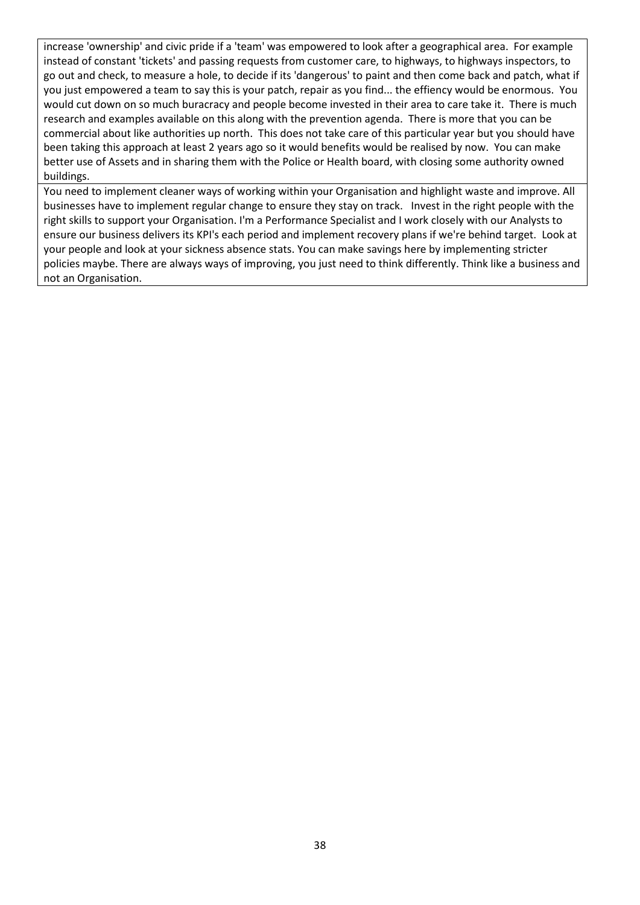increase 'ownership' and civic pride if a 'team' was empowered to look after a geographical area. For example instead of constant 'tickets' and passing requests from customer care, to highways, to highways inspectors, to go out and check, to measure a hole, to decide if its 'dangerous' to paint and then come back and patch, what if you just empowered a team to say this is your patch, repair as you find... the effiency would be enormous. You would cut down on so much buracracy and people become invested in their area to care take it. There is much research and examples available on this along with the prevention agenda. There is more that you can be commercial about like authorities up north. This does not take care of this particular year but you should have been taking this approach at least 2 years ago so it would benefits would be realised by now. You can make better use of Assets and in sharing them with the Police or Health board, with closing some authority owned buildings.

You need to implement cleaner ways of working within your Organisation and highlight waste and improve. All businesses have to implement regular change to ensure they stay on track. Invest in the right people with the right skills to support your Organisation. I'm a Performance Specialist and I work closely with our Analysts to ensure our business delivers its KPI's each period and implement recovery plans if we're behind target. Look at your people and look at your sickness absence stats. You can make savings here by implementing stricter policies maybe. There are always ways of improving, you just need to think differently. Think like a business and not an Organisation.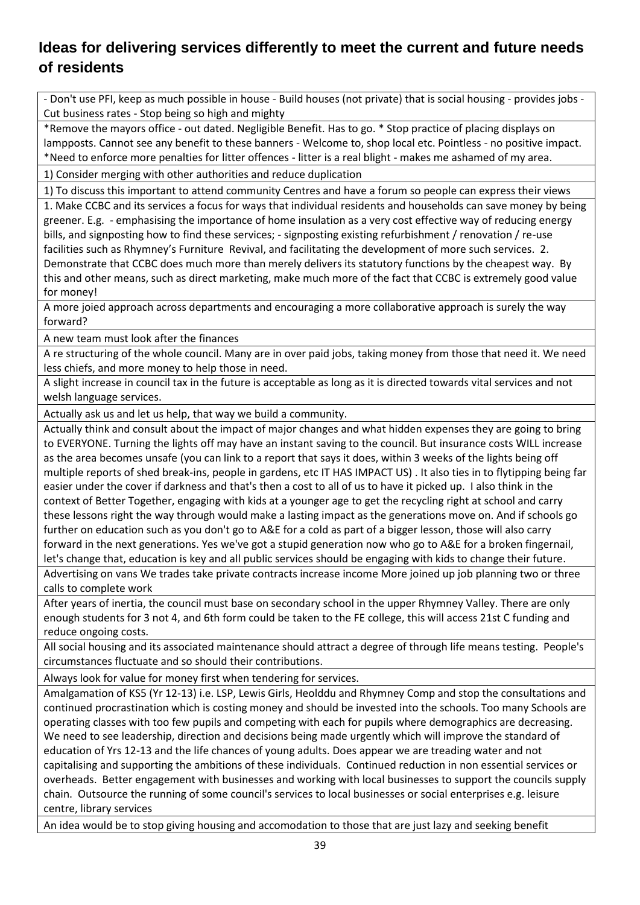### <span id="page-38-0"></span>**Ideas for delivering services differently to meet the current and future needs of residents**

- Don't use PFI, keep as much possible in house - Build houses (not private) that is social housing - provides jobs - Cut business rates - Stop being so high and mighty

\*Remove the mayors office - out dated. Negligible Benefit. Has to go. \* Stop practice of placing displays on lampposts. Cannot see any benefit to these banners - Welcome to, shop local etc. Pointless - no positive impact. \*Need to enforce more penalties for litter offences - litter is a real blight - makes me ashamed of my area.

1) Consider merging with other authorities and reduce duplication

1) To discuss this important to attend community Centres and have a forum so people can express their views 1. Make CCBC and its services a focus for ways that individual residents and households can save money by being greener. E.g. - emphasising the importance of home insulation as a very cost effective way of reducing energy bills, and signposting how to find these services; - signposting existing refurbishment / renovation / re-use facilities such as Rhymney's Furniture Revival, and facilitating the development of more such services. 2. Demonstrate that CCBC does much more than merely delivers its statutory functions by the cheapest way. By this and other means, such as direct marketing, make much more of the fact that CCBC is extremely good value for money!

A more joied approach across departments and encouraging a more collaborative approach is surely the way forward?

A new team must look after the finances

A re structuring of the whole council. Many are in over paid jobs, taking money from those that need it. We need less chiefs, and more money to help those in need.

A slight increase in council tax in the future is acceptable as long as it is directed towards vital services and not welsh language services.

Actually ask us and let us help, that way we build a community.

Actually think and consult about the impact of major changes and what hidden expenses they are going to bring to EVERYONE. Turning the lights off may have an instant saving to the council. But insurance costs WILL increase as the area becomes unsafe (you can link to a report that says it does, within 3 weeks of the lights being off multiple reports of shed break-ins, people in gardens, etc IT HAS IMPACT US) . It also ties in to flytipping being far easier under the cover if darkness and that's then a cost to all of us to have it picked up. I also think in the context of Better Together, engaging with kids at a younger age to get the recycling right at school and carry these lessons right the way through would make a lasting impact as the generations move on. And if schools go further on education such as you don't go to A&E for a cold as part of a bigger lesson, those will also carry forward in the next generations. Yes we've got a stupid generation now who go to A&E for a broken fingernail, let's change that, education is key and all public services should be engaging with kids to change their future. Advertising on vans We trades take private contracts increase income More joined up job planning two or three

calls to complete work

After years of inertia, the council must base on secondary school in the upper Rhymney Valley. There are only enough students for 3 not 4, and 6th form could be taken to the FE college, this will access 21st C funding and reduce ongoing costs.

All social housing and its associated maintenance should attract a degree of through life means testing. People's circumstances fluctuate and so should their contributions.

Always look for value for money first when tendering for services.

Amalgamation of KS5 (Yr 12-13) i.e. LSP, Lewis Girls, Heolddu and Rhymney Comp and stop the consultations and continued procrastination which is costing money and should be invested into the schools. Too many Schools are operating classes with too few pupils and competing with each for pupils where demographics are decreasing. We need to see leadership, direction and decisions being made urgently which will improve the standard of education of Yrs 12-13 and the life chances of young adults. Does appear we are treading water and not capitalising and supporting the ambitions of these individuals. Continued reduction in non essential services or overheads. Better engagement with businesses and working with local businesses to support the councils supply chain. Outsource the running of some council's services to local businesses or social enterprises e.g. leisure centre, library services

An idea would be to stop giving housing and accomodation to those that are just lazy and seeking benefit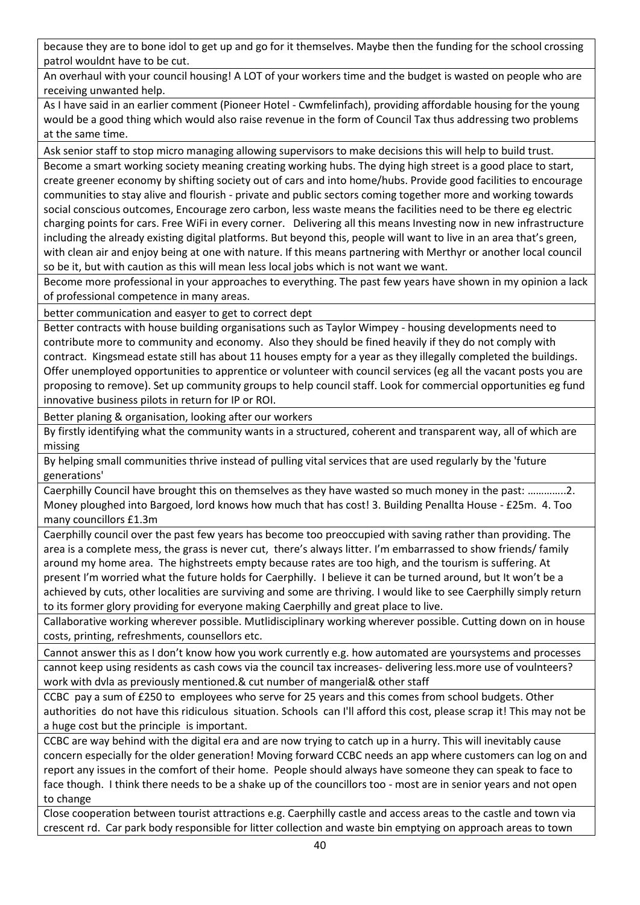because they are to bone idol to get up and go for it themselves. Maybe then the funding for the school crossing patrol wouldnt have to be cut.

An overhaul with your council housing! A LOT of your workers time and the budget is wasted on people who are receiving unwanted help.

As I have said in an earlier comment (Pioneer Hotel - Cwmfelinfach), providing affordable housing for the young would be a good thing which would also raise revenue in the form of Council Tax thus addressing two problems at the same time.

Ask senior staff to stop micro managing allowing supervisors to make decisions this will help to build trust.

Become a smart working society meaning creating working hubs. The dying high street is a good place to start, create greener economy by shifting society out of cars and into home/hubs. Provide good facilities to encourage communities to stay alive and flourish - private and public sectors coming together more and working towards social conscious outcomes, Encourage zero carbon, less waste means the facilities need to be there eg electric charging points for cars. Free WiFi in every corner. Delivering all this means Investing now in new infrastructure including the already existing digital platforms. But beyond this, people will want to live in an area that's green, with clean air and enjoy being at one with nature. If this means partnering with Merthyr or another local council so be it, but with caution as this will mean less local jobs which is not want we want.

Become more professional in your approaches to everything. The past few years have shown in my opinion a lack of professional competence in many areas.

better communication and easyer to get to correct dept

Better contracts with house building organisations such as Taylor Wimpey - housing developments need to contribute more to community and economy. Also they should be fined heavily if they do not comply with contract. Kingsmead estate still has about 11 houses empty for a year as they illegally completed the buildings. Offer unemployed opportunities to apprentice or volunteer with council services (eg all the vacant posts you are proposing to remove). Set up community groups to help council staff. Look for commercial opportunities eg fund innovative business pilots in return for IP or ROI.

Better planing & organisation, looking after our workers

By firstly identifying what the community wants in a structured, coherent and transparent way, all of which are missing

By helping small communities thrive instead of pulling vital services that are used regularly by the 'future generations'

Caerphilly Council have brought this on themselves as they have wasted so much money in the past: …………..2. Money ploughed into Bargoed, lord knows how much that has cost! 3. Building Penallta House - £25m. 4. Too many councillors £1.3m

Caerphilly council over the past few years has become too preoccupied with saving rather than providing. The area is a complete mess, the grass is never cut, there's always litter. I'm embarrassed to show friends/ family around my home area. The highstreets empty because rates are too high, and the tourism is suffering. At present I'm worried what the future holds for Caerphilly. I believe it can be turned around, but It won't be a achieved by cuts, other localities are surviving and some are thriving. I would like to see Caerphilly simply return to its former glory providing for everyone making Caerphilly and great place to live.

Callaborative working wherever possible. Mutlidisciplinary working wherever possible. Cutting down on in house costs, printing, refreshments, counsellors etc.

Cannot answer this as I don't know how you work currently e.g. how automated are yoursystems and processes cannot keep using residents as cash cows via the council tax increases- delivering less.more use of voulnteers? work with dvla as previously mentioned.& cut number of mangerial& other staff

CCBC pay a sum of £250 to employees who serve for 25 years and this comes from school budgets. Other authorities do not have this ridiculous situation. Schools can I'll afford this cost, please scrap it! This may not be a huge cost but the principle is important.

CCBC are way behind with the digital era and are now trying to catch up in a hurry. This will inevitably cause concern especially for the older generation! Moving forward CCBC needs an app where customers can log on and report any issues in the comfort of their home. People should always have someone they can speak to face to face though. I think there needs to be a shake up of the councillors too - most are in senior years and not open to change

Close cooperation between tourist attractions e.g. Caerphilly castle and access areas to the castle and town via crescent rd. Car park body responsible for litter collection and waste bin emptying on approach areas to town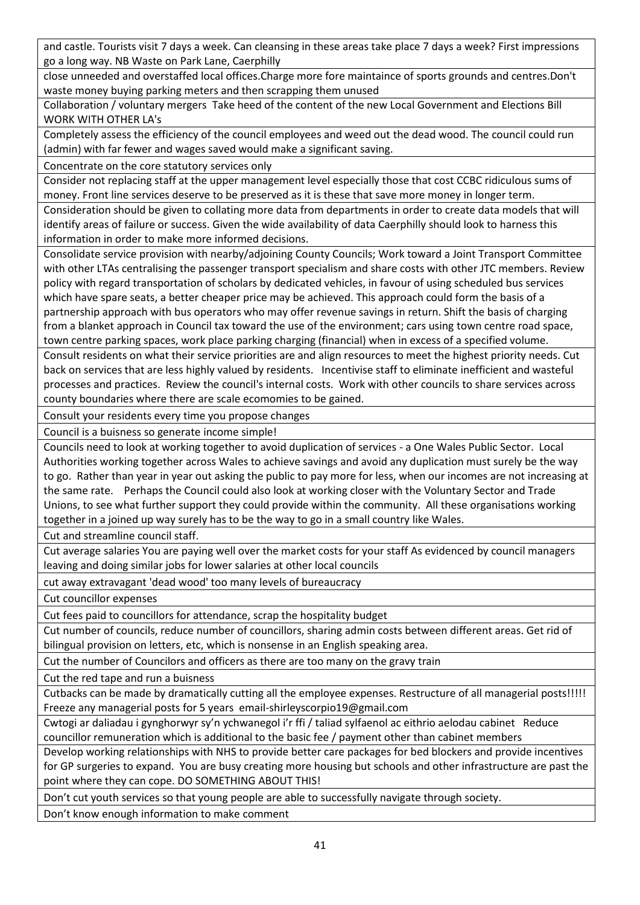and castle. Tourists visit 7 days a week. Can cleansing in these areas take place 7 days a week? First impressions go a long way. NB Waste on Park Lane, Caerphilly

close unneeded and overstaffed local offices.Charge more fore maintaince of sports grounds and centres.Don't waste money buying parking meters and then scrapping them unused

Collaboration / voluntary mergers Take heed of the content of the new Local Government and Elections Bill WORK WITH OTHER LA's

Completely assess the efficiency of the council employees and weed out the dead wood. The council could run (admin) with far fewer and wages saved would make a significant saving.

Concentrate on the core statutory services only

Consider not replacing staff at the upper management level especially those that cost CCBC ridiculous sums of money. Front line services deserve to be preserved as it is these that save more money in longer term.

Consideration should be given to collating more data from departments in order to create data models that will identify areas of failure or success. Given the wide availability of data Caerphilly should look to harness this information in order to make more informed decisions.

Consolidate service provision with nearby/adjoining County Councils; Work toward a Joint Transport Committee with other LTAs centralising the passenger transport specialism and share costs with other JTC members. Review policy with regard transportation of scholars by dedicated vehicles, in favour of using scheduled bus services which have spare seats, a better cheaper price may be achieved. This approach could form the basis of a partnership approach with bus operators who may offer revenue savings in return. Shift the basis of charging from a blanket approach in Council tax toward the use of the environment; cars using town centre road space, town centre parking spaces, work place parking charging (financial) when in excess of a specified volume.

Consult residents on what their service priorities are and align resources to meet the highest priority needs. Cut back on services that are less highly valued by residents. Incentivise staff to eliminate inefficient and wasteful processes and practices. Review the council's internal costs. Work with other councils to share services across county boundaries where there are scale ecomomies to be gained.

Consult your residents every time you propose changes

Council is a buisness so generate income simple!

Councils need to look at working together to avoid duplication of services - a One Wales Public Sector. Local Authorities working together across Wales to achieve savings and avoid any duplication must surely be the way to go. Rather than year in year out asking the public to pay more for less, when our incomes are not increasing at the same rate. Perhaps the Council could also look at working closer with the Voluntary Sector and Trade Unions, to see what further support they could provide within the community. All these organisations working together in a joined up way surely has to be the way to go in a small country like Wales.

Cut and streamline council staff.

Cut average salaries You are paying well over the market costs for your staff As evidenced by council managers leaving and doing similar jobs for lower salaries at other local councils

cut away extravagant 'dead wood' too many levels of bureaucracy

Cut councillor expenses

Cut fees paid to councillors for attendance, scrap the hospitality budget

Cut number of councils, reduce number of councillors, sharing admin costs between different areas. Get rid of bilingual provision on letters, etc, which is nonsense in an English speaking area.

Cut the number of Councilors and officers as there are too many on the gravy train

Cut the red tape and run a buisness

Cutbacks can be made by dramatically cutting all the employee expenses. Restructure of all managerial posts!!!!! Freeze any managerial posts for 5 years email-shirleyscorpio19@gmail.com

Cwtogi ar daliadau i gynghorwyr sy'n ychwanegol i'r ffi / taliad sylfaenol ac eithrio aelodau cabinet Reduce councillor remuneration which is additional to the basic fee / payment other than cabinet members

Develop working relationships with NHS to provide better care packages for bed blockers and provide incentives for GP surgeries to expand. You are busy creating more housing but schools and other infrastructure are past the point where they can cope. DO SOMETHING ABOUT THIS!

Don't cut youth services so that young people are able to successfully navigate through society.

Don't know enough information to make comment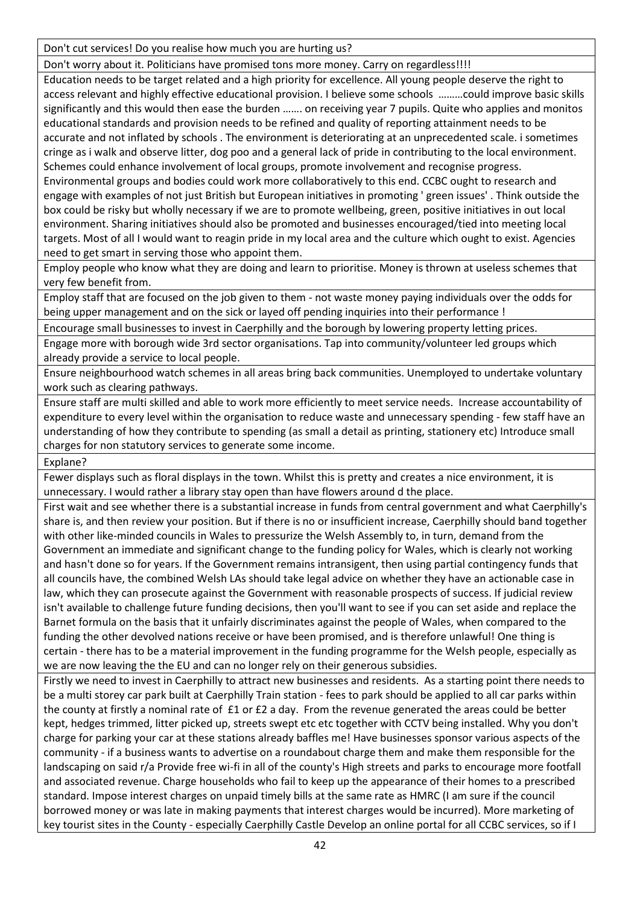Don't cut services! Do you realise how much you are hurting us?

Don't worry about it. Politicians have promised tons more money. Carry on regardless!!!!

Education needs to be target related and a high priority for excellence. All young people deserve the right to access relevant and highly effective educational provision. I believe some schools ………could improve basic skills significantly and this would then ease the burden ……. on receiving year 7 pupils. Quite who applies and monitos educational standards and provision needs to be refined and quality of reporting attainment needs to be accurate and not inflated by schools . The environment is deteriorating at an unprecedented scale. i sometimes cringe as i walk and observe litter, dog poo and a general lack of pride in contributing to the local environment. Schemes could enhance involvement of local groups, promote involvement and recognise progress. Environmental groups and bodies could work more collaboratively to this end. CCBC ought to research and engage with examples of not just British but European initiatives in promoting ' green issues' . Think outside the box could be risky but wholly necessary if we are to promote wellbeing, green, positive initiatives in out local environment. Sharing initiatives should also be promoted and businesses encouraged/tied into meeting local targets. Most of all I would want to reagin pride in my local area and the culture which ought to exist. Agencies need to get smart in serving those who appoint them.

Employ people who know what they are doing and learn to prioritise. Money is thrown at useless schemes that very few benefit from.

Employ staff that are focused on the job given to them - not waste money paying individuals over the odds for being upper management and on the sick or layed off pending inquiries into their performance !

Encourage small businesses to invest in Caerphilly and the borough by lowering property letting prices.

Engage more with borough wide 3rd sector organisations. Tap into community/volunteer led groups which already provide a service to local people.

Ensure neighbourhood watch schemes in all areas bring back communities. Unemployed to undertake voluntary work such as clearing pathways.

Ensure staff are multi skilled and able to work more efficiently to meet service needs. Increase accountability of expenditure to every level within the organisation to reduce waste and unnecessary spending - few staff have an understanding of how they contribute to spending (as small a detail as printing, stationery etc) Introduce small charges for non statutory services to generate some income.

Explane?

Fewer displays such as floral displays in the town. Whilst this is pretty and creates a nice environment, it is unnecessary. I would rather a library stay open than have flowers around d the place.

First wait and see whether there is a substantial increase in funds from central government and what Caerphilly's share is, and then review your position. But if there is no or insufficient increase, Caerphilly should band together with other like-minded councils in Wales to pressurize the Welsh Assembly to, in turn, demand from the Government an immediate and significant change to the funding policy for Wales, which is clearly not working and hasn't done so for years. If the Government remains intransigent, then using partial contingency funds that all councils have, the combined Welsh LAs should take legal advice on whether they have an actionable case in law, which they can prosecute against the Government with reasonable prospects of success. If judicial review isn't available to challenge future funding decisions, then you'll want to see if you can set aside and replace the Barnet formula on the basis that it unfairly discriminates against the people of Wales, when compared to the funding the other devolved nations receive or have been promised, and is therefore unlawful! One thing is certain - there has to be a material improvement in the funding programme for the Welsh people, especially as we are now leaving the the EU and can no longer rely on their generous subsidies.

Firstly we need to invest in Caerphilly to attract new businesses and residents. As a starting point there needs to be a multi storey car park built at Caerphilly Train station - fees to park should be applied to all car parks within the county at firstly a nominal rate of £1 or £2 a day. From the revenue generated the areas could be better kept, hedges trimmed, litter picked up, streets swept etc etc together with CCTV being installed. Why you don't charge for parking your car at these stations already baffles me! Have businesses sponsor various aspects of the community - if a business wants to advertise on a roundabout charge them and make them responsible for the landscaping on said r/a Provide free wi-fi in all of the county's High streets and parks to encourage more footfall and associated revenue. Charge households who fail to keep up the appearance of their homes to a prescribed standard. Impose interest charges on unpaid timely bills at the same rate as HMRC (I am sure if the council borrowed money or was late in making payments that interest charges would be incurred). More marketing of key tourist sites in the County - especially Caerphilly Castle Develop an online portal for all CCBC services, so if I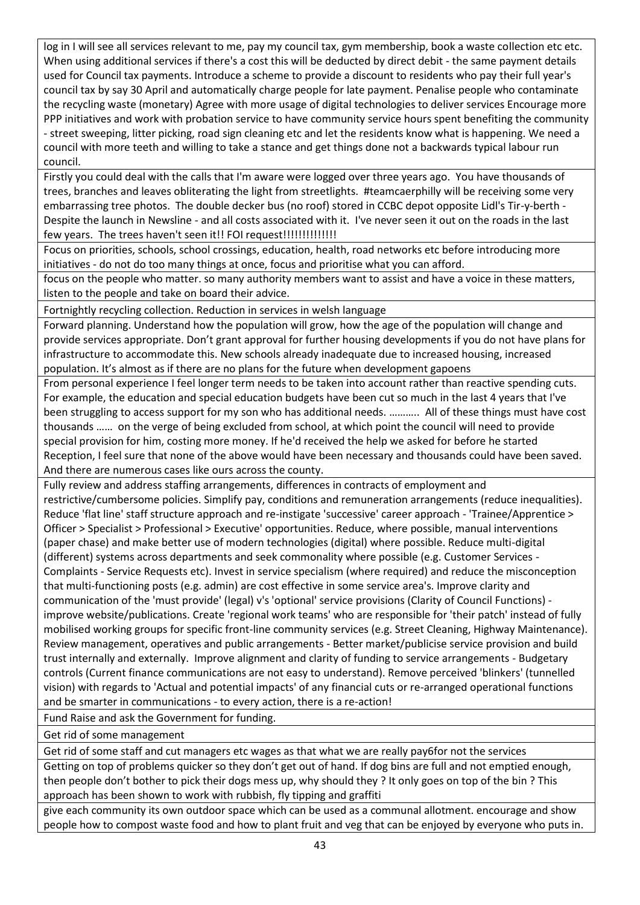log in I will see all services relevant to me, pay my council tax, gym membership, book a waste collection etc etc. When using additional services if there's a cost this will be deducted by direct debit - the same payment details used for Council tax payments. Introduce a scheme to provide a discount to residents who pay their full year's council tax by say 30 April and automatically charge people for late payment. Penalise people who contaminate the recycling waste (monetary) Agree with more usage of digital technologies to deliver services Encourage more PPP initiatives and work with probation service to have community service hours spent benefiting the community - street sweeping, litter picking, road sign cleaning etc and let the residents know what is happening. We need a council with more teeth and willing to take a stance and get things done not a backwards typical labour run council.

Firstly you could deal with the calls that I'm aware were logged over three years ago. You have thousands of trees, branches and leaves obliterating the light from streetlights. #teamcaerphilly will be receiving some very embarrassing tree photos. The double decker bus (no roof) stored in CCBC depot opposite Lidl's Tir-y-berth - Despite the launch in Newsline - and all costs associated with it. I've never seen it out on the roads in the last few years. The trees haven't seen it!! FOI request!!!!!!!!!!!!!!

Focus on priorities, schools, school crossings, education, health, road networks etc before introducing more initiatives - do not do too many things at once, focus and prioritise what you can afford.

focus on the people who matter. so many authority members want to assist and have a voice in these matters, listen to the people and take on board their advice.

Fortnightly recycling collection. Reduction in services in welsh language

Forward planning. Understand how the population will grow, how the age of the population will change and provide services appropriate. Don't grant approval for further housing developments if you do not have plans for infrastructure to accommodate this. New schools already inadequate due to increased housing, increased population. It's almost as if there are no plans for the future when development gapoens

From personal experience I feel longer term needs to be taken into account rather than reactive spending cuts. For example, the education and special education budgets have been cut so much in the last 4 years that I've been struggling to access support for my son who has additional needs. ……….. All of these things must have cost thousands …… on the verge of being excluded from school, at which point the council will need to provide special provision for him, costing more money. If he'd received the help we asked for before he started Reception, I feel sure that none of the above would have been necessary and thousands could have been saved. And there are numerous cases like ours across the county.

Fully review and address staffing arrangements, differences in contracts of employment and restrictive/cumbersome policies. Simplify pay, conditions and remuneration arrangements (reduce inequalities). Reduce 'flat line' staff structure approach and re-instigate 'successive' career approach - 'Trainee/Apprentice > Officer > Specialist > Professional > Executive' opportunities. Reduce, where possible, manual interventions (paper chase) and make better use of modern technologies (digital) where possible. Reduce multi-digital (different) systems across departments and seek commonality where possible (e.g. Customer Services - Complaints - Service Requests etc). Invest in service specialism (where required) and reduce the misconception that multi-functioning posts (e.g. admin) are cost effective in some service area's. Improve clarity and communication of the 'must provide' (legal) v's 'optional' service provisions (Clarity of Council Functions) improve website/publications. Create 'regional work teams' who are responsible for 'their patch' instead of fully mobilised working groups for specific front-line community services (e.g. Street Cleaning, Highway Maintenance). Review management, operatives and public arrangements - Better market/publicise service provision and build trust internally and externally. Improve alignment and clarity of funding to service arrangements - Budgetary controls (Current finance communications are not easy to understand). Remove perceived 'blinkers' (tunnelled vision) with regards to 'Actual and potential impacts' of any financial cuts or re-arranged operational functions and be smarter in communications - to every action, there is a re-action!

Fund Raise and ask the Government for funding.

Get rid of some management

Get rid of some staff and cut managers etc wages as that what we are really pay6for not the services

Getting on top of problems quicker so they don't get out of hand. If dog bins are full and not emptied enough, then people don't bother to pick their dogs mess up, why should they ? It only goes on top of the bin ? This approach has been shown to work with rubbish, fly tipping and graffiti

give each community its own outdoor space which can be used as a communal allotment. encourage and show people how to compost waste food and how to plant fruit and veg that can be enjoyed by everyone who puts in.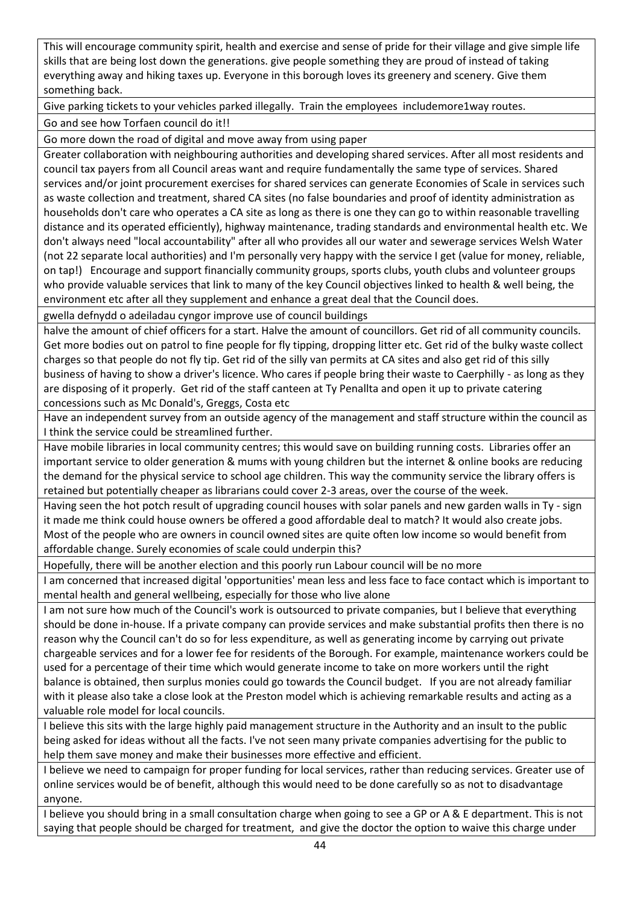This will encourage community spirit, health and exercise and sense of pride for their village and give simple life skills that are being lost down the generations. give people something they are proud of instead of taking everything away and hiking taxes up. Everyone in this borough loves its greenery and scenery. Give them something back.

Give parking tickets to your vehicles parked illegally. Train the employees includemore1way routes.

Go and see how Torfaen council do it!!

Go more down the road of digital and move away from using paper

Greater collaboration with neighbouring authorities and developing shared services. After all most residents and council tax payers from all Council areas want and require fundamentally the same type of services. Shared services and/or joint procurement exercises for shared services can generate Economies of Scale in services such as waste collection and treatment, shared CA sites (no false boundaries and proof of identity administration as households don't care who operates a CA site as long as there is one they can go to within reasonable travelling distance and its operated efficiently), highway maintenance, trading standards and environmental health etc. We don't always need "local accountability" after all who provides all our water and sewerage services Welsh Water (not 22 separate local authorities) and I'm personally very happy with the service I get (value for money, reliable, on tap!) Encourage and support financially community groups, sports clubs, youth clubs and volunteer groups who provide valuable services that link to many of the key Council objectives linked to health & well being, the environment etc after all they supplement and enhance a great deal that the Council does.

gwella defnydd o adeiladau cyngor improve use of council buildings

halve the amount of chief officers for a start. Halve the amount of councillors. Get rid of all community councils. Get more bodies out on patrol to fine people for fly tipping, dropping litter etc. Get rid of the bulky waste collect charges so that people do not fly tip. Get rid of the silly van permits at CA sites and also get rid of this silly business of having to show a driver's licence. Who cares if people bring their waste to Caerphilly - as long as they are disposing of it properly. Get rid of the staff canteen at Ty Penallta and open it up to private catering concessions such as Mc Donald's, Greggs, Costa etc

Have an independent survey from an outside agency of the management and staff structure within the council as I think the service could be streamlined further.

Have mobile libraries in local community centres; this would save on building running costs. Libraries offer an important service to older generation & mums with young children but the internet & online books are reducing the demand for the physical service to school age children. This way the community service the library offers is retained but potentially cheaper as librarians could cover 2-3 areas, over the course of the week.

Having seen the hot potch result of upgrading council houses with solar panels and new garden walls in Ty - sign it made me think could house owners be offered a good affordable deal to match? It would also create jobs. Most of the people who are owners in council owned sites are quite often low income so would benefit from affordable change. Surely economies of scale could underpin this?

Hopefully, there will be another election and this poorly run Labour council will be no more

I am concerned that increased digital 'opportunities' mean less and less face to face contact which is important to mental health and general wellbeing, especially for those who live alone

I am not sure how much of the Council's work is outsourced to private companies, but I believe that everything should be done in-house. If a private company can provide services and make substantial profits then there is no reason why the Council can't do so for less expenditure, as well as generating income by carrying out private chargeable services and for a lower fee for residents of the Borough. For example, maintenance workers could be used for a percentage of their time which would generate income to take on more workers until the right balance is obtained, then surplus monies could go towards the Council budget. If you are not already familiar with it please also take a close look at the Preston model which is achieving remarkable results and acting as a valuable role model for local councils.

I believe this sits with the large highly paid management structure in the Authority and an insult to the public being asked for ideas without all the facts. I've not seen many private companies advertising for the public to help them save money and make their businesses more effective and efficient.

I believe we need to campaign for proper funding for local services, rather than reducing services. Greater use of online services would be of benefit, although this would need to be done carefully so as not to disadvantage anyone.

I believe you should bring in a small consultation charge when going to see a GP or A & E department. This is not saying that people should be charged for treatment, and give the doctor the option to waive this charge under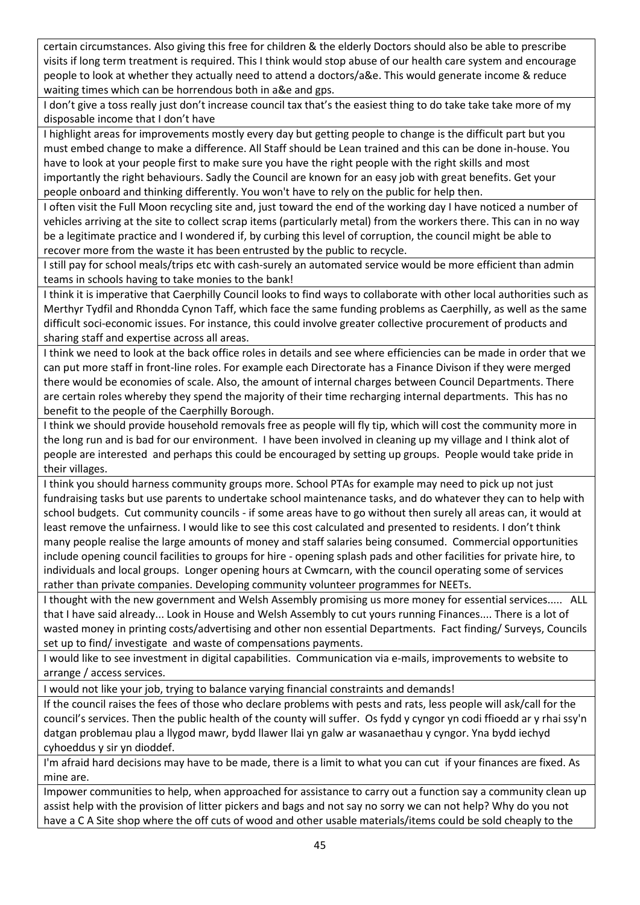certain circumstances. Also giving this free for children & the elderly Doctors should also be able to prescribe visits if long term treatment is required. This I think would stop abuse of our health care system and encourage people to look at whether they actually need to attend a doctors/a&e. This would generate income & reduce waiting times which can be horrendous both in a&e and gps.

I don't give a toss really just don't increase council tax that's the easiest thing to do take take take more of my disposable income that I don't have

I highlight areas for improvements mostly every day but getting people to change is the difficult part but you must embed change to make a difference. All Staff should be Lean trained and this can be done in-house. You have to look at your people first to make sure you have the right people with the right skills and most importantly the right behaviours. Sadly the Council are known for an easy job with great benefits. Get your people onboard and thinking differently. You won't have to rely on the public for help then.

I often visit the Full Moon recycling site and, just toward the end of the working day I have noticed a number of vehicles arriving at the site to collect scrap items (particularly metal) from the workers there. This can in no way be a legitimate practice and I wondered if, by curbing this level of corruption, the council might be able to recover more from the waste it has been entrusted by the public to recycle.

I still pay for school meals/trips etc with cash-surely an automated service would be more efficient than admin teams in schools having to take monies to the bank!

I think it is imperative that Caerphilly Council looks to find ways to collaborate with other local authorities such as Merthyr Tydfil and Rhondda Cynon Taff, which face the same funding problems as Caerphilly, as well as the same difficult soci-economic issues. For instance, this could involve greater collective procurement of products and sharing staff and expertise across all areas.

I think we need to look at the back office roles in details and see where efficiencies can be made in order that we can put more staff in front-line roles. For example each Directorate has a Finance Divison if they were merged there would be economies of scale. Also, the amount of internal charges between Council Departments. There are certain roles whereby they spend the majority of their time recharging internal departments. This has no benefit to the people of the Caerphilly Borough.

I think we should provide household removals free as people will fly tip, which will cost the community more in the long run and is bad for our environment. I have been involved in cleaning up my village and I think alot of people are interested and perhaps this could be encouraged by setting up groups. People would take pride in their villages.

I think you should harness community groups more. School PTAs for example may need to pick up not just fundraising tasks but use parents to undertake school maintenance tasks, and do whatever they can to help with school budgets. Cut community councils - if some areas have to go without then surely all areas can, it would at least remove the unfairness. I would like to see this cost calculated and presented to residents. I don't think many people realise the large amounts of money and staff salaries being consumed. Commercial opportunities include opening council facilities to groups for hire - opening splash pads and other facilities for private hire, to individuals and local groups. Longer opening hours at Cwmcarn, with the council operating some of services rather than private companies. Developing community volunteer programmes for NEETs.

I thought with the new government and Welsh Assembly promising us more money for essential services..... ALL that I have said already... Look in House and Welsh Assembly to cut yours running Finances.... There is a lot of wasted money in printing costs/advertising and other non essential Departments. Fact finding/ Surveys, Councils set up to find/ investigate and waste of compensations payments.

I would like to see investment in digital capabilities. Communication via e-mails, improvements to website to arrange / access services.

I would not like your job, trying to balance varying financial constraints and demands!

If the council raises the fees of those who declare problems with pests and rats, less people will ask/call for the council's services. Then the public health of the county will suffer. Os fydd y cyngor yn codi ffioedd ar y rhai ssy'n datgan problemau plau a llygod mawr, bydd llawer llai yn galw ar wasanaethau y cyngor. Yna bydd iechyd cyhoeddus y sir yn dioddef.

I'm afraid hard decisions may have to be made, there is a limit to what you can cut if your finances are fixed. As mine are.

Impower communities to help, when approached for assistance to carry out a function say a community clean up assist help with the provision of litter pickers and bags and not say no sorry we can not help? Why do you not have a C A Site shop where the off cuts of wood and other usable materials/items could be sold cheaply to the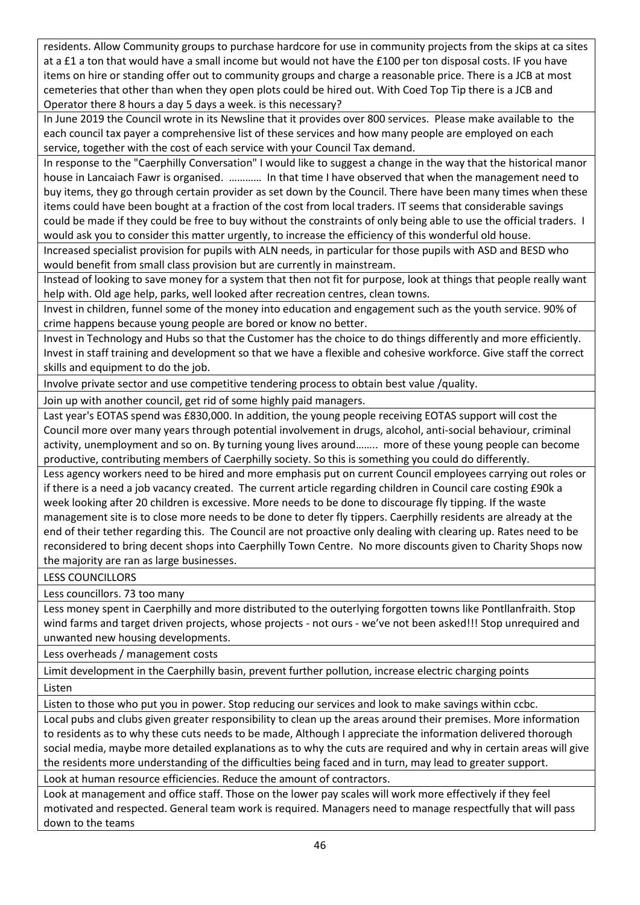residents. Allow Community groups to purchase hardcore for use in community projects from the skips at ca sites at a £1 a ton that would have a small income but would not have the £100 per ton disposal costs. IF you have items on hire or standing offer out to community groups and charge a reasonable price. There is a JCB at most cemeteries that other than when they open plots could be hired out. With Coed Top Tip there is a JCB and Operator there 8 hours a day 5 days a week. is this necessary?

In June 2019 the Council wrote in its Newsline that it provides over 800 services. Please make available to the each council tax payer a comprehensive list of these services and how many people are employed on each service, together with the cost of each service with your Council Tax demand.

In response to the "Caerphilly Conversation" I would like to suggest a change in the way that the historical manor house in Lancaiach Fawr is organised. ………… In that time I have observed that when the management need to buy items, they go through certain provider as set down by the Council. There have been many times when these items could have been bought at a fraction of the cost from local traders. IT seems that considerable savings could be made if they could be free to buy without the constraints of only being able to use the official traders. I would ask you to consider this matter urgently, to increase the efficiency of this wonderful old house.

Increased specialist provision for pupils with ALN needs, in particular for those pupils with ASD and BESD who would benefit from small class provision but are currently in mainstream.

Instead of looking to save money for a system that then not fit for purpose, look at things that people really want help with. Old age help, parks, well looked after recreation centres, clean towns.

Invest in children, funnel some of the money into education and engagement such as the youth service. 90% of crime happens because young people are bored or know no better.

Invest in Technology and Hubs so that the Customer has the choice to do things differently and more efficiently. Invest in staff training and development so that we have a flexible and cohesive workforce. Give staff the correct skills and equipment to do the job.

Involve private sector and use competitive tendering process to obtain best value /quality.

Join up with another council, get rid of some highly paid managers.

Last year's EOTAS spend was £830,000. In addition, the young people receiving EOTAS support will cost the Council more over many years through potential involvement in drugs, alcohol, anti-social behaviour, criminal activity, unemployment and so on. By turning young lives around…….. more of these young people can become productive, contributing members of Caerphilly society. So this is something you could do differently.

Less agency workers need to be hired and more emphasis put on current Council employees carrying out roles or if there is a need a job vacancy created. The current article regarding children in Council care costing £90k a week looking after 20 children is excessive. More needs to be done to discourage fly tipping. If the waste management site is to close more needs to be done to deter fly tippers. Caerphilly residents are already at the end of their tether regarding this. The Council are not proactive only dealing with clearing up. Rates need to be reconsidered to bring decent shops into Caerphilly Town Centre. No more discounts given to Charity Shops now the majority are ran as large businesses.

LESS COUNCILLORS

Less councillors. 73 too many

Less money spent in Caerphilly and more distributed to the outerlying forgotten towns like Pontllanfraith. Stop wind farms and target driven projects, whose projects - not ours - we've not been asked!!! Stop unrequired and unwanted new housing developments.

Less overheads / management costs

Limit development in the Caerphilly basin, prevent further pollution, increase electric charging points

Listen

Listen to those who put you in power. Stop reducing our services and look to make savings within ccbc.

Local pubs and clubs given greater responsibility to clean up the areas around their premises. More information to residents as to why these cuts needs to be made, Although I appreciate the information delivered thorough social media, maybe more detailed explanations as to why the cuts are required and why in certain areas will give the residents more understanding of the difficulties being faced and in turn, may lead to greater support.

Look at human resource efficiencies. Reduce the amount of contractors.

Look at management and office staff. Those on the lower pay scales will work more effectively if they feel motivated and respected. General team work is required. Managers need to manage respectfully that will pass down to the teams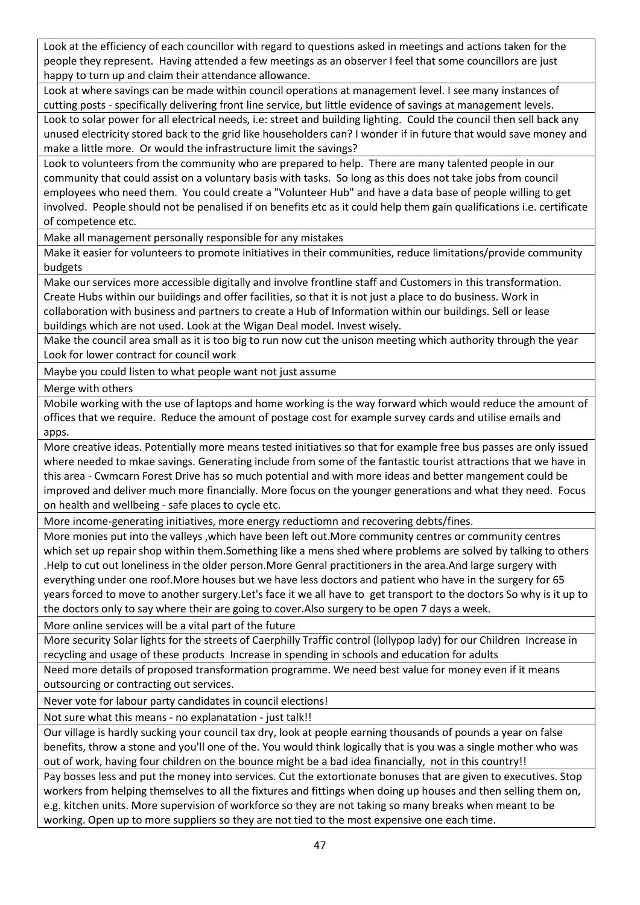Look at the efficiency of each councillor with regard to questions asked in meetings and actions taken for the people they represent. Having attended a few meetings as an observer I feel that some councillors are just happy to turn up and claim their attendance allowance.

Look at where savings can be made within council operations at management level. I see many instances of cutting posts - specifically delivering front line service, but little evidence of savings at management levels.

Look to solar power for all electrical needs, i.e: street and building lighting. Could the council then sell back any unused electricity stored back to the grid like householders can? I wonder if in future that would save money and make a little more. Or would the infrastructure limit the savings?

Look to volunteers from the community who are prepared to help. There are many talented people in our community that could assist on a voluntary basis with tasks. So long as this does not take jobs from council employees who need them. You could create a "Volunteer Hub" and have a data base of people willing to get involved. People should not be penalised if on benefits etc as it could help them gain qualifications i.e. certificate of competence etc.

Make all management personally responsible for any mistakes

Make it easier for volunteers to promote initiatives in their communities, reduce limitations/provide community budgets

Make our services more accessible digitally and involve frontline staff and Customers in this transformation. Create Hubs within our buildings and offer facilities, so that it is not just a place to do business. Work in collaboration with business and partners to create a Hub of Information within our buildings. Sell or lease buildings which are not used. Look at the Wigan Deal model. Invest wisely.

Make the council area small as it is too big to run now cut the unison meeting which authority through the year Look for lower contract for council work

Maybe you could listen to what people want not just assume

Merge with others

Mobile working with the use of laptops and home working is the way forward which would reduce the amount of offices that we require. Reduce the amount of postage cost for example survey cards and utilise emails and apps.

More creative ideas. Potentially more means tested initiatives so that for example free bus passes are only issued where needed to mkae savings. Generating include from some of the fantastic tourist attractions that we have in this area - Cwmcarn Forest Drive has so much potential and with more ideas and better mangement could be improved and deliver much more financially. More focus on the younger generations and what they need. Focus on health and wellbeing - safe places to cycle etc.

More income-generating initiatives, more energy reductiomn and recovering debts/fines.

More monies put into the valleys ,which have been left out.More community centres or community centres which set up repair shop within them.Something like a mens shed where problems are solved by talking to others .Help to cut out loneliness in the older person.More Genral practitioners in the area.And large surgery with everything under one roof.More houses but we have less doctors and patient who have in the surgery for 65 years forced to move to another surgery.Let's face it we all have to get transport to the doctors So why is it up to the doctors only to say where their are going to cover.Also surgery to be open 7 days a week.

More online services will be a vital part of the future

More security Solar lights for the streets of Caerphilly Traffic control (lollypop lady) for our Children Increase in recycling and usage of these products Increase in spending in schools and education for adults

Need more details of proposed transformation programme. We need best value for money even if it means outsourcing or contracting out services.

Never vote for labour party candidates in council elections!

Not sure what this means - no explanatation - just talk!!

Our village is hardly sucking your council tax dry, look at people earning thousands of pounds a year on false benefits, throw a stone and you'll one of the. You would think logically that is you was a single mother who was out of work, having four children on the bounce might be a bad idea financially, not in this country!!

Pay bosses less and put the money into services. Cut the extortionate bonuses that are given to executives. Stop workers from helping themselves to all the fixtures and fittings when doing up houses and then selling them on, e.g. kitchen units. More supervision of workforce so they are not taking so many breaks when meant to be working. Open up to more suppliers so they are not tied to the most expensive one each time.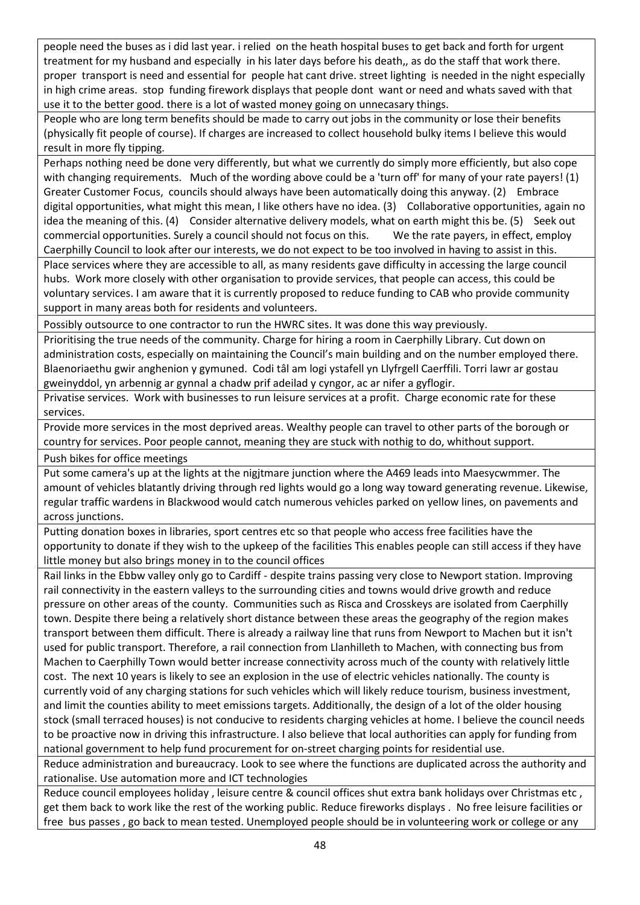people need the buses as i did last year. i relied on the heath hospital buses to get back and forth for urgent treatment for my husband and especially in his later days before his death,, as do the staff that work there. proper transport is need and essential for people hat cant drive. street lighting is needed in the night especially in high crime areas. stop funding firework displays that people dont want or need and whats saved with that use it to the better good. there is a lot of wasted money going on unnecasary things.

People who are long term benefits should be made to carry out jobs in the community or lose their benefits (physically fit people of course). If charges are increased to collect household bulky items I believe this would result in more fly tipping.

Perhaps nothing need be done very differently, but what we currently do simply more efficiently, but also cope with changing requirements. Much of the wording above could be a 'turn off' for many of your rate payers! (1) Greater Customer Focus, councils should always have been automatically doing this anyway. (2) Embrace digital opportunities, what might this mean, I like others have no idea. (3) Collaborative opportunities, again no idea the meaning of this. (4) Consider alternative delivery models, what on earth might this be. (5) Seek out commercial opportunities. Surely a council should not focus on this. We the rate payers, in effect, employ Caerphilly Council to look after our interests, we do not expect to be too involved in having to assist in this.

Place services where they are accessible to all, as many residents gave difficulty in accessing the large council hubs. Work more closely with other organisation to provide services, that people can access, this could be voluntary services. I am aware that it is currently proposed to reduce funding to CAB who provide community support in many areas both for residents and volunteers.

Possibly outsource to one contractor to run the HWRC sites. It was done this way previously.

Prioritising the true needs of the community. Charge for hiring a room in Caerphilly Library. Cut down on administration costs, especially on maintaining the Council's main building and on the number employed there. Blaenoriaethu gwir anghenion y gymuned. Codi tâl am logi ystafell yn Llyfrgell Caerffili. Torri lawr ar gostau gweinyddol, yn arbennig ar gynnal a chadw prif adeilad y cyngor, ac ar nifer a gyflogir.

Privatise services. Work with businesses to run leisure services at a profit. Charge economic rate for these services.

Provide more services in the most deprived areas. Wealthy people can travel to other parts of the borough or country for services. Poor people cannot, meaning they are stuck with nothig to do, whithout support.

Push bikes for office meetings

Put some camera's up at the lights at the nigjtmare junction where the A469 leads into Maesycwmmer. The amount of vehicles blatantly driving through red lights would go a long way toward generating revenue. Likewise, regular traffic wardens in Blackwood would catch numerous vehicles parked on yellow lines, on pavements and across junctions.

Putting donation boxes in libraries, sport centres etc so that people who access free facilities have the opportunity to donate if they wish to the upkeep of the facilities This enables people can still access if they have little money but also brings money in to the council offices

Rail links in the Ebbw valley only go to Cardiff - despite trains passing very close to Newport station. Improving rail connectivity in the eastern valleys to the surrounding cities and towns would drive growth and reduce pressure on other areas of the county. Communities such as Risca and Crosskeys are isolated from Caerphilly town. Despite there being a relatively short distance between these areas the geography of the region makes transport between them difficult. There is already a railway line that runs from Newport to Machen but it isn't used for public transport. Therefore, a rail connection from Llanhilleth to Machen, with connecting bus from Machen to Caerphilly Town would better increase connectivity across much of the county with relatively little cost. The next 10 years is likely to see an explosion in the use of electric vehicles nationally. The county is currently void of any charging stations for such vehicles which will likely reduce tourism, business investment, and limit the counties ability to meet emissions targets. Additionally, the design of a lot of the older housing stock (small terraced houses) is not conducive to residents charging vehicles at home. I believe the council needs to be proactive now in driving this infrastructure. I also believe that local authorities can apply for funding from national government to help fund procurement for on-street charging points for residential use.

Reduce administration and bureaucracy. Look to see where the functions are duplicated across the authority and rationalise. Use automation more and ICT technologies

Reduce council employees holiday , leisure centre & council offices shut extra bank holidays over Christmas etc , get them back to work like the rest of the working public. Reduce fireworks displays . No free leisure facilities or free bus passes , go back to mean tested. Unemployed people should be in volunteering work or college or any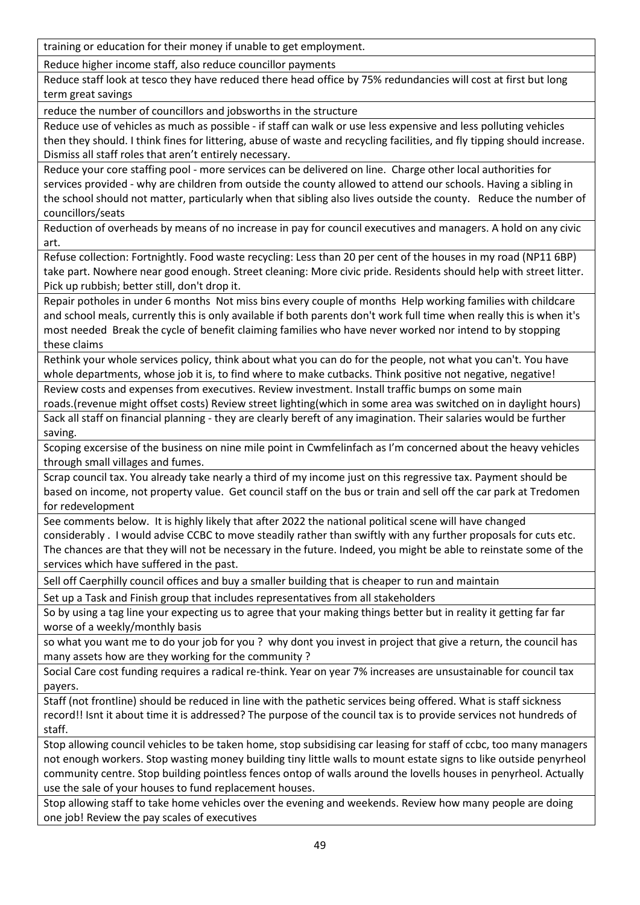training or education for their money if unable to get employment.

Reduce higher income staff, also reduce councillor payments

Reduce staff look at tesco they have reduced there head office by 75% redundancies will cost at first but long term great savings

reduce the number of councillors and jobsworths in the structure

Reduce use of vehicles as much as possible - if staff can walk or use less expensive and less polluting vehicles then they should. I think fines for littering, abuse of waste and recycling facilities, and fly tipping should increase. Dismiss all staff roles that aren't entirely necessary.

Reduce your core staffing pool - more services can be delivered on line. Charge other local authorities for services provided - why are children from outside the county allowed to attend our schools. Having a sibling in the school should not matter, particularly when that sibling also lives outside the county. Reduce the number of councillors/seats

Reduction of overheads by means of no increase in pay for council executives and managers. A hold on any civic art.

Refuse collection: Fortnightly. Food waste recycling: Less than 20 per cent of the houses in my road (NP11 6BP) take part. Nowhere near good enough. Street cleaning: More civic pride. Residents should help with street litter. Pick up rubbish; better still, don't drop it.

Repair potholes in under 6 months Not miss bins every couple of months Help working families with childcare and school meals, currently this is only available if both parents don't work full time when really this is when it's most needed Break the cycle of benefit claiming families who have never worked nor intend to by stopping these claims

Rethink your whole services policy, think about what you can do for the people, not what you can't. You have whole departments, whose job it is, to find where to make cutbacks. Think positive not negative, negative! Review costs and expenses from executives. Review investment. Install traffic bumps on some main

roads.(revenue might offset costs) Review street lighting(which in some area was switched on in daylight hours)

Sack all staff on financial planning - they are clearly bereft of any imagination. Their salaries would be further saving.

Scoping excersise of the business on nine mile point in Cwmfelinfach as I'm concerned about the heavy vehicles through small villages and fumes.

Scrap council tax. You already take nearly a third of my income just on this regressive tax. Payment should be based on income, not property value. Get council staff on the bus or train and sell off the car park at Tredomen for redevelopment

See comments below. It is highly likely that after 2022 the national political scene will have changed considerably . I would advise CCBC to move steadily rather than swiftly with any further proposals for cuts etc. The chances are that they will not be necessary in the future. Indeed, you might be able to reinstate some of the services which have suffered in the past.

Sell off Caerphilly council offices and buy a smaller building that is cheaper to run and maintain

Set up a Task and Finish group that includes representatives from all stakeholders

So by using a tag line your expecting us to agree that your making things better but in reality it getting far far worse of a weekly/monthly basis

so what you want me to do your job for you ? why dont you invest in project that give a return, the council has many assets how are they working for the community ?

Social Care cost funding requires a radical re-think. Year on year 7% increases are unsustainable for council tax payers.

Staff (not frontline) should be reduced in line with the pathetic services being offered. What is staff sickness record!! Isnt it about time it is addressed? The purpose of the council tax is to provide services not hundreds of staff.

Stop allowing council vehicles to be taken home, stop subsidising car leasing for staff of ccbc, too many managers not enough workers. Stop wasting money building tiny little walls to mount estate signs to like outside penyrheol community centre. Stop building pointless fences ontop of walls around the lovells houses in penyrheol. Actually use the sale of your houses to fund replacement houses.

Stop allowing staff to take home vehicles over the evening and weekends. Review how many people are doing one job! Review the pay scales of executives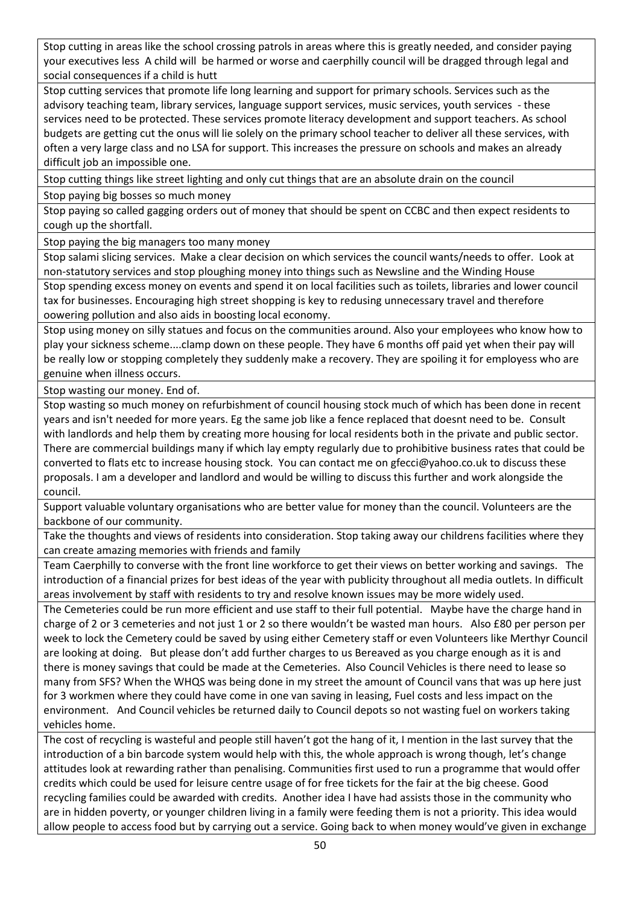Stop cutting in areas like the school crossing patrols in areas where this is greatly needed, and consider paying your executives less A child will be harmed or worse and caerphilly council will be dragged through legal and social consequences if a child is hutt

Stop cutting services that promote life long learning and support for primary schools. Services such as the advisory teaching team, library services, language support services, music services, youth services - these services need to be protected. These services promote literacy development and support teachers. As school budgets are getting cut the onus will lie solely on the primary school teacher to deliver all these services, with often a very large class and no LSA for support. This increases the pressure on schools and makes an already difficult job an impossible one.

Stop cutting things like street lighting and only cut things that are an absolute drain on the council

Stop paying big bosses so much money

Stop paying so called gagging orders out of money that should be spent on CCBC and then expect residents to cough up the shortfall.

Stop paying the big managers too many money

Stop salami slicing services. Make a clear decision on which services the council wants/needs to offer. Look at non-statutory services and stop ploughing money into things such as Newsline and the Winding House

Stop spending excess money on events and spend it on local facilities such as toilets, libraries and lower council tax for businesses. Encouraging high street shopping is key to redusing unnecessary travel and therefore oowering pollution and also aids in boosting local economy.

Stop using money on silly statues and focus on the communities around. Also your employees who know how to play your sickness scheme....clamp down on these people. They have 6 months off paid yet when their pay will be really low or stopping completely they suddenly make a recovery. They are spoiling it for employess who are genuine when illness occurs.

Stop wasting our money. End of.

Stop wasting so much money on refurbishment of council housing stock much of which has been done in recent years and isn't needed for more years. Eg the same job like a fence replaced that doesnt need to be. Consult with landlords and help them by creating more housing for local residents both in the private and public sector. There are commercial buildings many if which lay empty regularly due to prohibitive business rates that could be converted to flats etc to increase housing stock. You can contact me on gfecci@yahoo.co.uk to discuss these proposals. I am a developer and landlord and would be willing to discuss this further and work alongside the council.

Support valuable voluntary organisations who are better value for money than the council. Volunteers are the backbone of our community.

Take the thoughts and views of residents into consideration. Stop taking away our childrens facilities where they can create amazing memories with friends and family

Team Caerphilly to converse with the front line workforce to get their views on better working and savings. The introduction of a financial prizes for best ideas of the year with publicity throughout all media outlets. In difficult areas involvement by staff with residents to try and resolve known issues may be more widely used.

The Cemeteries could be run more efficient and use staff to their full potential. Maybe have the charge hand in charge of 2 or 3 cemeteries and not just 1 or 2 so there wouldn't be wasted man hours. Also £80 per person per week to lock the Cemetery could be saved by using either Cemetery staff or even Volunteers like Merthyr Council are looking at doing. But please don't add further charges to us Bereaved as you charge enough as it is and there is money savings that could be made at the Cemeteries. Also Council Vehicles is there need to lease so many from SFS? When the WHQS was being done in my street the amount of Council vans that was up here just for 3 workmen where they could have come in one van saving in leasing, Fuel costs and less impact on the environment. And Council vehicles be returned daily to Council depots so not wasting fuel on workers taking vehicles home.

The cost of recycling is wasteful and people still haven't got the hang of it, I mention in the last survey that the introduction of a bin barcode system would help with this, the whole approach is wrong though, let's change attitudes look at rewarding rather than penalising. Communities first used to run a programme that would offer credits which could be used for leisure centre usage of for free tickets for the fair at the big cheese. Good recycling families could be awarded with credits. Another idea I have had assists those in the community who are in hidden poverty, or younger children living in a family were feeding them is not a priority. This idea would allow people to access food but by carrying out a service. Going back to when money would've given in exchange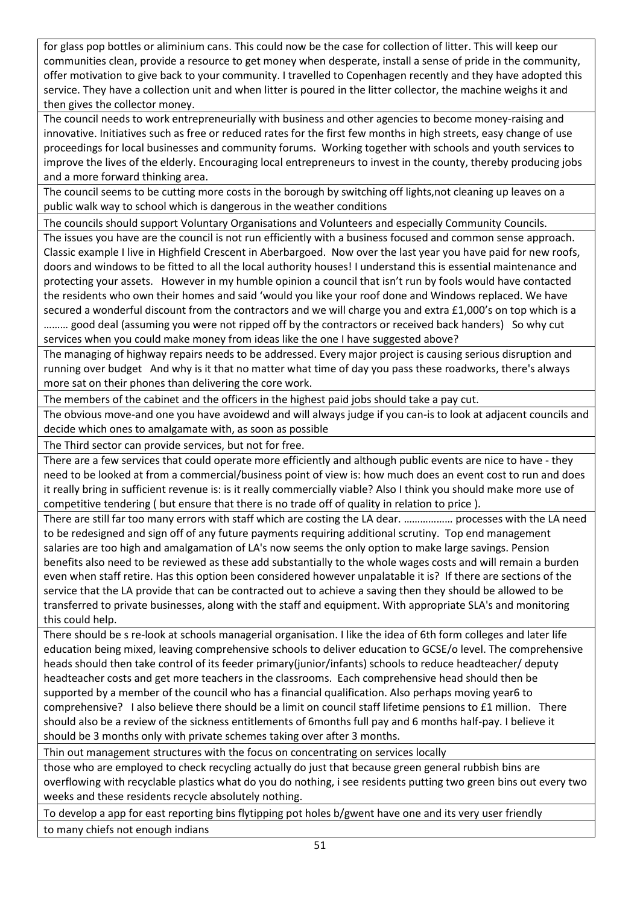for glass pop bottles or aliminium cans. This could now be the case for collection of litter. This will keep our communities clean, provide a resource to get money when desperate, install a sense of pride in the community, offer motivation to give back to your community. I travelled to Copenhagen recently and they have adopted this service. They have a collection unit and when litter is poured in the litter collector, the machine weighs it and then gives the collector money.

The council needs to work entrepreneurially with business and other agencies to become money-raising and innovative. Initiatives such as free or reduced rates for the first few months in high streets, easy change of use proceedings for local businesses and community forums. Working together with schools and youth services to improve the lives of the elderly. Encouraging local entrepreneurs to invest in the county, thereby producing jobs and a more forward thinking area.

The council seems to be cutting more costs in the borough by switching off lights,not cleaning up leaves on a public walk way to school which is dangerous in the weather conditions

The councils should support Voluntary Organisations and Volunteers and especially Community Councils.

The issues you have are the council is not run efficiently with a business focused and common sense approach. Classic example I live in Highfield Crescent in Aberbargoed. Now over the last year you have paid for new roofs, doors and windows to be fitted to all the local authority houses! I understand this is essential maintenance and protecting your assets. However in my humble opinion a council that isn't run by fools would have contacted the residents who own their homes and said 'would you like your roof done and Windows replaced. We have secured a wonderful discount from the contractors and we will charge you and extra £1,000's on top which is a ……… good deal (assuming you were not ripped off by the contractors or received back handers) So why cut services when you could make money from ideas like the one I have suggested above?

The managing of highway repairs needs to be addressed. Every major project is causing serious disruption and running over budget And why is it that no matter what time of day you pass these roadworks, there's always more sat on their phones than delivering the core work.

The members of the cabinet and the officers in the highest paid jobs should take a pay cut.

The obvious move-and one you have avoidewd and will always judge if you can-is to look at adjacent councils and decide which ones to amalgamate with, as soon as possible

The Third sector can provide services, but not for free.

There are a few services that could operate more efficiently and although public events are nice to have - they need to be looked at from a commercial/business point of view is: how much does an event cost to run and does it really bring in sufficient revenue is: is it really commercially viable? Also I think you should make more use of competitive tendering ( but ensure that there is no trade off of quality in relation to price ).

There are still far too many errors with staff which are costing the LA dear. ……………… processes with the LA need to be redesigned and sign off of any future payments requiring additional scrutiny. Top end management salaries are too high and amalgamation of LA's now seems the only option to make large savings. Pension benefits also need to be reviewed as these add substantially to the whole wages costs and will remain a burden even when staff retire. Has this option been considered however unpalatable it is? If there are sections of the service that the LA provide that can be contracted out to achieve a saving then they should be allowed to be transferred to private businesses, along with the staff and equipment. With appropriate SLA's and monitoring this could help.

There should be s re-look at schools managerial organisation. I like the idea of 6th form colleges and later life education being mixed, leaving comprehensive schools to deliver education to GCSE/o level. The comprehensive heads should then take control of its feeder primary(junior/infants) schools to reduce headteacher/ deputy headteacher costs and get more teachers in the classrooms. Each comprehensive head should then be supported by a member of the council who has a financial qualification. Also perhaps moving year6 to comprehensive? I also believe there should be a limit on council staff lifetime pensions to £1 million. There should also be a review of the sickness entitlements of 6months full pay and 6 months half-pay. I believe it should be 3 months only with private schemes taking over after 3 months.

Thin out management structures with the focus on concentrating on services locally

those who are employed to check recycling actually do just that because green general rubbish bins are overflowing with recyclable plastics what do you do nothing, i see residents putting two green bins out every two weeks and these residents recycle absolutely nothing.

To develop a app for east reporting bins flytipping pot holes b/gwent have one and its very user friendly to many chiefs not enough indians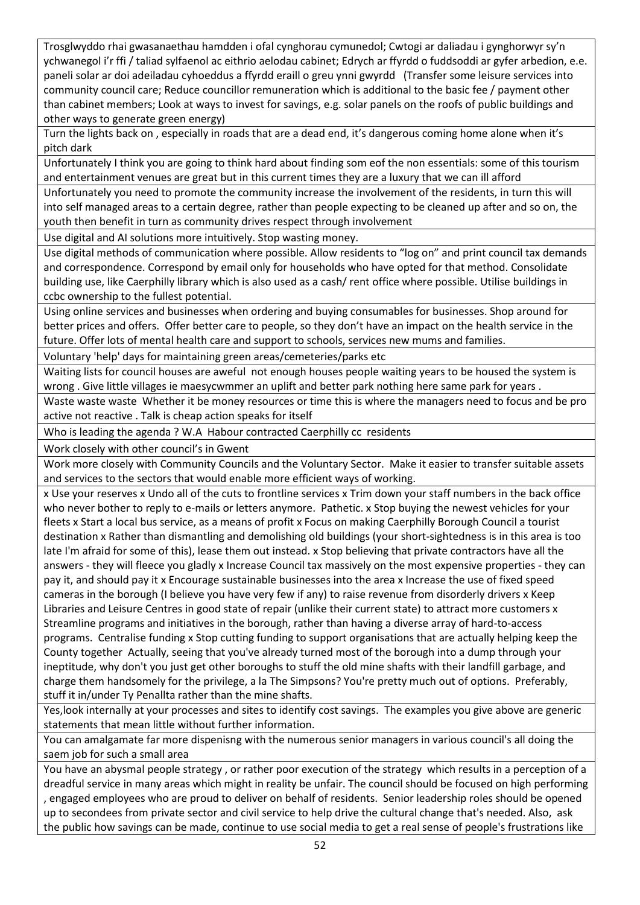Trosglwyddo rhai gwasanaethau hamdden i ofal cynghorau cymunedol; Cwtogi ar daliadau i gynghorwyr sy'n ychwanegol i'r ffi / taliad sylfaenol ac eithrio aelodau cabinet; Edrych ar ffyrdd o fuddsoddi ar gyfer arbedion, e.e. paneli solar ar doi adeiladau cyhoeddus a ffyrdd eraill o greu ynni gwyrdd (Transfer some leisure services into community council care; Reduce councillor remuneration which is additional to the basic fee / payment other than cabinet members; Look at ways to invest for savings, e.g. solar panels on the roofs of public buildings and other ways to generate green energy)

Turn the lights back on , especially in roads that are a dead end, it's dangerous coming home alone when it's pitch dark

Unfortunately I think you are going to think hard about finding som eof the non essentials: some of this tourism and entertainment venues are great but in this current times they are a luxury that we can ill afford

Unfortunately you need to promote the community increase the involvement of the residents, in turn this will into self managed areas to a certain degree, rather than people expecting to be cleaned up after and so on, the youth then benefit in turn as community drives respect through involvement

Use digital and AI solutions more intuitively. Stop wasting money.

Use digital methods of communication where possible. Allow residents to "log on" and print council tax demands and correspondence. Correspond by email only for households who have opted for that method. Consolidate building use, like Caerphilly library which is also used as a cash/ rent office where possible. Utilise buildings in ccbc ownership to the fullest potential.

Using online services and businesses when ordering and buying consumables for businesses. Shop around for better prices and offers. Offer better care to people, so they don't have an impact on the health service in the future. Offer lots of mental health care and support to schools, services new mums and families.

Voluntary 'help' days for maintaining green areas/cemeteries/parks etc

Waiting lists for council houses are aweful not enough houses people waiting years to be housed the system is wrong . Give little villages ie maesycwmmer an uplift and better park nothing here same park for years .

Waste waste waste Whether it be money resources or time this is where the managers need to focus and be pro active not reactive . Talk is cheap action speaks for itself

Who is leading the agenda ? W.A Habour contracted Caerphilly cc residents

Work closely with other council's in Gwent

Work more closely with Community Councils and the Voluntary Sector. Make it easier to transfer suitable assets and services to the sectors that would enable more efficient ways of working.

x Use your reserves x Undo all of the cuts to frontline services x Trim down your staff numbers in the back office who never bother to reply to e-mails or letters anymore. Pathetic. x Stop buying the newest vehicles for your fleets x Start a local bus service, as a means of profit x Focus on making Caerphilly Borough Council a tourist destination x Rather than dismantling and demolishing old buildings (your short-sightedness is in this area is too late I'm afraid for some of this), lease them out instead. x Stop believing that private contractors have all the answers - they will fleece you gladly x Increase Council tax massively on the most expensive properties - they can pay it, and should pay it x Encourage sustainable businesses into the area x Increase the use of fixed speed cameras in the borough (I believe you have very few if any) to raise revenue from disorderly drivers x Keep Libraries and Leisure Centres in good state of repair (unlike their current state) to attract more customers x Streamline programs and initiatives in the borough, rather than having a diverse array of hard-to-access programs. Centralise funding x Stop cutting funding to support organisations that are actually helping keep the County together Actually, seeing that you've already turned most of the borough into a dump through your ineptitude, why don't you just get other boroughs to stuff the old mine shafts with their landfill garbage, and charge them handsomely for the privilege, a la The Simpsons? You're pretty much out of options. Preferably, stuff it in/under Ty Penallta rather than the mine shafts.

Yes,look internally at your processes and sites to identify cost savings. The examples you give above are generic statements that mean little without further information.

You can amalgamate far more dispenisng with the numerous senior managers in various council's all doing the saem job for such a small area

You have an abysmal people strategy , or rather poor execution of the strategy which results in a perception of a dreadful service in many areas which might in reality be unfair. The council should be focused on high performing , engaged employees who are proud to deliver on behalf of residents. Senior leadership roles should be opened up to secondees from private sector and civil service to help drive the cultural change that's needed. Also, ask the public how savings can be made, continue to use social media to get a real sense of people's frustrations like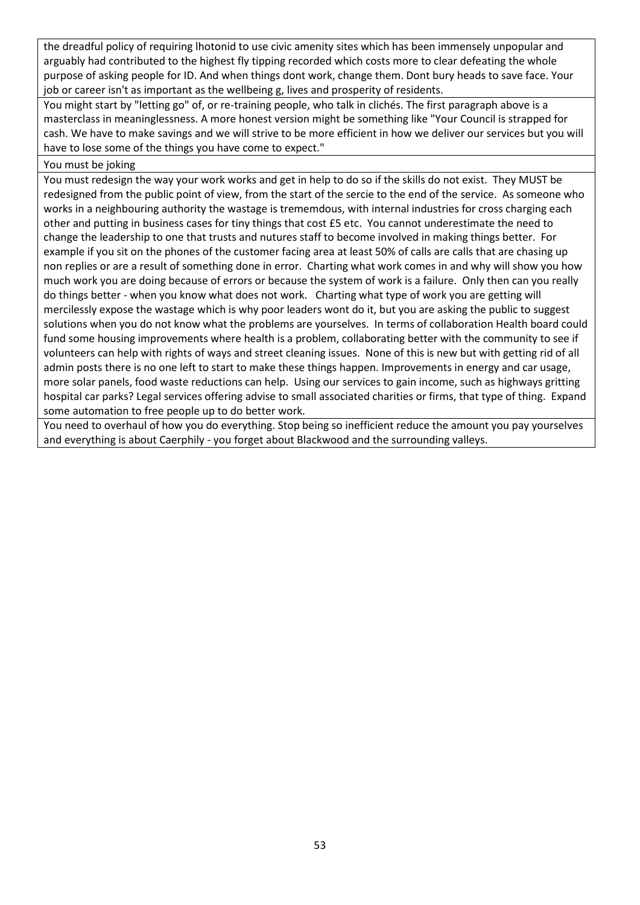the dreadful policy of requiring lhotonid to use civic amenity sites which has been immensely unpopular and arguably had contributed to the highest fly tipping recorded which costs more to clear defeating the whole purpose of asking people for ID. And when things dont work, change them. Dont bury heads to save face. Your job or career isn't as important as the wellbeing g, lives and prosperity of residents.

You might start by "letting go" of, or re-training people, who talk in clichés. The first paragraph above is a masterclass in meaninglessness. A more honest version might be something like "Your Council is strapped for cash. We have to make savings and we will strive to be more efficient in how we deliver our services but you will have to lose some of the things you have come to expect."

#### You must be joking

You must redesign the way your work works and get in help to do so if the skills do not exist. They MUST be redesigned from the public point of view, from the start of the sercie to the end of the service. As someone who works in a neighbouring authority the wastage is trememdous, with internal industries for cross charging each other and putting in business cases for tiny things that cost £5 etc. You cannot underestimate the need to change the leadership to one that trusts and nutures staff to become involved in making things better. For example if you sit on the phones of the customer facing area at least 50% of calls are calls that are chasing up non replies or are a result of something done in error. Charting what work comes in and why will show you how much work you are doing because of errors or because the system of work is a failure. Only then can you really do things better - when you know what does not work. Charting what type of work you are getting will mercilessly expose the wastage which is why poor leaders wont do it, but you are asking the public to suggest solutions when you do not know what the problems are yourselves. In terms of collaboration Health board could fund some housing improvements where health is a problem, collaborating better with the community to see if volunteers can help with rights of ways and street cleaning issues. None of this is new but with getting rid of all admin posts there is no one left to start to make these things happen. Improvements in energy and car usage, more solar panels, food waste reductions can help. Using our services to gain income, such as highways gritting hospital car parks? Legal services offering advise to small associated charities or firms, that type of thing. Expand some automation to free people up to do better work.

You need to overhaul of how you do everything. Stop being so inefficient reduce the amount you pay yourselves and everything is about Caerphily - you forget about Blackwood and the surrounding valleys.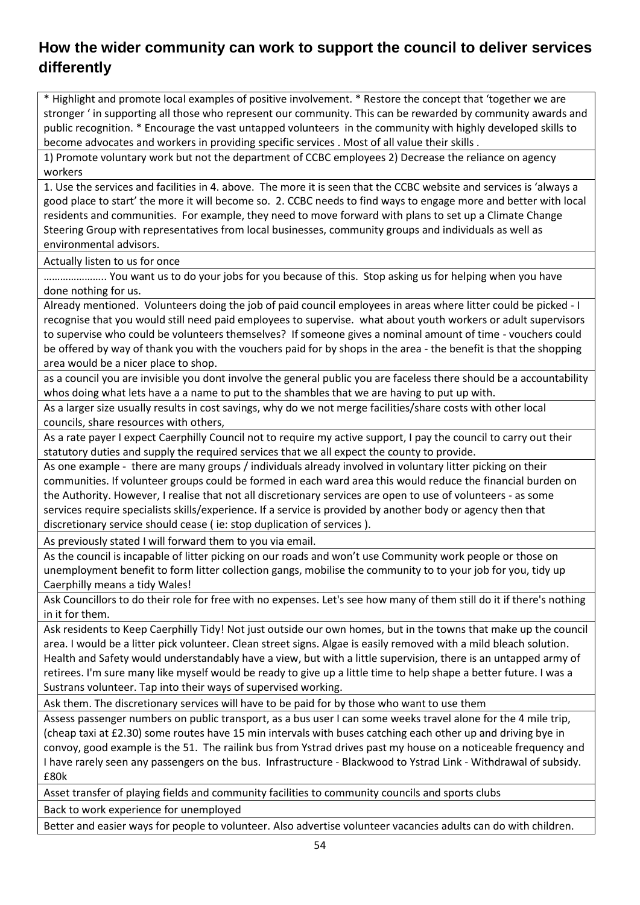#### <span id="page-53-0"></span>**How the wider community can work to support the council to deliver services differently**

\* Highlight and promote local examples of positive involvement. \* Restore the concept that 'together we are stronger ' in supporting all those who represent our community. This can be rewarded by community awards and public recognition. \* Encourage the vast untapped volunteers in the community with highly developed skills to become advocates and workers in providing specific services . Most of all value their skills .

1) Promote voluntary work but not the department of CCBC employees 2) Decrease the reliance on agency workers

1. Use the services and facilities in 4. above. The more it is seen that the CCBC website and services is 'always a good place to start' the more it will become so. 2. CCBC needs to find ways to engage more and better with local residents and communities. For example, they need to move forward with plans to set up a Climate Change Steering Group with representatives from local businesses, community groups and individuals as well as environmental advisors.

Actually listen to us for once

………………….. You want us to do your jobs for you because of this. Stop asking us for helping when you have done nothing for us.

Already mentioned. Volunteers doing the job of paid council employees in areas where litter could be picked - I recognise that you would still need paid employees to supervise. what about youth workers or adult supervisors to supervise who could be volunteers themselves? If someone gives a nominal amount of time - vouchers could be offered by way of thank you with the vouchers paid for by shops in the area - the benefit is that the shopping area would be a nicer place to shop.

as a council you are invisible you dont involve the general public you are faceless there should be a accountability whos doing what lets have a a name to put to the shambles that we are having to put up with.

As a larger size usually results in cost savings, why do we not merge facilities/share costs with other local councils, share resources with others,

As a rate payer I expect Caerphilly Council not to require my active support, I pay the council to carry out their statutory duties and supply the required services that we all expect the county to provide.

As one example - there are many groups / individuals already involved in voluntary litter picking on their communities. If volunteer groups could be formed in each ward area this would reduce the financial burden on the Authority. However, I realise that not all discretionary services are open to use of volunteers - as some services require specialists skills/experience. If a service is provided by another body or agency then that discretionary service should cease ( ie: stop duplication of services ).

As previously stated I will forward them to you via email.

As the council is incapable of litter picking on our roads and won't use Community work people or those on unemployment benefit to form litter collection gangs, mobilise the community to to your job for you, tidy up Caerphilly means a tidy Wales!

Ask Councillors to do their role for free with no expenses. Let's see how many of them still do it if there's nothing in it for them.

Ask residents to Keep Caerphilly Tidy! Not just outside our own homes, but in the towns that make up the council area. I would be a litter pick volunteer. Clean street signs. Algae is easily removed with a mild bleach solution. Health and Safety would understandably have a view, but with a little supervision, there is an untapped army of retirees. I'm sure many like myself would be ready to give up a little time to help shape a better future. I was a Sustrans volunteer. Tap into their ways of supervised working.

Ask them. The discretionary services will have to be paid for by those who want to use them

Assess passenger numbers on public transport, as a bus user I can some weeks travel alone for the 4 mile trip, (cheap taxi at £2.30) some routes have 15 min intervals with buses catching each other up and driving bye in convoy, good example is the 51. The railink bus from Ystrad drives past my house on a noticeable frequency and I have rarely seen any passengers on the bus. Infrastructure - Blackwood to Ystrad Link - Withdrawal of subsidy. £80k

Asset transfer of playing fields and community facilities to community councils and sports clubs

Back to work experience for unemployed

Better and easier ways for people to volunteer. Also advertise volunteer vacancies adults can do with children.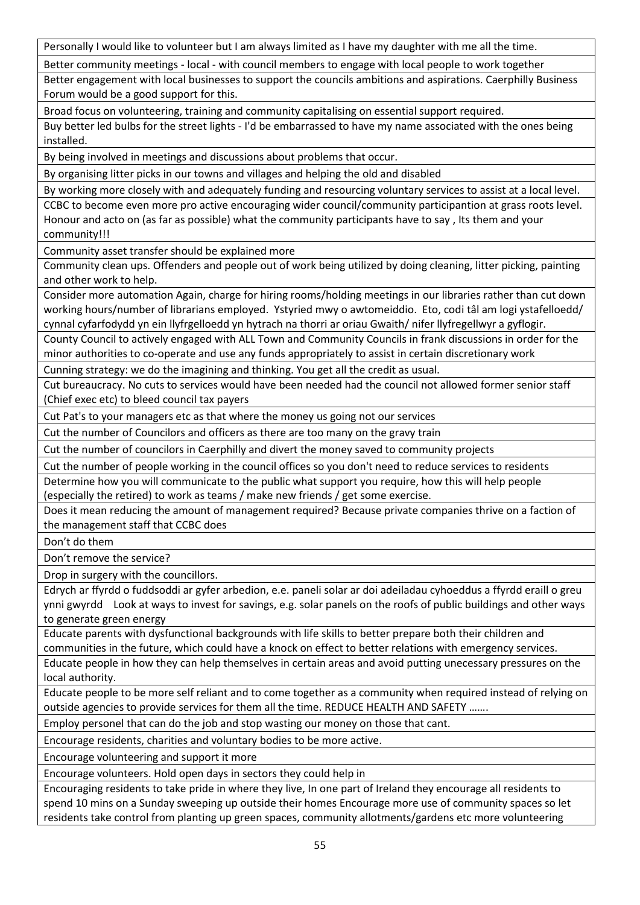Personally I would like to volunteer but I am always limited as I have my daughter with me all the time.

Better community meetings - local - with council members to engage with local people to work together

Better engagement with local businesses to support the councils ambitions and aspirations. Caerphilly Business Forum would be a good support for this.

Broad focus on volunteering, training and community capitalising on essential support required.

Buy better led bulbs for the street lights - I'd be embarrassed to have my name associated with the ones being installed.

By being involved in meetings and discussions about problems that occur.

By organising litter picks in our towns and villages and helping the old and disabled

By working more closely with and adequately funding and resourcing voluntary services to assist at a local level. CCBC to become even more pro active encouraging wider council/community participantion at grass roots level. Honour and acto on (as far as possible) what the community participants have to say , Its them and your community!!!

Community asset transfer should be explained more

Community clean ups. Offenders and people out of work being utilized by doing cleaning, litter picking, painting and other work to help.

Consider more automation Again, charge for hiring rooms/holding meetings in our libraries rather than cut down working hours/number of librarians employed. Ystyried mwy o awtomeiddio. Eto, codi tâl am logi ystafelloedd/ cynnal cyfarfodydd yn ein llyfrgelloedd yn hytrach na thorri ar oriau Gwaith/ nifer llyfregellwyr a gyflogir.

County Council to actively engaged with ALL Town and Community Councils in frank discussions in order for the minor authorities to co-operate and use any funds appropriately to assist in certain discretionary work

Cunning strategy: we do the imagining and thinking. You get all the credit as usual.

Cut bureaucracy. No cuts to services would have been needed had the council not allowed former senior staff (Chief exec etc) to bleed council tax payers

Cut Pat's to your managers etc as that where the money us going not our services

Cut the number of Councilors and officers as there are too many on the gravy train

Cut the number of councilors in Caerphilly and divert the money saved to community projects

Cut the number of people working in the council offices so you don't need to reduce services to residents Determine how you will communicate to the public what support you require, how this will help people

(especially the retired) to work as teams / make new friends / get some exercise.

Does it mean reducing the amount of management required? Because private companies thrive on a faction of the management staff that CCBC does

Don't do them

Don't remove the service?

Drop in surgery with the councillors.

Edrych ar ffyrdd o fuddsoddi ar gyfer arbedion, e.e. paneli solar ar doi adeiladau cyhoeddus a ffyrdd eraill o greu ynni gwyrdd Look at ways to invest for savings, e.g. solar panels on the roofs of public buildings and other ways to generate green energy

Educate parents with dysfunctional backgrounds with life skills to better prepare both their children and communities in the future, which could have a knock on effect to better relations with emergency services.

Educate people in how they can help themselves in certain areas and avoid putting unecessary pressures on the local authority.

Educate people to be more self reliant and to come together as a community when required instead of relying on outside agencies to provide services for them all the time. REDUCE HEALTH AND SAFETY …….

Employ personel that can do the job and stop wasting our money on those that cant.

Encourage residents, charities and voluntary bodies to be more active.

Encourage volunteering and support it more

Encourage volunteers. Hold open days in sectors they could help in

Encouraging residents to take pride in where they live, In one part of Ireland they encourage all residents to spend 10 mins on a Sunday sweeping up outside their homes Encourage more use of community spaces so let residents take control from planting up green spaces, community allotments/gardens etc more volunteering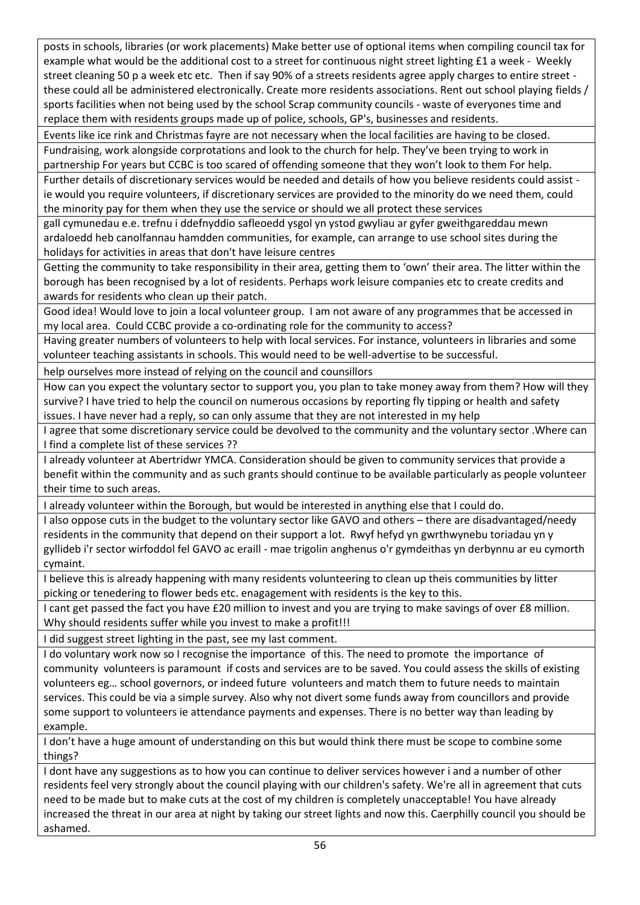posts in schools, libraries (or work placements) Make better use of optional items when compiling council tax for example what would be the additional cost to a street for continuous night street lighting £1 a week - Weekly street cleaning 50 p a week etc etc. Then if say 90% of a streets residents agree apply charges to entire street these could all be administered electronically. Create more residents associations. Rent out school playing fields / sports facilities when not being used by the school Scrap community councils - waste of everyones time and replace them with residents groups made up of police, schools, GP's, businesses and residents.

Events like ice rink and Christmas fayre are not necessary when the local facilities are having to be closed. Fundraising, work alongside corprotations and look to the church for help. They've been trying to work in

partnership For years but CCBC is too scared of offending someone that they won't look to them For help. Further details of discretionary services would be needed and details of how you believe residents could assist ie would you require volunteers, if discretionary services are provided to the minority do we need them, could the minority pay for them when they use the service or should we all protect these services

gall cymunedau e.e. trefnu i ddefnyddio safleoedd ysgol yn ystod gwyliau ar gyfer gweithgareddau mewn ardaloedd heb canolfannau hamdden communities, for example, can arrange to use school sites during the holidays for activities in areas that don't have leisure centres

Getting the community to take responsibility in their area, getting them to 'own' their area. The litter within the borough has been recognised by a lot of residents. Perhaps work leisure companies etc to create credits and awards for residents who clean up their patch.

Good idea! Would love to join a local volunteer group. I am not aware of any programmes that be accessed in my local area. Could CCBC provide a co-ordinating role for the community to access?

Having greater numbers of volunteers to help with local services. For instance, volunteers in libraries and some volunteer teaching assistants in schools. This would need to be well-advertise to be successful.

help ourselves more instead of relying on the council and counsillors

How can you expect the voluntary sector to support you, you plan to take money away from them? How will they survive? I have tried to help the council on numerous occasions by reporting fly tipping or health and safety issues. I have never had a reply, so can only assume that they are not interested in my help

I agree that some discretionary service could be devolved to the community and the voluntary sector .Where can I find a complete list of these services ??

I already volunteer at Abertridwr YMCA. Consideration should be given to community services that provide a benefit within the community and as such grants should continue to be available particularly as people volunteer their time to such areas.

I already volunteer within the Borough, but would be interested in anything else that I could do.

I also oppose cuts in the budget to the voluntary sector like GAVO and others – there are disadvantaged/needy residents in the community that depend on their support a lot. Rwyf hefyd yn gwrthwynebu toriadau yn y gyllideb i'r sector wirfoddol fel GAVO ac eraill - mae trigolin anghenus o'r gymdeithas yn derbynnu ar eu cymorth cymaint.

I believe this is already happening with many residents volunteering to clean up theis communities by litter picking or tenedering to flower beds etc. enagagement with residents is the key to this.

I cant get passed the fact you have £20 million to invest and you are trying to make savings of over £8 million. Why should residents suffer while you invest to make a profit!!!

I did suggest street lighting in the past, see my last comment.

I do voluntary work now so I recognise the importance of this. The need to promote the importance of community volunteers is paramount if costs and services are to be saved. You could assess the skills of existing volunteers eg… school governors, or indeed future volunteers and match them to future needs to maintain services. This could be via a simple survey. Also why not divert some funds away from councillors and provide some support to volunteers ie attendance payments and expenses. There is no better way than leading by example.

I don't have a huge amount of understanding on this but would think there must be scope to combine some things?

I dont have any suggestions as to how you can continue to deliver services however i and a number of other residents feel very strongly about the council playing with our children's safety. We're all in agreement that cuts need to be made but to make cuts at the cost of my children is completely unacceptable! You have already increased the threat in our area at night by taking our street lights and now this. Caerphilly council you should be ashamed.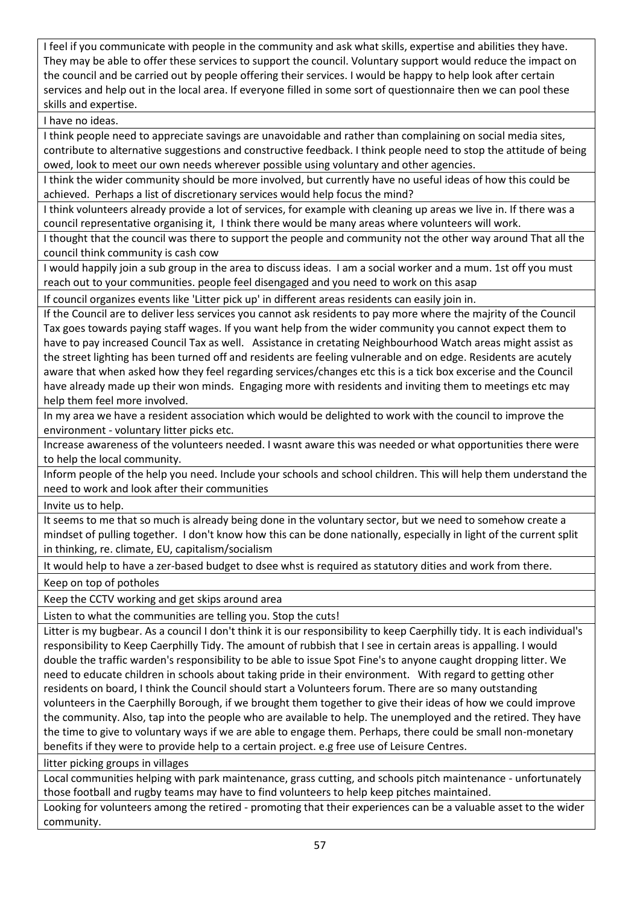I feel if you communicate with people in the community and ask what skills, expertise and abilities they have. They may be able to offer these services to support the council. Voluntary support would reduce the impact on the council and be carried out by people offering their services. I would be happy to help look after certain services and help out in the local area. If everyone filled in some sort of questionnaire then we can pool these skills and expertise.

I have no ideas.

I think people need to appreciate savings are unavoidable and rather than complaining on social media sites, contribute to alternative suggestions and constructive feedback. I think people need to stop the attitude of being owed, look to meet our own needs wherever possible using voluntary and other agencies.

I think the wider community should be more involved, but currently have no useful ideas of how this could be achieved. Perhaps a list of discretionary services would help focus the mind?

I think volunteers already provide a lot of services, for example with cleaning up areas we live in. If there was a council representative organising it, I think there would be many areas where volunteers will work.

I thought that the council was there to support the people and community not the other way around That all the council think community is cash cow

I would happily join a sub group in the area to discuss ideas. I am a social worker and a mum. 1st off you must reach out to your communities. people feel disengaged and you need to work on this asap

If council organizes events like 'Litter pick up' in different areas residents can easily join in.

If the Council are to deliver less services you cannot ask residents to pay more where the majrity of the Council Tax goes towards paying staff wages. If you want help from the wider community you cannot expect them to have to pay increased Council Tax as well. Assistance in cretating Neighbourhood Watch areas might assist as the street lighting has been turned off and residents are feeling vulnerable and on edge. Residents are acutely aware that when asked how they feel regarding services/changes etc this is a tick box excerise and the Council have already made up their won minds. Engaging more with residents and inviting them to meetings etc may help them feel more involved.

In my area we have a resident association which would be delighted to work with the council to improve the environment - voluntary litter picks etc.

Increase awareness of the volunteers needed. I wasnt aware this was needed or what opportunities there were to help the local community.

Inform people of the help you need. Include your schools and school children. This will help them understand the need to work and look after their communities

Invite us to help.

It seems to me that so much is already being done in the voluntary sector, but we need to somehow create a mindset of pulling together. I don't know how this can be done nationally, especially in light of the current split in thinking, re. climate, EU, capitalism/socialism

It would help to have a zer-based budget to dsee whst is required as statutory dities and work from there.

Keep on top of potholes

Keep the CCTV working and get skips around area

Listen to what the communities are telling you. Stop the cuts!

Litter is my bugbear. As a council I don't think it is our responsibility to keep Caerphilly tidy. It is each individual's responsibility to Keep Caerphilly Tidy. The amount of rubbish that I see in certain areas is appalling. I would double the traffic warden's responsibility to be able to issue Spot Fine's to anyone caught dropping litter. We need to educate children in schools about taking pride in their environment. With regard to getting other residents on board, I think the Council should start a Volunteers forum. There are so many outstanding volunteers in the Caerphilly Borough, if we brought them together to give their ideas of how we could improve the community. Also, tap into the people who are available to help. The unemployed and the retired. They have the time to give to voluntary ways if we are able to engage them. Perhaps, there could be small non-monetary benefits if they were to provide help to a certain project. e.g free use of Leisure Centres.

litter picking groups in villages

Local communities helping with park maintenance, grass cutting, and schools pitch maintenance - unfortunately those football and rugby teams may have to find volunteers to help keep pitches maintained.

Looking for volunteers among the retired - promoting that their experiences can be a valuable asset to the wider community.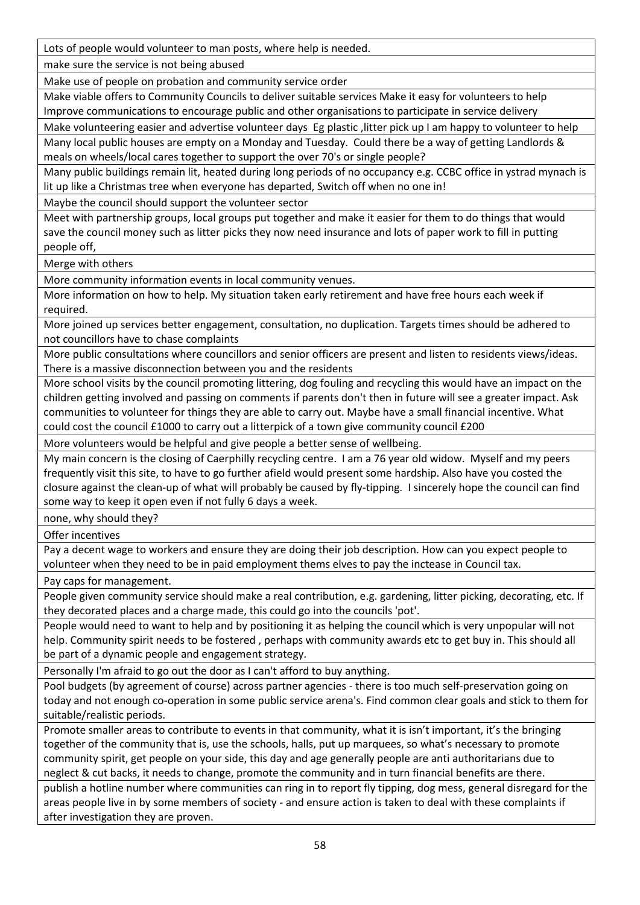Lots of people would volunteer to man posts, where help is needed.

make sure the service is not being abused

Make use of people on probation and community service order

Make viable offers to Community Councils to deliver suitable services Make it easy for volunteers to help Improve communications to encourage public and other organisations to participate in service delivery

Make volunteering easier and advertise volunteer days Eg plastic , litter pick up I am happy to volunteer to help Many local public houses are empty on a Monday and Tuesday. Could there be a way of getting Landlords & meals on wheels/local cares together to support the over 70's or single people?

Many public buildings remain lit, heated during long periods of no occupancy e.g. CCBC office in ystrad mynach is lit up like a Christmas tree when everyone has departed, Switch off when no one in!

Maybe the council should support the volunteer sector

Meet with partnership groups, local groups put together and make it easier for them to do things that would save the council money such as litter picks they now need insurance and lots of paper work to fill in putting people off,

Merge with others

More community information events in local community venues.

More information on how to help. My situation taken early retirement and have free hours each week if required.

More joined up services better engagement, consultation, no duplication. Targets times should be adhered to not councillors have to chase complaints

More public consultations where councillors and senior officers are present and listen to residents views/ideas. There is a massive disconnection between you and the residents

More school visits by the council promoting littering, dog fouling and recycling this would have an impact on the children getting involved and passing on comments if parents don't then in future will see a greater impact. Ask communities to volunteer for things they are able to carry out. Maybe have a small financial incentive. What could cost the council £1000 to carry out a litterpick of a town give community council £200

More volunteers would be helpful and give people a better sense of wellbeing.

My main concern is the closing of Caerphilly recycling centre. I am a 76 year old widow. Myself and my peers frequently visit this site, to have to go further afield would present some hardship. Also have you costed the closure against the clean-up of what will probably be caused by fly-tipping. I sincerely hope the council can find some way to keep it open even if not fully 6 days a week.

none, why should they?

Offer incentives

Pay a decent wage to workers and ensure they are doing their job description. How can you expect people to volunteer when they need to be in paid employment thems elves to pay the inctease in Council tax.

Pay caps for management.

People given community service should make a real contribution, e.g. gardening, litter picking, decorating, etc. If they decorated places and a charge made, this could go into the councils 'pot'.

People would need to want to help and by positioning it as helping the council which is very unpopular will not help. Community spirit needs to be fostered , perhaps with community awards etc to get buy in. This should all be part of a dynamic people and engagement strategy.

Personally I'm afraid to go out the door as I can't afford to buy anything.

Pool budgets (by agreement of course) across partner agencies - there is too much self-preservation going on today and not enough co-operation in some public service arena's. Find common clear goals and stick to them for suitable/realistic periods.

Promote smaller areas to contribute to events in that community, what it is isn't important, it's the bringing together of the community that is, use the schools, halls, put up marquees, so what's necessary to promote community spirit, get people on your side, this day and age generally people are anti authoritarians due to neglect & cut backs, it needs to change, promote the community and in turn financial benefits are there.

publish a hotline number where communities can ring in to report fly tipping, dog mess, general disregard for the areas people live in by some members of society - and ensure action is taken to deal with these complaints if after investigation they are proven.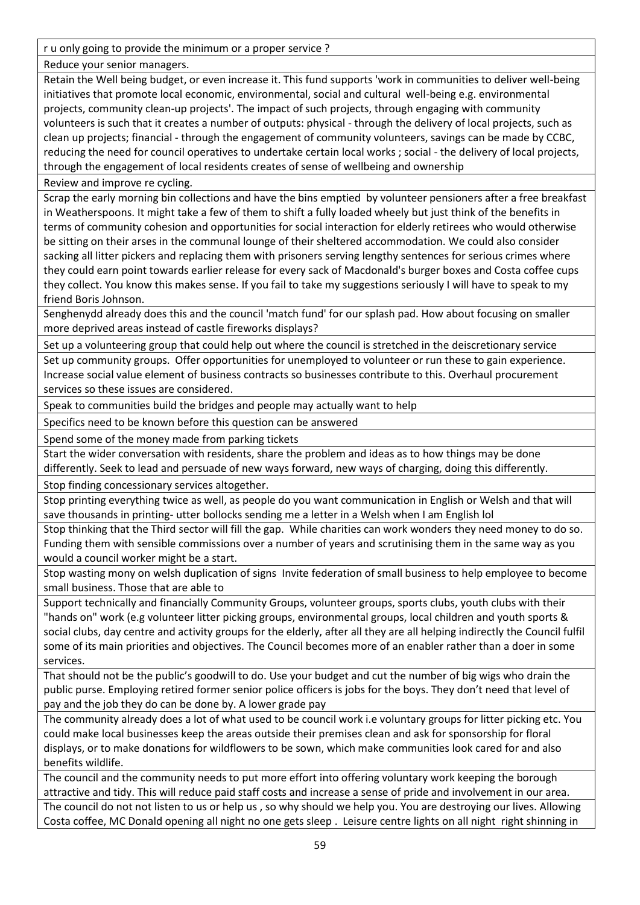r u only going to provide the minimum or a proper service ?

Reduce your senior managers.

Retain the Well being budget, or even increase it. This fund supports 'work in communities to deliver well-being initiatives that promote local economic, environmental, social and cultural well-being e.g. environmental projects, community clean-up projects'. The impact of such projects, through engaging with community volunteers is such that it creates a number of outputs: physical - through the delivery of local projects, such as clean up projects; financial - through the engagement of community volunteers, savings can be made by CCBC, reducing the need for council operatives to undertake certain local works ; social - the delivery of local projects, through the engagement of local residents creates of sense of wellbeing and ownership

Review and improve re cycling.

Scrap the early morning bin collections and have the bins emptied by volunteer pensioners after a free breakfast in Weatherspoons. It might take a few of them to shift a fully loaded wheely but just think of the benefits in terms of community cohesion and opportunities for social interaction for elderly retirees who would otherwise be sitting on their arses in the communal lounge of their sheltered accommodation. We could also consider sacking all litter pickers and replacing them with prisoners serving lengthy sentences for serious crimes where they could earn point towards earlier release for every sack of Macdonald's burger boxes and Costa coffee cups they collect. You know this makes sense. If you fail to take my suggestions seriously I will have to speak to my friend Boris Johnson.

Senghenydd already does this and the council 'match fund' for our splash pad. How about focusing on smaller more deprived areas instead of castle fireworks displays?

Set up a volunteering group that could help out where the council is stretched in the deiscretionary service

Set up community groups. Offer opportunities for unemployed to volunteer or run these to gain experience. Increase social value element of business contracts so businesses contribute to this. Overhaul procurement services so these issues are considered.

Speak to communities build the bridges and people may actually want to help

Specifics need to be known before this question can be answered

Spend some of the money made from parking tickets

Start the wider conversation with residents, share the problem and ideas as to how things may be done

differently. Seek to lead and persuade of new ways forward, new ways of charging, doing this differently. Stop finding concessionary services altogether.

Stop printing everything twice as well, as people do you want communication in English or Welsh and that will save thousands in printing- utter bollocks sending me a letter in a Welsh when I am English lol

Stop thinking that the Third sector will fill the gap. While charities can work wonders they need money to do so. Funding them with sensible commissions over a number of years and scrutinising them in the same way as you would a council worker might be a start.

Stop wasting mony on welsh duplication of signs Invite federation of small business to help employee to become small business. Those that are able to

Support technically and financially Community Groups, volunteer groups, sports clubs, youth clubs with their "hands on" work (e.g volunteer litter picking groups, environmental groups, local children and youth sports & social clubs, day centre and activity groups for the elderly, after all they are all helping indirectly the Council fulfil some of its main priorities and objectives. The Council becomes more of an enabler rather than a doer in some services.

That should not be the public's goodwill to do. Use your budget and cut the number of big wigs who drain the public purse. Employing retired former senior police officers is jobs for the boys. They don't need that level of pay and the job they do can be done by. A lower grade pay

The community already does a lot of what used to be council work i.e voluntary groups for litter picking etc. You could make local businesses keep the areas outside their premises clean and ask for sponsorship for floral displays, or to make donations for wildflowers to be sown, which make communities look cared for and also benefits wildlife.

The council and the community needs to put more effort into offering voluntary work keeping the borough attractive and tidy. This will reduce paid staff costs and increase a sense of pride and involvement in our area. The council do not not listen to us or help us , so why should we help you. You are destroying our lives. Allowing Costa coffee, MC Donald opening all night no one gets sleep . Leisure centre lights on all night right shinning in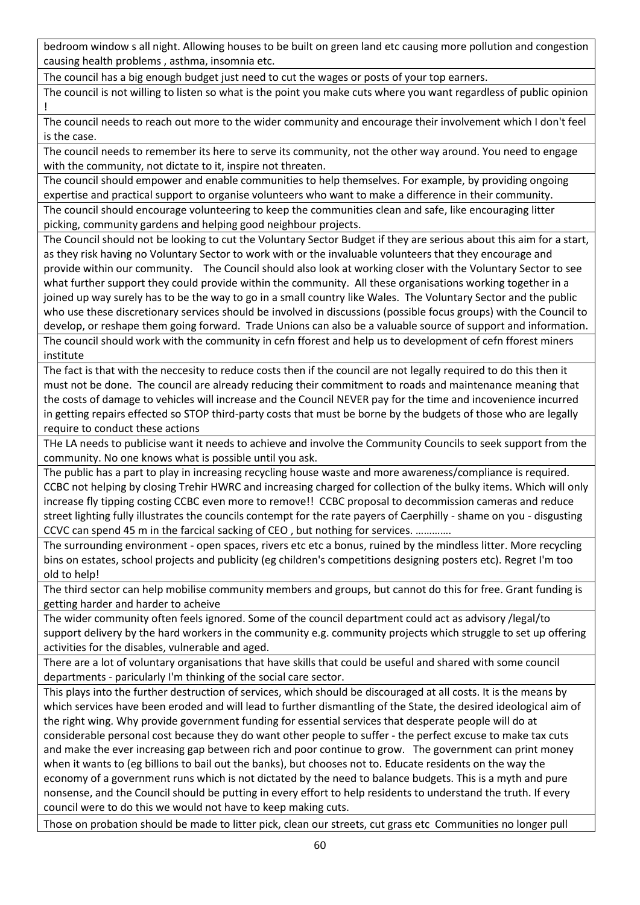bedroom window s all night. Allowing houses to be built on green land etc causing more pollution and congestion causing health problems , asthma, insomnia etc.

The council has a big enough budget just need to cut the wages or posts of your top earners.

The council is not willing to listen so what is the point you make cuts where you want regardless of public opinion !

The council needs to reach out more to the wider community and encourage their involvement which I don't feel is the case.

The council needs to remember its here to serve its community, not the other way around. You need to engage with the community, not dictate to it, inspire not threaten.

The council should empower and enable communities to help themselves. For example, by providing ongoing expertise and practical support to organise volunteers who want to make a difference in their community.

The council should encourage volunteering to keep the communities clean and safe, like encouraging litter picking, community gardens and helping good neighbour projects.

The Council should not be looking to cut the Voluntary Sector Budget if they are serious about this aim for a start, as they risk having no Voluntary Sector to work with or the invaluable volunteers that they encourage and provide within our community. The Council should also look at working closer with the Voluntary Sector to see what further support they could provide within the community. All these organisations working together in a joined up way surely has to be the way to go in a small country like Wales. The Voluntary Sector and the public who use these discretionary services should be involved in discussions (possible focus groups) with the Council to develop, or reshape them going forward. Trade Unions can also be a valuable source of support and information. The council should work with the community in cefn fforest and help us to development of cefn fforest miners institute

The fact is that with the neccesity to reduce costs then if the council are not legally required to do this then it must not be done. The council are already reducing their commitment to roads and maintenance meaning that the costs of damage to vehicles will increase and the Council NEVER pay for the time and incovenience incurred in getting repairs effected so STOP third-party costs that must be borne by the budgets of those who are legally require to conduct these actions

THe LA needs to publicise want it needs to achieve and involve the Community Councils to seek support from the community. No one knows what is possible until you ask.

The public has a part to play in increasing recycling house waste and more awareness/compliance is required. CCBC not helping by closing Trehir HWRC and increasing charged for collection of the bulky items. Which will only increase fly tipping costing CCBC even more to remove!! CCBC proposal to decommission cameras and reduce street lighting fully illustrates the councils contempt for the rate payers of Caerphilly - shame on you - disgusting CCVC can spend 45 m in the farcical sacking of CEO , but nothing for services. ………….

The surrounding environment - open spaces, rivers etc etc a bonus, ruined by the mindless litter. More recycling bins on estates, school projects and publicity (eg children's competitions designing posters etc). Regret I'm too old to help!

The third sector can help mobilise community members and groups, but cannot do this for free. Grant funding is getting harder and harder to acheive

The wider community often feels ignored. Some of the council department could act as advisory /legal/to support delivery by the hard workers in the community e.g. community projects which struggle to set up offering activities for the disables, vulnerable and aged.

There are a lot of voluntary organisations that have skills that could be useful and shared with some council departments - paricularly I'm thinking of the social care sector.

This plays into the further destruction of services, which should be discouraged at all costs. It is the means by which services have been eroded and will lead to further dismantling of the State, the desired ideological aim of the right wing. Why provide government funding for essential services that desperate people will do at considerable personal cost because they do want other people to suffer - the perfect excuse to make tax cuts and make the ever increasing gap between rich and poor continue to grow. The government can print money when it wants to (eg billions to bail out the banks), but chooses not to. Educate residents on the way the economy of a government runs which is not dictated by the need to balance budgets. This is a myth and pure nonsense, and the Council should be putting in every effort to help residents to understand the truth. If every council were to do this we would not have to keep making cuts.

Those on probation should be made to litter pick, clean our streets, cut grass etc Communities no longer pull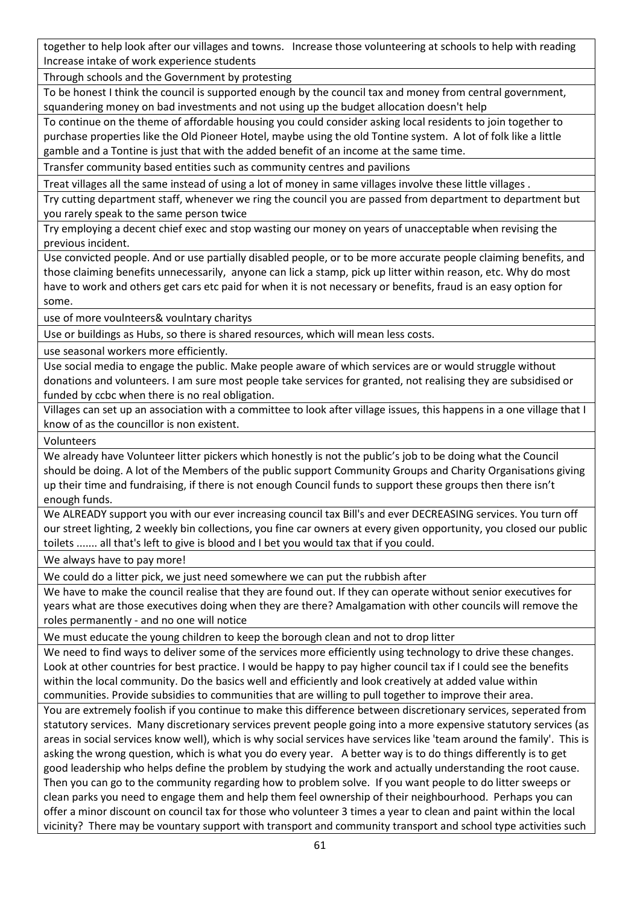together to help look after our villages and towns. Increase those volunteering at schools to help with reading Increase intake of work experience students

Through schools and the Government by protesting

To be honest I think the council is supported enough by the council tax and money from central government, squandering money on bad investments and not using up the budget allocation doesn't help

To continue on the theme of affordable housing you could consider asking local residents to join together to purchase properties like the Old Pioneer Hotel, maybe using the old Tontine system. A lot of folk like a little gamble and a Tontine is just that with the added benefit of an income at the same time.

Transfer community based entities such as community centres and pavilions

Treat villages all the same instead of using a lot of money in same villages involve these little villages .

Try cutting department staff, whenever we ring the council you are passed from department to department but you rarely speak to the same person twice

Try employing a decent chief exec and stop wasting our money on years of unacceptable when revising the previous incident.

Use convicted people. And or use partially disabled people, or to be more accurate people claiming benefits, and those claiming benefits unnecessarily, anyone can lick a stamp, pick up litter within reason, etc. Why do most have to work and others get cars etc paid for when it is not necessary or benefits, fraud is an easy option for some.

use of more voulnteers& voulntary charitys

Use or buildings as Hubs, so there is shared resources, which will mean less costs.

use seasonal workers more efficiently.

Use social media to engage the public. Make people aware of which services are or would struggle without donations and volunteers. I am sure most people take services for granted, not realising they are subsidised or funded by ccbc when there is no real obligation.

Villages can set up an association with a committee to look after village issues, this happens in a one village that I know of as the councillor is non existent.

Volunteers

We already have Volunteer litter pickers which honestly is not the public's job to be doing what the Council should be doing. A lot of the Members of the public support Community Groups and Charity Organisations giving up their time and fundraising, if there is not enough Council funds to support these groups then there isn't enough funds.

We ALREADY support you with our ever increasing council tax Bill's and ever DECREASING services. You turn off our street lighting, 2 weekly bin collections, you fine car owners at every given opportunity, you closed our public toilets ....... all that's left to give is blood and I bet you would tax that if you could.

We always have to pay more!

We could do a litter pick, we just need somewhere we can put the rubbish after

We have to make the council realise that they are found out. If they can operate without senior executives for years what are those executives doing when they are there? Amalgamation with other councils will remove the roles permanently - and no one will notice

We must educate the young children to keep the borough clean and not to drop litter

We need to find ways to deliver some of the services more efficiently using technology to drive these changes. Look at other countries for best practice. I would be happy to pay higher council tax if I could see the benefits within the local community. Do the basics well and efficiently and look creatively at added value within communities. Provide subsidies to communities that are willing to pull together to improve their area.

You are extremely foolish if you continue to make this difference between discretionary services, seperated from statutory services. Many discretionary services prevent people going into a more expensive statutory services (as areas in social services know well), which is why social services have services like 'team around the family'. This is asking the wrong question, which is what you do every year. A better way is to do things differently is to get good leadership who helps define the problem by studying the work and actually understanding the root cause. Then you can go to the community regarding how to problem solve. If you want people to do litter sweeps or clean parks you need to engage them and help them feel ownership of their neighbourhood. Perhaps you can offer a minor discount on council tax for those who volunteer 3 times a year to clean and paint within the local vicinity? There may be vountary support with transport and community transport and school type activities such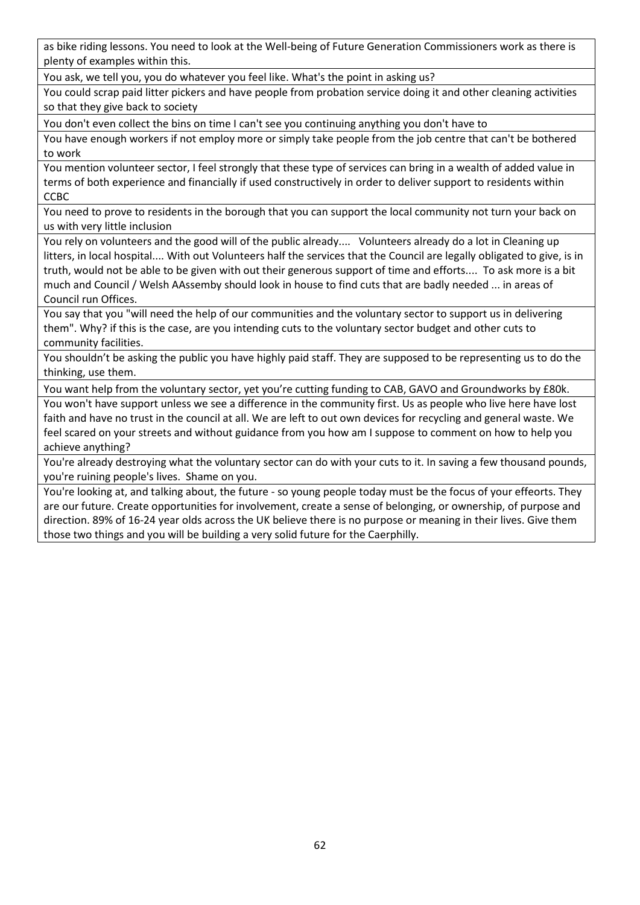as bike riding lessons. You need to look at the Well-being of Future Generation Commissioners work as there is plenty of examples within this.

You ask, we tell you, you do whatever you feel like. What's the point in asking us?

You could scrap paid litter pickers and have people from probation service doing it and other cleaning activities so that they give back to society

You don't even collect the bins on time I can't see you continuing anything you don't have to

You have enough workers if not employ more or simply take people from the job centre that can't be bothered to work

You mention volunteer sector, I feel strongly that these type of services can bring in a wealth of added value in terms of both experience and financially if used constructively in order to deliver support to residents within CCBC

You need to prove to residents in the borough that you can support the local community not turn your back on us with very little inclusion

You rely on volunteers and the good will of the public already.... Volunteers already do a lot in Cleaning up litters, in local hospital.... With out Volunteers half the services that the Council are legally obligated to give, is in truth, would not be able to be given with out their generous support of time and efforts.... To ask more is a bit much and Council / Welsh AAssemby should look in house to find cuts that are badly needed ... in areas of Council run Offices.

You say that you "will need the help of our communities and the voluntary sector to support us in delivering them". Why? if this is the case, are you intending cuts to the voluntary sector budget and other cuts to community facilities.

You shouldn't be asking the public you have highly paid staff. They are supposed to be representing us to do the thinking, use them.

You want help from the voluntary sector, yet you're cutting funding to CAB, GAVO and Groundworks by £80k.

You won't have support unless we see a difference in the community first. Us as people who live here have lost faith and have no trust in the council at all. We are left to out own devices for recycling and general waste. We feel scared on your streets and without guidance from you how am I suppose to comment on how to help you achieve anything?

You're already destroying what the voluntary sector can do with your cuts to it. In saving a few thousand pounds, you're ruining people's lives. Shame on you.

You're looking at, and talking about, the future - so young people today must be the focus of your effeorts. They are our future. Create opportunities for involvement, create a sense of belonging, or ownership, of purpose and direction. 89% of 16-24 year olds across the UK believe there is no purpose or meaning in their lives. Give them those two things and you will be building a very solid future for the Caerphilly.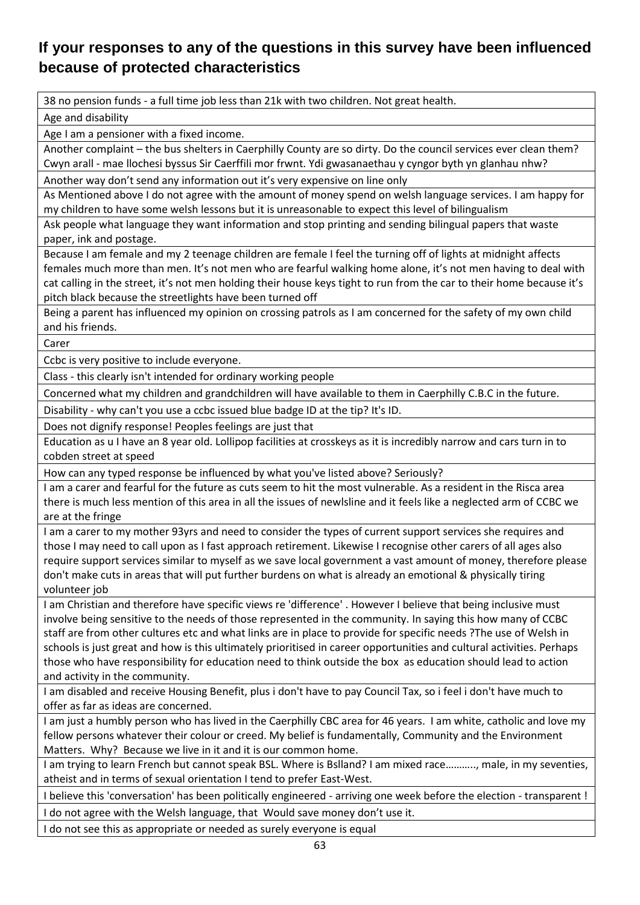#### <span id="page-62-0"></span>**If your responses to any of the questions in this survey have been influenced because of protected characteristics**

38 no pension funds - a full time job less than 21k with two children. Not great health.

Age and disability

Age I am a pensioner with a fixed income.

Another complaint – the bus shelters in Caerphilly County are so dirty. Do the council services ever clean them? Cwyn arall - mae llochesi byssus Sir Caerffili mor frwnt. Ydi gwasanaethau y cyngor byth yn glanhau nhw?

Another way don't send any information out it's very expensive on line only

As Mentioned above I do not agree with the amount of money spend on welsh language services. I am happy for my children to have some welsh lessons but it is unreasonable to expect this level of bilingualism

Ask people what language they want information and stop printing and sending bilingual papers that waste paper, ink and postage.

Because I am female and my 2 teenage children are female I feel the turning off of lights at midnight affects females much more than men. It's not men who are fearful walking home alone, it's not men having to deal with cat calling in the street, it's not men holding their house keys tight to run from the car to their home because it's pitch black because the streetlights have been turned off

Being a parent has influenced my opinion on crossing patrols as I am concerned for the safety of my own child and his friends.

Carer

Ccbc is very positive to include everyone.

Class - this clearly isn't intended for ordinary working people

Concerned what my children and grandchildren will have available to them in Caerphilly C.B.C in the future.

Disability - why can't you use a ccbc issued blue badge ID at the tip? It's ID.

Does not dignify response! Peoples feelings are just that

Education as u I have an 8 year old. Lollipop facilities at crosskeys as it is incredibly narrow and cars turn in to cobden street at speed

How can any typed response be influenced by what you've listed above? Seriously?

I am a carer and fearful for the future as cuts seem to hit the most vulnerable. As a resident in the Risca area there is much less mention of this area in all the issues of newlsline and it feels like a neglected arm of CCBC we are at the fringe

I am a carer to my mother 93yrs and need to consider the types of current support services she requires and those I may need to call upon as I fast approach retirement. Likewise I recognise other carers of all ages also require support services similar to myself as we save local government a vast amount of money, therefore please don't make cuts in areas that will put further burdens on what is already an emotional & physically tiring volunteer job

I am Christian and therefore have specific views re 'difference' . However I believe that being inclusive must involve being sensitive to the needs of those represented in the community. In saying this how many of CCBC staff are from other cultures etc and what links are in place to provide for specific needs ?The use of Welsh in schools is just great and how is this ultimately prioritised in career opportunities and cultural activities. Perhaps those who have responsibility for education need to think outside the box as education should lead to action and activity in the community.

I am disabled and receive Housing Benefit, plus i don't have to pay Council Tax, so i feel i don't have much to offer as far as ideas are concerned.

I am just a humbly person who has lived in the Caerphilly CBC area for 46 years. I am white, catholic and love my fellow persons whatever their colour or creed. My belief is fundamentally, Community and the Environment Matters. Why? Because we live in it and it is our common home.

I am trying to learn French but cannot speak BSL. Where is Bslland? I am mixed race……….., male, in my seventies, atheist and in terms of sexual orientation I tend to prefer East-West.

I believe this 'conversation' has been politically engineered - arriving one week before the election - transparent !

I do not agree with the Welsh language, that Would save money don't use it.

I do not see this as appropriate or needed as surely everyone is equal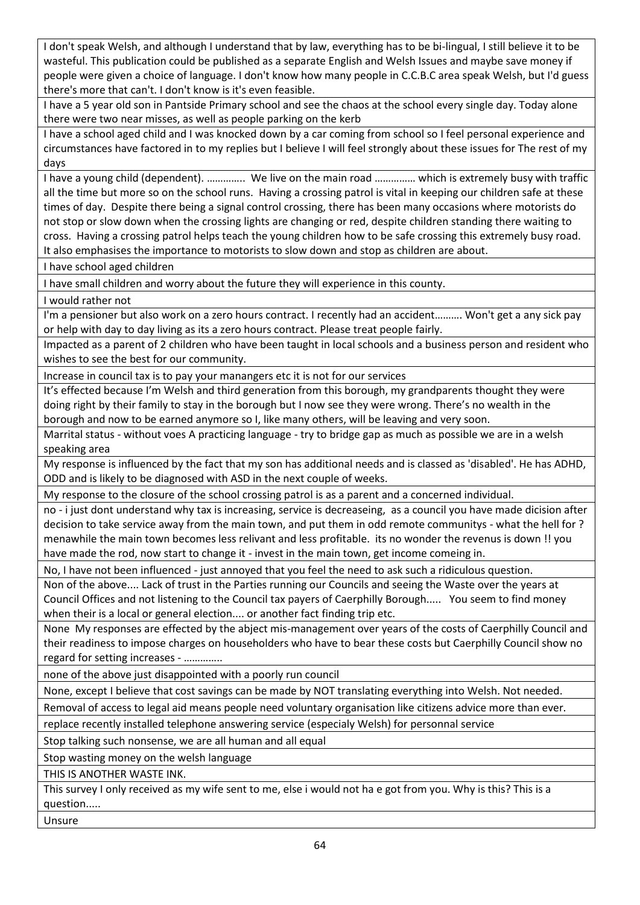I don't speak Welsh, and although I understand that by law, everything has to be bi-lingual, I still believe it to be wasteful. This publication could be published as a separate English and Welsh Issues and maybe save money if people were given a choice of language. I don't know how many people in C.C.B.C area speak Welsh, but I'd guess there's more that can't. I don't know is it's even feasible.

I have a 5 year old son in Pantside Primary school and see the chaos at the school every single day. Today alone there were two near misses, as well as people parking on the kerb

I have a school aged child and I was knocked down by a car coming from school so I feel personal experience and circumstances have factored in to my replies but I believe I will feel strongly about these issues for The rest of my days

I have a young child (dependent). ………….. We live on the main road …………… which is extremely busy with traffic all the time but more so on the school runs. Having a crossing patrol is vital in keeping our children safe at these times of day. Despite there being a signal control crossing, there has been many occasions where motorists do not stop or slow down when the crossing lights are changing or red, despite children standing there waiting to cross. Having a crossing patrol helps teach the young children how to be safe crossing this extremely busy road. It also emphasises the importance to motorists to slow down and stop as children are about.

I have school aged children

I have small children and worry about the future they will experience in this county.

I would rather not

I'm a pensioner but also work on a zero hours contract. I recently had an accident………. Won't get a any sick pay or help with day to day living as its a zero hours contract. Please treat people fairly.

Impacted as a parent of 2 children who have been taught in local schools and a business person and resident who wishes to see the best for our community.

Increase in council tax is to pay your manangers etc it is not for our services

It's effected because I'm Welsh and third generation from this borough, my grandparents thought they were doing right by their family to stay in the borough but I now see they were wrong. There's no wealth in the borough and now to be earned anymore so I, like many others, will be leaving and very soon.

Marrital status - without voes A practicing language - try to bridge gap as much as possible we are in a welsh speaking area

My response is influenced by the fact that my son has additional needs and is classed as 'disabled'. He has ADHD, ODD and is likely to be diagnosed with ASD in the next couple of weeks.

My response to the closure of the school crossing patrol is as a parent and a concerned individual.

no - i just dont understand why tax is increasing, service is decreaseing, as a council you have made dicision after decision to take service away from the main town, and put them in odd remote communitys - what the hell for ? menawhile the main town becomes less relivant and less profitable. its no wonder the revenus is down !! you have made the rod, now start to change it - invest in the main town, get income comeing in.

No, I have not been influenced - just annoyed that you feel the need to ask such a ridiculous question.

Non of the above.... Lack of trust in the Parties running our Councils and seeing the Waste over the years at Council Offices and not listening to the Council tax payers of Caerphilly Borough..... You seem to find money when their is a local or general election.... or another fact finding trip etc.

None My responses are effected by the abject mis-management over years of the costs of Caerphilly Council and their readiness to impose charges on householders who have to bear these costs but Caerphilly Council show no regard for setting increases - …………..

none of the above just disappointed with a poorly run council

None, except I believe that cost savings can be made by NOT translating everything into Welsh. Not needed.

Removal of access to legal aid means people need voluntary organisation like citizens advice more than ever.

replace recently installed telephone answering service (especialy Welsh) for personnal service

Stop talking such nonsense, we are all human and all equal

Stop wasting money on the welsh language

THIS IS ANOTHER WASTE INK.

This survey I only received as my wife sent to me, else i would not ha e got from you. Why is this? This is a question.....

Unsure